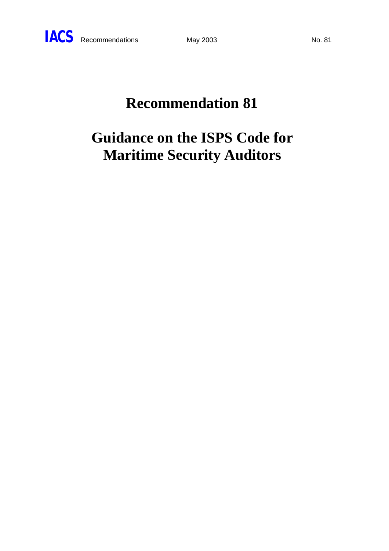

# **Recommendation 81**

# **Guidance on the ISPS Code for Maritime Security Auditors**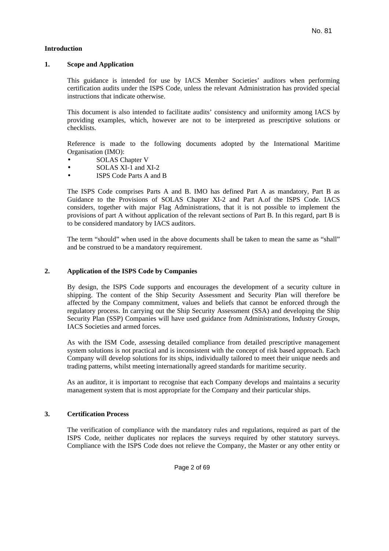# **Introduction**

#### **1. Scope and Application**

This guidance is intended for use by IACS Member Societies' auditors when performing certification audits under the ISPS Code, unless the relevant Administration has provided special instructions that indicate otherwise.

This document is also intended to facilitate audits' consistency and uniformity among IACS by providing examples, which, however are not to be interpreted as prescriptive solutions or checklists.

Reference is made to the following documents adopted by the International Maritime Organisation (IMO):

- SOLAS Chapter V
- SOLAS XI-1 and XI-2
- ISPS Code Parts A and B

The ISPS Code comprises Parts A and B. IMO has defined Part A as mandatory, Part B as Guidance to the Provisions of SOLAS Chapter XI-2 and Part A.of the ISPS Code. IACS considers, together with major Flag Administrations, that it is not possible to implement the provisions of part A without application of the relevant sections of Part B. In this regard, part B is to be considered mandatory by IACS auditors.

The term "should" when used in the above documents shall be taken to mean the same as "shall" and be construed to be a mandatory requirement.

# **2. Application of the ISPS Code by Companies**

By design, the ISPS Code supports and encourages the development of a security culture in shipping. The content of the Ship Security Assessment and Security Plan will therefore be affected by the Company commitment, values and beliefs that cannot be enforced through the regulatory process. In carrying out the Ship Security Assessment (SSA) and developing the Ship Security Plan (SSP) Companies will have used guidance from Administrations, Industry Groups, IACS Societies and armed forces.

As with the ISM Code, assessing detailed compliance from detailed prescriptive management system solutions is not practical and is inconsistent with the concept of risk based approach. Each Company will develop solutions for its ships, individually tailored to meet their unique needs and trading patterns, whilst meeting internationally agreed standards for maritime security.

As an auditor, it is important to recognise that each Company develops and maintains a security management system that is most appropriate for the Company and their particular ships.

# **3. Certification Process**

The verification of compliance with the mandatory rules and regulations, required as part of the ISPS Code, neither duplicates nor replaces the surveys required by other statutory surveys. Compliance with the ISPS Code does not relieve the Company, the Master or any other entity or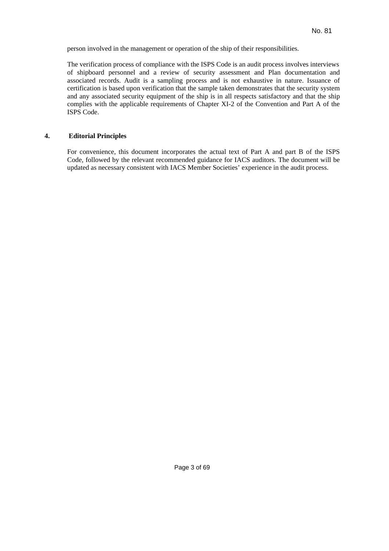person involved in the management or operation of the ship of their responsibilities.

The verification process of compliance with the ISPS Code is an audit process involves interviews of shipboard personnel and a review of security assessment and Plan documentation and associated records. Audit is a sampling process and is not exhaustive in nature. Issuance of certification is based upon verification that the sample taken demonstrates that the security system and any associated security equipment of the ship is in all respects satisfactory and that the ship complies with the applicable requirements of Chapter XI-2 of the Convention and Part A of the ISPS Code.

#### **4. Editorial Principles**

For convenience, this document incorporates the actual text of Part A and part B of the ISPS Code, followed by the relevant recommended guidance for IACS auditors. The document will be updated as necessary consistent with IACS Member Societies' experience in the audit process.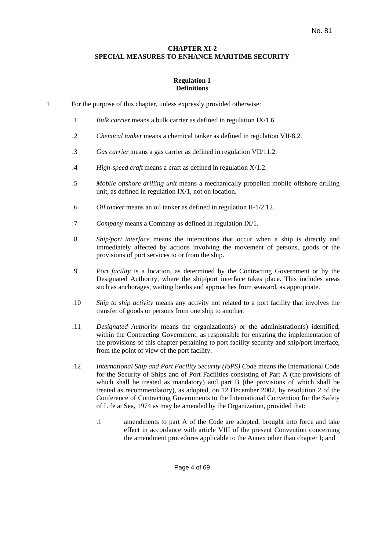# **CHAPTER XI-2 SPECIAL MEASURES TO ENHANCE MARITIME SECURITY**

# **Regulation 1 Definitions**

- 1 For the purpose of this chapter, unless expressly provided otherwise:
	- *.*1 *Bulk carrier* means a bulk carrier as defined in regulation IX/1.6.
	- *.*2 *Chemical tanker* means a chemical tanker as defined in regulation VII/8.2.
	- *.*3 *Gas carrier* means a gas carrier as defined in regulation VII/11.2.
	- *.*4 *High-speed craft* means a craft as defined in regulation X/1.2.
	- *.*5 *Mobile offshore drilling unit* means a mechanically propelled mobile offshore drilling unit, as defined in regulation IX/1, not on location.
	- *.*6 *Oil tanker* means an oil tanker as defined in regulation II-1/2.12.
	- *.*7 *Company* means a Company as defined in regulation IX/1.
	- *.*8 *Ship/port interface* means the interactions that occur when a ship is directly and immediately affected by actions involving the movement of persons, goods or the provisions of port services to or from the ship.
	- *.*9 *Port facility* is a location, as determined by the Contracting Government or by the Designated Authority, where the ship/port interface takes place. This includes areas such as anchorages, waiting berths and approaches from seaward, as appropriate.
	- .10 *Ship to ship activity* means any activity not related to a port facility that involves the transfer of goods or persons from one ship to another.
	- *.*11 *Designated Authority* means the organization(s) or the administration(s) identified, within the Contracting Government, as responsible for ensuring the implementation of the provisions of this chapter pertaining to port facility security and ship/port interface, from the point of view of the port facility.
	- *.*12 *International Ship and Port Facility Security (ISPS) Code* means the International Code for the Security of Ships and of Port Facilities consisting of Part A (the provisions of which shall be treated as mandatory) and part B (the provisions of which shall be treated as recommendatory), as adopted, on 12 December 2002, by resolution 2 of the Conference of Contracting Governments to the International Convention for the Safety of Life at Sea, 1974 as may be amended by the Organization, provided that:
		- .1 amendments to part A of the Code are adopted, brought into force and take effect in accordance with article VIII of the present Convention concerning the amendment procedures applicable to the Annex other than chapter I; and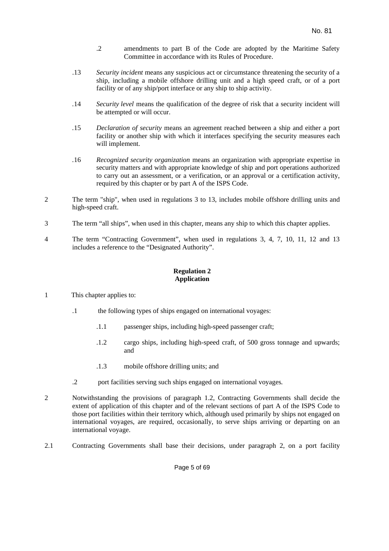- .2 amendments to part B of the Code are adopted by the Maritime Safety Committee in accordance with its Rules of Procedure.
- .13 *Security incident* means any suspicious act or circumstance threatening the security of a ship, including a mobile offshore drilling unit and a high speed craft, or of a port facility or of any ship/port interface or any ship to ship activity.
- *.*14 *Security level* means the qualification of the degree of risk that a security incident will be attempted or will occur.
- *.*15 *Declaration of security* means an agreement reached between a ship and either a port facility or another ship with which it interfaces specifying the security measures each will implement.
- *.*16 *Recognized security organization* means an organization with appropriate expertise in security matters and with appropriate knowledge of ship and port operations authorized to carry out an assessment, or a verification, or an approval or a certification activity, required by this chapter or by part A of the ISPS Code.
- 2 The term "ship", when used in regulations 3 to 13, includes mobile offshore drilling units and high-speed craft.
- 3 The term "all ships", when used in this chapter, means any ship to which this chapter applies.
- 4 The term "Contracting Government", when used in regulations 3, 4, 7, 10, 11, 12 and 13 includes a reference to the "Designated Authority".

# **Regulation 2 Application**

- 1 This chapter applies to:
	- .1 the following types of ships engaged on international voyages:
		- .1.1 passenger ships, including high-speed passenger craft;
		- .1.2 cargo ships, including high-speed craft, of 500 gross tonnage and upwards; and
		- .1.3 mobile offshore drilling units; and
	- .2 port facilities serving such ships engaged on international voyages*.*
- 2 Notwithstanding the provisions of paragraph 1.2, Contracting Governments shall decide the extent of application of this chapter and of the relevant sections of part A of the ISPS Code to those port facilities within their territory which, although used primarily by ships not engaged on international voyages, are required, occasionally, to serve ships arriving or departing on an international voyage.
- 2.1 Contracting Governments shall base their decisions, under paragraph 2, on a port facility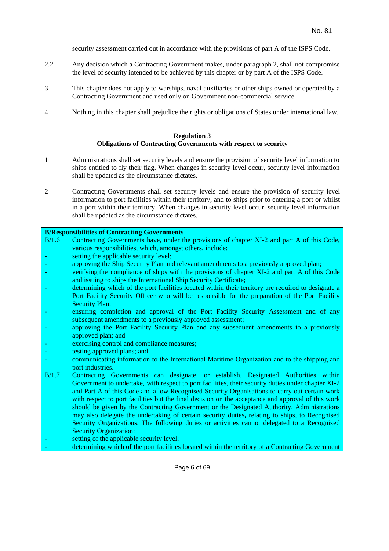security assessment carried out in accordance with the provisions of part A of the ISPS Code.

- 2.2 Any decision which a Contracting Government makes, under paragraph 2, shall not compromise the level of security intended to be achieved by this chapter or by part A of the ISPS Code.
- 3 This chapter does not apply to warships, naval auxiliaries or other ships owned or operated by a Contracting Government and used only on Government non-commercial service.
- 4 Nothing in this chapter shall prejudice the rights or obligations of States under international law.

#### **Regulation 3 Obligations of Contracting Governments with respect to security**

- 1 Administrations shall set security levels and ensure the provision of security level information to ships entitled to fly their flag. When changes in security level occur, security level information shall be updated as the circumstance dictates.
- 2 Contracting Governments shall set security levels and ensure the provision of security level information to port facilities within their territory, and to ships prior to entering a port or whilst in a port within their territory. When changes in security level occur, security level information shall be updated as the circumstance dictates.

#### **B/Responsibilities of Contracting Governments**

- B/1.6 Contracting Governments have, under the provisions of chapter XI-2 and part A of this Code, various responsibilities, which, amongst others, include:
- setting the applicable security level;
- approving the Ship Security Plan and relevant amendments to a previously approved plan;
- verifying the compliance of ships with the provisions of chapter XI-2 and part A of this Code and issuing to ships the International Ship Security Certificate;
- determining which of the port facilities located within their territory are required to designate a Port Facility Security Officer who will be responsible for the preparation of the Port Facility Security Plan;
- ensuring completion and approval of the Port Facility Security Assessment and of any subsequent amendments to a previously approved assessment;
- approving the Port Facility Security Plan and any subsequent amendments to a previously approved plan; and
- exercising control and compliance measures**;**
- testing approved plans; and
- communicating information to the International Maritime Organization and to the shipping and port industries.
- B/1.7 Contracting Governments can designate, or establish, Designated Authorities within Government to undertake, with respect to port facilities, their security duties under chapter XI-2 and Part A of this Code and allow Recognised Security Organisations to carry out certain work with respect to port facilities but the final decision on the acceptance and approval of this work should be given by the Contracting Government or the Designated Authority. Administrations may also delegate the undertaking of certain security duties**,** relating to ships, to Recognised Security Organizations. The following duties or activities cannot delegated to a Recognized Security Organization:
- setting of the applicable security level;
- determining which of the port facilities located within the territory of a Contracting Government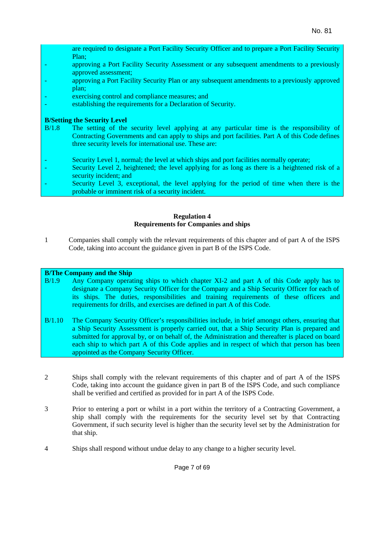are required to designate a Port Facility Security Officer and to prepare a Port Facility Security Plan;

- approving a Port Facility Security Assessment or any subsequent amendments to a previously approved assessment;
- approving a Port Facility Security Plan or any subsequent amendments to a previously approved plan;
- exercising control and compliance measures; and
- establishing the requirements for a Declaration of Security.

# **B/Setting the Security Level**

- B/1.8 The setting of the security level applying at any particular time is the responsibility of Contracting Governments and can apply to ships and port facilities. Part A of this Code defines three security levels for international use. These are:
- Security Level 1, normal; the level at which ships and port facilities normally operate;
	- Security Level 2, heightened; the level applying for as long as there is a heightened risk of a security incident; and
- Security Level 3, exceptional, the level applying for the period of time when there is the probable or imminent risk of a security incident.

# **Regulation 4 Requirements for Companies and ships**

1 Companies shall comply with the relevant requirements of this chapter and of part A of the ISPS Code*,* taking into account the guidance given in part B of the ISPS Code.

# **B/The Company and the Ship**

- B/1.9 Any Company operating ships to which chapter XI-2 and part A of this Code apply has to designate a Company Security Officer for the Company and a Ship Security Officer for each of its ships. The duties, responsibilities and training requirements of these officers and requirements for drills, and exercises are defined in part A of this Code.
- B/1.10 The Company Security Officer's responsibilities include, in brief amongst others, ensuring that a Ship Security Assessment is properly carried out, that a Ship Security Plan is prepared and submitted for approval by, or on behalf of, the Administration and thereafter is placed on board each ship to which part A of this Code applies and in respect of which that person has been appointed as the Company Security Officer.
- 2 Ships shall comply with the relevant requirements of this chapter and of part A of the ISPS Code*,* taking into account the guidance given in part B of the ISPS Code, and such compliance shall be verified and certified as provided for in part A of the ISPS Code.
- 3 Prior to entering a port or whilst in a port within the territory of a Contracting Government, a ship shall comply with the requirements for the security level set by that Contracting Government, if such security level is higher than the security level set by the Administration for that ship.
- 4 Ships shall respond without undue delay to any change to a higher security level.

Page 7 of 69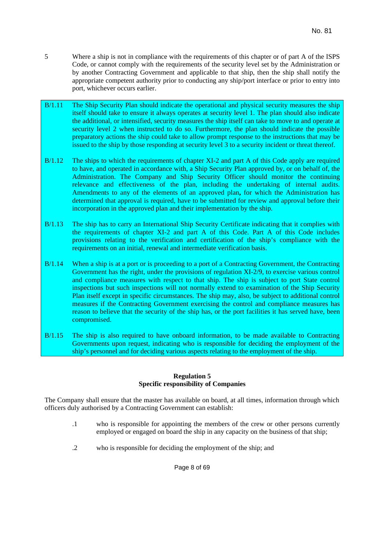- 5 Where a ship is not in compliance with the requirements of this chapter or of part A of the ISPS Code*,* or cannot comply with the requirements of the security level set by the Administration or by another Contracting Government and applicable to that ship, then the ship shall notify the appropriate competent authority prior to conducting any ship/port interface or prior to entry into port, whichever occurs earlier.
- B/1.11 The Ship Security Plan should indicate the operational and physical security measures the ship itself should take to ensure it always operates at security level 1. The plan should also indicate the additional, or intensified, security measures the ship itself can take to move to and operate at security level 2 when instructed to do so. Furthermore, the plan should indicate the possible preparatory actions the ship could take to allow prompt response to the instructions that may be issued to the ship by those responding at security level 3 to a security incident or threat thereof.
- B/1.12 The ships to which the requirements of chapter XI-2 and part A of this Code apply are required to have, and operated in accordance with, a Ship Security Plan approved by, or on behalf of, the Administration. The Company and Ship Security Officer should monitor the continuing relevance and effectiveness of the plan, including the undertaking of internal audits. Amendments to any of the elements of an approved plan**,** for which the Administration has determined that approval is required, have to be submitted for review and approval before their incorporation in the approved plan and their implementation by the ship.
- B/1.13 The ship has to carry an International Ship Security Certificate indicating that it complies with the requirements of chapter XI-2 and part A of this Code. Part A of this Code includes provisions relating to the verification and certification of the ship's compliance with the requirements on an initial, renewal and intermediate verification basis.
- B/1.14 When a ship is at a port or is proceeding to a port of a Contracting Government, the Contracting Government has the right, under the provisions of regulation XI-2/9, to exercise various control and compliance measures with respect to that ship. The ship is subject to port State control inspections but such inspections will not normally extend to examination of the Ship Security Plan itself except in specific circumstances. The ship may, also, be subject to additional control measures if the Contracting Government exercising the control and compliance measures has reason to believe that the security of the ship has, or the port facilities it has served have, been compromised.
- B/1.15 The ship is also required to have onboard information, to be made available to Contracting Governments upon request, indicating who is responsible for deciding the employment of the ship's personnel and for deciding various aspects relating to the employment of the ship.

# **Regulation 5 Specific responsibility of Companies**

The Company shall ensure that the master has available on board, at all times, information through which officers duly authorised by a Contracting Government can establish:

- .1 who is responsible for appointing the members of the crew or other persons currently employed or engaged on board the ship in any capacity on the business of that ship;
- .2 who is responsible for deciding the employment of the ship; and

Page 8 of 69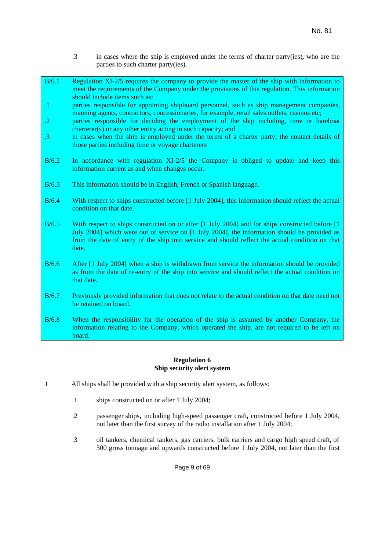- .3 in cases where the ship is employed under the terms of charter party(ies)*,* who are the parties to such charter party(ies).
- B/6.1 Regulation XI-2/5 requires the company to provide the master of the ship with information to meet the requirements of the Company under the provisions of this regulation. This information should include items such as:
- .1 parties responsible for appointing shipboard personnel, such as ship management companies, manning agents, contractors, concessionaries, for example, retail sales outlets, casinos etc;
- .2 parties responsible for deciding the employment of the ship including, time or bareboat charterer(s) or any other entity acting in such capacity; and
- .3 in cases when the ship is employed under the terms of a charter party, the contact details of those parties including time or voyage charterers
- B/6.2 In accordance with regulation XI-2/5 the Company is obliged to update and keep this information current as and when changes occur.
- B/6.3 This information should be in English, French or Spanish language.
- B/6.4 With respect to ships constructed before [1 July 2004], this information should reflect the actual condition on that date.
- B/6.5 With respect to ships constructed on or after [1 July 2004] and for ships constructed before [1 July 2004] which were out of service on [1 July 2004], the information should be provided as from the date of entry of the ship into service and should reflect the actual condition on that date.
- B/6.6 After [1 July 2004] when a ship is withdrawn from service the information should be provided as from the date of re-entry of the ship into service and should reflect the actual condition on that date.
- B/6.7 Previously provided information that does not relate to the actual condition on that date need not be retained on board.
- B/6.8 When the responsibility for the operation of the ship is assumed by another Company, the information relating to the Company, which operated the ship, are not required to be left on board.

## **Regulation 6 Ship security alert system**

- 1 All ships shall be provided with a ship security alert system, as follows:
	- .1 ships constructed on or after 1 July 2004;
	- .2 passenger ships*,* including high-speed passenger craft*,* constructed before 1 July 2004, not later than the first survey of the radio installation after 1 July 2004;
	- .3 oil tankers, chemical tankers, gas carriers, bulk carriers and cargo high speed craft*,* of 500 gross tonnage and upwards constructed before 1 July 2004, not later than the first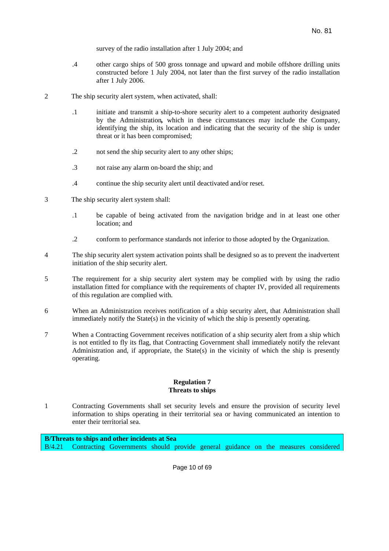survey of the radio installation after 1 July 2004; and

- .4 other cargo ships of 500 gross tonnage and upward and mobile offshore drilling units constructed before 1 July 2004, not later than the first survey of the radio installation after 1 July 2006.
- 2 The ship security alert system, when activated, shall:
	- .1 initiate and transmit a ship-to-shore security alert to a competent authority designated by the Administration*,* which in these circumstances may include the Company, identifying the ship, its location and indicating that the security of the ship is under threat or it has been compromised;
	- .2 not send the ship security alert to any other ships;
	- .3 not raise any alarm on-board the ship; and
	- .4 continue the ship security alert until deactivated and/or reset.
- 3 The ship security alert system shall:
	- .1 be capable of being activated from the navigation bridge and in at least one other location; and
	- .2 conform to performance standards not inferior to those adopted by the Organization.
- 4 The ship security alert system activation points shall be designed so as to prevent the inadvertent initiation of the ship security alert.
- 5 The requirement for a ship security alert system may be complied with by using the radio installation fitted for compliance with the requirements of chapter IV, provided all requirements of this regulation are complied with.
- 6 When an Administration receives notification of a ship security alert, that Administration shall immediately notify the State(s) in the vicinity of which the ship is presently operating.
- 7 When a Contracting Government receives notification of a ship security alert from a ship which is not entitled to fly its flag, that Contracting Government shall immediately notify the relevant Administration and, if appropriate, the State(s) in the vicinity of which the ship is presently operating.

## **Regulation 7 Threats to ships**

1 Contracting Governments shall set security levels and ensure the provision of security level information to ships operating in their territorial sea or having communicated an intention to enter their territorial sea.

**B/Threats to ships and other incidents at Sea** B/4.21 Contracting Governments should provide general guidance on the measures considered

Page 10 of 69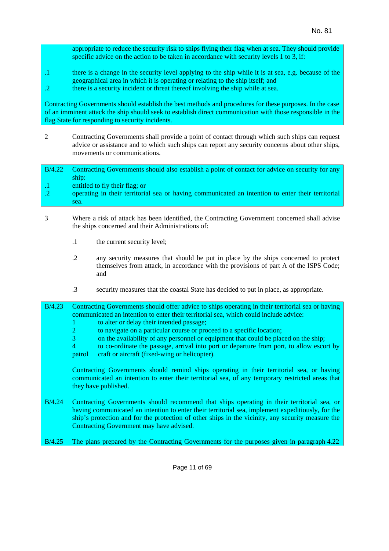appropriate to reduce the security risk to ships flying their flag when at sea. They should provide specific advice on the action to be taken in accordance with security levels 1 to 3, if:

- .1 there is a change in the security level applying to the ship while it is at sea, e.g. because of the geographical area in which it is operating or relating to the ship itself; and
- .2 there is a security incident or threat thereof involving the ship while at sea.

Contracting Governments should establish the best methods and procedures for these purposes. In the case of an imminent attack the ship should seek to establish direct communication with those responsible in the flag State for responding to security incidents.

2 Contracting Governments shall provide a point of contact through which such ships can request advice or assistance and to which such ships can report any security concerns about other ships, movements or communications.

B/4.22 Contracting Governments should also establish a point of contact for advice on security for any ship: .1 entitled to fly their flag; or .2 operating in their territorial sea or having communicated an intention to enter their territorial sea.

- 3 Where a risk of attack has been identified, the Contracting Government concerned shall advise the ships concerned and their Administrations of:
	- .1 the current security level;
	- .2 any security measures that should be put in place by the ships concerned to protect themselves from attack, in accordance with the provisions of part A of the ISPS Code; and
	- .3 security measures that the coastal State has decided to put in place, as appropriate.

B/4.23 Contracting Governments should offer advice to ships operating in their territorial sea or having communicated an intention to enter their territorial sea, which could include advice: 1 to alter or delay their intended passage;

- 2 to navigate on a particular course or proceed to a specific location;
- 3 on the availability of any personnel or equipment that could be placed on the ship;
- 4 to co-ordinate the passage, arrival into port or departure from port, to allow escort by patrol craft or aircraft (fixed-wing or helicopter).

Contracting Governments should remind ships operating in their territorial sea, or having communicated an intention to enter their territorial sea, of any temporary restricted areas that they have published.

B/4.24 Contracting Governments should recommend that ships operating in their territorial sea, or having communicated an intention to enter their territorial sea, implement expeditiously, for the ship's protection and for the protection of other ships in the vicinity, any security measure the Contracting Government may have advised.

B/4.25 The plans prepared by the Contracting Governments for the purposes given in paragraph 4.22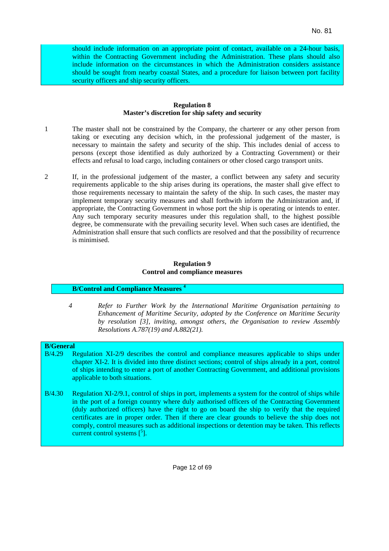should include information on an appropriate point of contact, available on a 24-hour basis, within the Contracting Government including the Administration. These plans should also include information on the circumstances in which the Administration considers assistance should be sought from nearby coastal States, and a procedure for liaison between port facility security officers and ship security officers.

#### **Regulation 8 Master's discretion for ship safety and security**

- 1 The master shall not be constrained by the Company, the charterer or any other person from taking or executing any decision which, in the professional judgement of the master, is necessary to maintain the safety and security of the ship. This includes denial of access to persons (except those identified as duly authorized by a Contracting Government) or their effects and refusal to load cargo, including containers or other closed cargo transport units.
- 2 If, in the professional judgement of the master, a conflict between any safety and security requirements applicable to the ship arises during its operations, the master shall give effect to those requirements necessary to maintain the safety of the ship. In such cases, the master may implement temporary security measures and shall forthwith inform the Administration and, if appropriate, the Contracting Government in whose port the ship is operating or intends to enter. Any such temporary security measures under this regulation shall, to the highest possible degree, be commensurate with the prevailing security level. When such cases are identified, the Administration shall ensure that such conflicts are resolved and that the possibility of recurrence is minimised.

# **Regulation 9 Control and compliance measures**

# **B/Control and Compliance Measures <sup>4</sup>**

*4 Refer to Further Work by the International Maritime Organisation pertaining to Enhancement of Maritime Security, adopted by the Conference on Maritime Security by resolution [3], inviting, amongst others, the Organisation to review Assembly Resolutions A.787(19) and A.882(21).*

# **B/General**

- B/4.29 Regulation XI-2/9 describes the control and compliance measures applicable to ships under chapter XI-2. It is divided into three distinct sections; control of ships already in a port, control of ships intending to enter a port of another Contracting Government, and additional provisions applicable to both situations.
- B/4.30 Regulation XI-2/9.1, control of ships in port, implements a system for the control of ships while in the port of a foreign country where duly authorised officers of the Contracting Government (duly authorized officers) have the right to go on board the ship to verify that the required certificates are in proper order. Then if there are clear grounds to believe the ship does not comply, control measures such as additional inspections or detention may be taken. This reflects current control systems  $[$ <sup>5</sup>].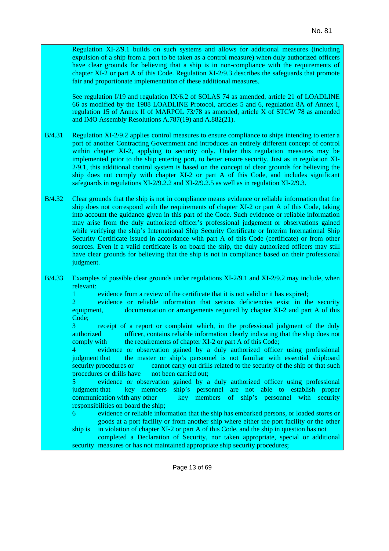Regulation XI-2/9.1 builds on such systems and allows for additional measures (including expulsion of a ship from a port to be taken as a control measure) when duly authorized officers have clear grounds for believing that a ship is in non-compliance with the requirements of chapter XI-2 or part A of this Code. Regulation XI-2/9.3 describes the safeguards that promote fair and proportionate implementation of these additional measures.

See regulation I/19 and regulation IX/6.2 of SOLAS 74 as amended, article 21 of LOADLINE 66 as modified by the 1988 LOADLINE Protocol, articles 5 and 6, regulation 8A of Annex I, regulation 15 of Annex II of MARPOL 73/78 as amended, article X of STCW 78 as amended and IMO Assembly Resolutions A.787(19) and A.882(21).

- B/4.31 Regulation XI-2/9.2 applies control measures to ensure compliance to ships intending to enter a port of another Contracting Government and introduces an entirely different concept of control within chapter XI-2, applying to security only. Under this regulation measures may be implemented prior to the ship entering port, to better ensure security. Just as in regulation XI-2/9.1, this additional control system is based on the concept of clear grounds for believing the ship does not comply with chapter XI-2 or part A of this Code, and includes significant safeguards in regulations XI-2/9.2.2 and XI-2/9.2.5 as well as in regulation XI-2/9.3.
- B/4.32 Clear grounds that the ship is not in compliance means evidence or reliable information that the ship does not correspond with the requirements of chapter XI-2 or part A of this Code, taking into account the guidance given in this part of the Code. Such evidence or reliable information may arise from the duly authorized officer's professional judgement or observations gained while verifying the ship's International Ship Security Certificate or Interim International Ship Security Certificate issued in accordance with part A of this Code (certificate) or from other sources. Even if a valid certificate is on board the ship, the duly authorized officers may still have clear grounds for believing that the ship is not in compliance based on their professional judgment.
- B/4.33 Examples of possible clear grounds under regulations XI-2/9.1 and XI-2/9.2 may include, when relevant:

1 evidence from a review of the certificate that it is not valid or it has expired;

2 evidence or reliable information that serious deficiencies exist in the security equipment, documentation or arrangements required by chapter XI-2 and part A of this Code;

3 receipt of a report or complaint which, in the professional judgment of the duly authorized officer, contains reliable information clearly indicating that the ship does not comply with the requirements of chapter XI-2 or part A of this Code;

4 evidence or observation gained by a duly authorized officer using professional judgment that the master or ship's personnel is not familiar with essential shipboard security procedures or cannot carry out drills related to the security of the ship or that such procedures or drills have not been carried out;

5 evidence or observation gained by a duly authorized officer using professional judgment that key members ship's personnel are not able to establish proper communication with any other key members of ship's personnel with security responsibilities on board the ship;

6 evidence or reliable information that the ship has embarked persons, or loaded stores or goods at a port facility or from another ship where either the port facility or the other ship is in violation of chapter XI-2 or part A of this Code, and the ship in question has not

completed a Declaration of Security, nor taken appropriate, special or additional security measures or has not maintained appropriate ship security procedures;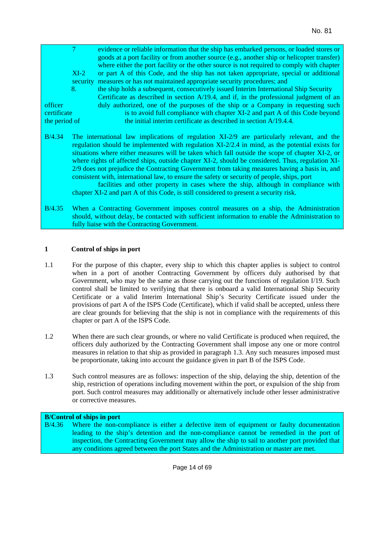|               | 7                                                                                                                                                                                                                                                                                                                                                                                                                                                                                                                                                                                                   | evidence or reliable information that the ship has embarked persons, or loaded stores or<br>goods at a port facility or from another source (e.g., another ship or helicopter transfer)<br>where either the port facility or the other source is not required to comply with chapter |
|---------------|-----------------------------------------------------------------------------------------------------------------------------------------------------------------------------------------------------------------------------------------------------------------------------------------------------------------------------------------------------------------------------------------------------------------------------------------------------------------------------------------------------------------------------------------------------------------------------------------------------|--------------------------------------------------------------------------------------------------------------------------------------------------------------------------------------------------------------------------------------------------------------------------------------|
|               | $XI-2$                                                                                                                                                                                                                                                                                                                                                                                                                                                                                                                                                                                              | or part A of this Code, and the ship has not taken appropriate, special or additional                                                                                                                                                                                                |
|               |                                                                                                                                                                                                                                                                                                                                                                                                                                                                                                                                                                                                     | security measures or has not maintained appropriate security procedures; and                                                                                                                                                                                                         |
|               | 8.                                                                                                                                                                                                                                                                                                                                                                                                                                                                                                                                                                                                  | the ship holds a subsequent, consecutively issued Interim International Ship Security                                                                                                                                                                                                |
|               |                                                                                                                                                                                                                                                                                                                                                                                                                                                                                                                                                                                                     | Certificate as described in section $A/19.4$ , and if, in the professional judgment of an                                                                                                                                                                                            |
| officer       |                                                                                                                                                                                                                                                                                                                                                                                                                                                                                                                                                                                                     | duly authorized, one of the purposes of the ship or a Company in requesting such                                                                                                                                                                                                     |
| certificate   |                                                                                                                                                                                                                                                                                                                                                                                                                                                                                                                                                                                                     | is to avoid full compliance with chapter XI-2 and part A of this Code beyond                                                                                                                                                                                                         |
| the period of |                                                                                                                                                                                                                                                                                                                                                                                                                                                                                                                                                                                                     | the initial interim certificate as described in section A/19.4.4.                                                                                                                                                                                                                    |
| B/4.34        | The international law implications of regulation XI-2/9 are particularly relevant, and the<br>regulation should be implemented with regulation XI-2/2.4 in mind, as the potential exists for<br>situations where either measures will be taken which fall outside the scope of chapter XI-2, or<br>where rights of affected ships, outside chapter XI-2, should be considered. Thus, regulation XI-<br>2/9 does not prejudice the Contracting Government from taking measures having a basis in, and<br>consistent with, international law, to ensure the safety or security of people, ships, port |                                                                                                                                                                                                                                                                                      |

facilities and other property in cases where the ship, although in compliance with chapter XI-2 and part A of this Code, is still considered to present a security risk.

B/4.35 When a Contracting Government imposes control measures on a ship, the Administration should, without delay, be contacted with sufficient information to enable the Administration to fully liaise with the Contracting Government.

# **1 Control of ships in port**

- 1.1 For the purpose of this chapter, every ship to which this chapter applies is subject to control when in a port of another Contracting Government by officers duly authorised by that Government, who may be the same as those carrying out the functions of regulation I/19. Such control shall be limited to verifying that there is onboard a valid International Ship Security Certificate or a valid Interim International Ship's Security Certificate issued under the provisions of part A of the ISPS Code (Certificate), which if valid shall be accepted, unless there are clear grounds for believing that the ship is not in compliance with the requirements of this chapter or part A of the ISPS Code.
- 1.2 When there are such clear grounds, or where no valid Certificate is produced when required, the officers duly authorized by the Contracting Government shall impose any one or more control measures in relation to that ship as provided in paragraph 1.3. Any such measures imposed must be proportionate, taking into account the guidance given in part B of the ISPS Code.
- 1.3 Such control measures are as follows: inspection of the ship, delaying the ship, detention of the ship, restriction of operations including movement within the port, or expulsion of the ship from port. Such control measures may additionally or alternatively include other lesser administrative or corrective measures.

#### **B/Control of ships in port**

B/4.36 Where the non-compliance is either a defective item of equipment or faulty documentation leading to the ship's detention and the non-compliance cannot be remedied in the port of inspection, the Contracting Government may allow the ship to sail to another port provided that any conditions agreed between the port States and the Administration or master are met.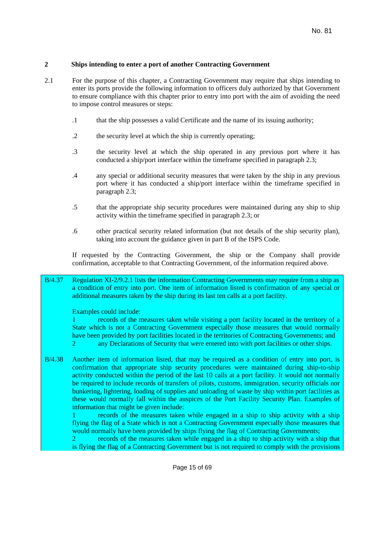# **2 Ships intending to enter a port of another Contracting Government**

- 2.1 For the purpose of this chapter, a Contracting Government may require that ships intending to enter its ports provide the following information to officers duly authorized by that Government to ensure compliance with this chapter prior to entry into port with the aim of avoiding the need to impose control measures or steps:
	- .1 that the ship possesses a valid Certificate and the name of its issuing authority;
	- .2 the security level at which the ship is currently operating;
	- .3 the security level at which the ship operated in any previous port where it has conducted a ship/port interface within the timeframe specified in paragraph 2.3;
	- .4 any special or additional security measures that were taken by the ship in any previous port where it has conducted a ship/port interface within the timeframe specified in paragraph 2.3;
	- .5 that the appropriate ship security procedures were maintained during any ship to ship activity within the timeframe specified in paragraph 2.3; or
	- .6 other practical security related information (but not details of the ship security plan), taking into account the guidance given in part B of the ISPS Code.

If requested by the Contracting Government, the ship or the Company shall provide confirmation, acceptable to that Contracting Government, of the information required above.

B/4.37 Regulation XI-2/9.2.1 lists the information Contracting Governments may require from a ship as a condition of entry into port. One item of information listed is confirmation of any special or additional measures taken by the ship during its last ten calls at a port facility.

Examples could include:

1 records of the measures taken while visiting a port facility located in the territory of a State which is not a Contracting Government especially those measures that would normally have been provided by port facilities located in the territories of Contracting Governments; and 2 any Declarations of Security that were entered into with port facilities or other ships.

B/4.38 Another item of information listed, that may be required as a condition of entry into port, is confirmation that appropriate ship security procedures were maintained during ship-to-ship activity conducted within the period of the last 10 calls at a port facility. It would not normally be required to include records of transfers of pilots, customs, immigration, security officials nor bunkering, lightering, loading of supplies and unloading of waste by ship within port facilities as these would normally fall within the auspices of the Port Facility Security Plan. Examples of information that might be given include:

1 records of the measures taken while engaged in a ship to ship activity with a ship flying the flag of a State which is not a Contracting Government especially those measures that would normally have been provided by ships flying the flag of Contracting Governments;

2 records of the measures taken while engaged in a ship to ship activity with a ship that is flying the flag of a Contracting Government but is not required to comply with the provisions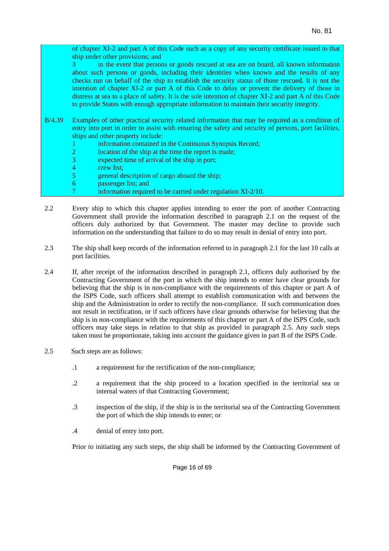of chapter XI-2 and part A of this Code such as a copy of any security certificate issued to that ship under other provisions; and

3 in the event that persons or goods rescued at sea are on board, all known information about such persons or goods, including their identities when known and the results of any checks run on behalf of the ship to establish the security status of those rescued. It is not the intention of chapter XI-2 or part A of this Code to delay or prevent the delivery of those in distress at sea to a place of safety. It is the sole intention of chapter XI-2 and part A of this Code to provide States with enough appropriate information to maintain their security integrity.

- B/4.39 Examples of other practical security related information that may be required as a condition of entry into port in order to assist with ensuring the safety and security of persons, port facilities, ships and other property include:
	- 1 information contained in the Continuous Synopsis Record;
	- 2 location of the ship at the time the report is made;
	- 3 expected time of arrival of the ship in port;
	- 4 crew list;
	- 5 general description of cargo aboard the ship;
	- 6 passenger list; and
	- 7 information required to be carried under regulation XI-2/10.
- 2.2 Every ship to which this chapter applies intending to enter the port of another Contracting Government shall provide the information described in paragraph 2.1 on the request of the officers duly authorized by that Government. The master may decline to provide such information on the understanding that failure to do so may result in denial of entry into port.
- 2.3 The ship shall keep records of the information referred to in paragraph 2.1 for the last 10 calls at port facilities.
- 2.4 If, after receipt of the information described in paragraph 2.1, officers duly authorised by the Contracting Government of the port in which the ship intends to enter have clear grounds for believing that the ship is in non-compliance with the requirements of this chapter or part A of the ISPS Code, such officers shall attempt to establish communication with and between the ship and the Administration in order to rectify the non-compliance. If such communication does not result in rectification, or if such officers have clear grounds otherwise for believing that the ship is in non-compliance with the requirements of this chapter or part A of the ISPS Code, such officers may take steps in relation to that ship as provided in paragraph 2.5. Any such steps taken must be proportionate, taking into account the guidance given in part B of the ISPS Code.
- 2.5 Such steps are as follows:
	- .1 a requirement for the rectification of the non-compliance;
	- .2 a requirement that the ship proceed to a location specified in the territorial sea or internal waters of that Contracting Government;
	- .3 inspection of the ship, if the ship is in the territorial sea of the Contracting Government the port of which the ship intends to enter; or
	- .4 denial of entry into port.

Prior to initiating any such steps, the ship shall be informed by the Contracting Government of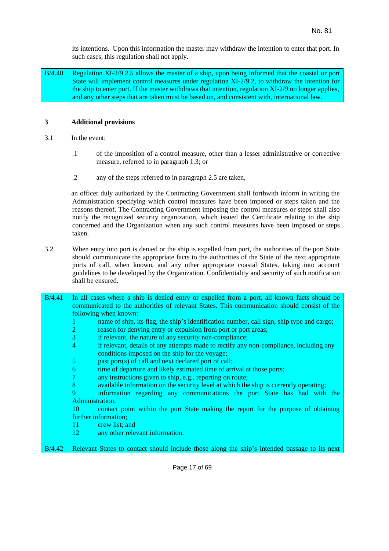its intentions. Upon this information the master may withdraw the intention to enter that port. In such cases, this regulation shall not apply.

B/4.40 Regulation XI-2/9.2.5 allows the master of a ship, upon being informed that the coastal or port State will implement control measures under regulation XI-2/9.2, to withdraw the intention for the ship to enter port. If the master withdraws that intention, regulation XI-2/9 no longer applies, and any other steps that are taken must be based on, and consistent with, international law.

# **3 Additional provisions**

- 3.1 In the event:
	- .1 of the imposition of a control measure, other than a lesser administrative or corrective measure, referred to in paragraph 1.3; or
	- .2 any of the steps referred to in paragraph 2.5 are taken,

an officer duly authorized by the Contracting Government shall forthwith inform in writing the Administration specifying which control measures have been imposed or steps taken and the reasons thereof. The Contracting Government imposing the control measures or steps shall also notify the recognized security organization, which issued the Certificate relating to the ship concerned and the Organization when any such control measures have been imposed or steps taken.

3.2 When entry into port is denied or the ship is expelled from port, the authorities of the port State should communicate the appropriate facts to the authorities of the State of the next appropriate ports of call, when known, and any other appropriate coastal States, taking into account guidelines to be developed by the Organization. Confidentiality and security of such notification shall be ensured.

B/4.41 In all cases where a ship is denied entry or expelled from a port, all known facts should be communicated to the authorities of relevant States. This communication should consist of the following when known: 1 name of ship, its flag, the ship's identification number, call sign, ship type and cargo; 2 reason for denying entry or expulsion from port or port areas; 3 if relevant, the nature of any security non-compliance; 4 if relevant, details of any attempts made to rectify any non-compliance, including any conditions imposed on the ship for the voyage; 5 past port(s) of call and next declared port of call; 6 time of departure and likely estimated time of arrival at those ports; 7 any instructions given to ship, e.g., reporting on route;<br>8 available information on the security level at which the available information on the security level at which the ship is currently operating; 9 information regarding any communications the port State has had with the Administration; 10 contact point within the port State making the report for the purpose of obtaining further information; 11 crew list; and 12 any other relevant information. B/4.42 Relevant States to contact should include those along the ship's intended passage to its next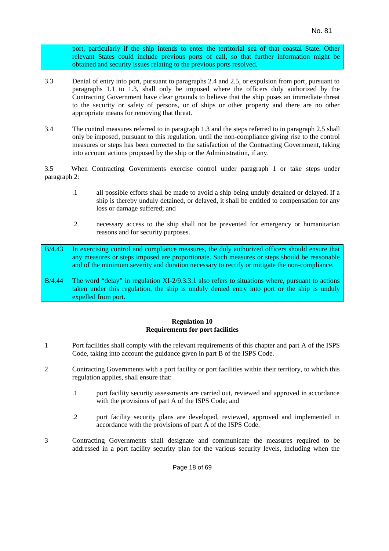port, particularly if the ship intends to enter the territorial sea of that coastal State. Other relevant States could include previous ports of call, so that further information might be obtained and security issues relating to the previous ports resolved.

- 3.3 Denial of entry into port, pursuant to paragraphs 2.4 and 2.5, or expulsion from port*,* pursuant to paragraphs 1.1 to 1.3, shall only be imposed where the officers duly authorized by the Contracting Government have clear grounds to believe that the ship poses an immediate threat to the security or safety of persons, or of ships or other property and there are no other appropriate means for removing that threat.
- 3.4 The control measures referred to in paragraph 1.3 and the steps referred to in paragraph 2.5 shall only be imposed*,* pursuant to this regulation, until the non-compliance giving rise to the control measures or steps has been corrected to the satisfaction of the Contracting Government, taking into account actions proposed by the ship or the Administration, if any.

3.5 When Contracting Governments exercise control under paragraph 1 or take steps under paragraph 2:

- .1 all possible efforts shall be made to avoid a ship being unduly detained or delayed. If a ship is thereby unduly detained, or delayed, it shall be entitled to compensation for any loss or damage suffered; and
- .2 necessary access to the ship shall not be prevented for emergency or humanitarian reasons and for security purposes.
- B/4.43 In exercising control and compliance measures, the duly authorized officers should ensure that any measures or steps imposed are proportionate. Such measures or steps should be reasonable and of the minimum severity and duration necessary to rectify or mitigate the non-compliance.
- B/4.44 The word "delay" in regulation XI-2/9.3.3.1 also refers to situations where, pursuant to actions taken under this regulation, the ship is unduly denied entry into port or the ship is unduly expelled from port.

# **Regulation 10 Requirements for port facilities**

- 1 Port facilities shall comply with the relevant requirements of this chapter and part A of the ISPS Code, taking into account the guidance given in part B of the ISPS Code.
- 2 Contracting Governments with a port facility or port facilities within their territory, to which this regulation applies, shall ensure that:
	- .1 port facility security assessments are carried out, reviewed and approved in accordance with the provisions of part A of the ISPS Code; and
	- .2 port facility security plans are developed, reviewed, approved and implemented in accordance with the provisions of part A of the ISPS Code.
- 3 Contracting Governments shall designate and communicate the measures required to be addressed in a port facility security plan for the various security levels, including when the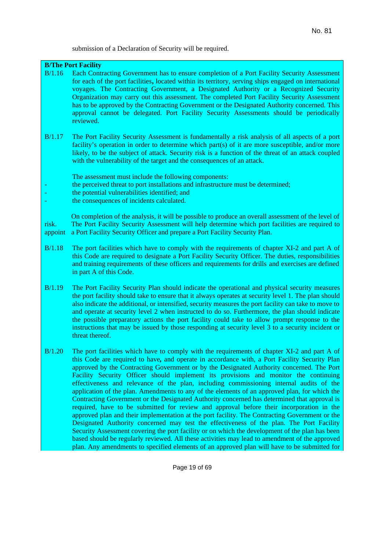submission of a Declaration of Security will be required.

| <b>B/The Port Facility</b> |                                                                                                                                                                                                                                                                                                                                                                                                                                                                                                                                                                                                                                                                                                                                                                                                                                                                                                                                                                                                                                                                                                                                                                                                                                                                               |  |  |
|----------------------------|-------------------------------------------------------------------------------------------------------------------------------------------------------------------------------------------------------------------------------------------------------------------------------------------------------------------------------------------------------------------------------------------------------------------------------------------------------------------------------------------------------------------------------------------------------------------------------------------------------------------------------------------------------------------------------------------------------------------------------------------------------------------------------------------------------------------------------------------------------------------------------------------------------------------------------------------------------------------------------------------------------------------------------------------------------------------------------------------------------------------------------------------------------------------------------------------------------------------------------------------------------------------------------|--|--|
| B/1.16                     | Each Contracting Government has to ensure completion of a Port Facility Security Assessment<br>for each of the port facilities, located within its territory, serving ships engaged on international<br>voyages. The Contracting Government, a Designated Authority or a Recognized Security<br>Organization may carry out this assessment. The completed Port Facility Security Assessment<br>has to be approved by the Contracting Government or the Designated Authority concerned. This<br>approval cannot be delegated. Port Facility Security Assessments should be periodically<br>reviewed.                                                                                                                                                                                                                                                                                                                                                                                                                                                                                                                                                                                                                                                                           |  |  |
| B/1.17                     | The Port Facility Security Assessment is fundamentally a risk analysis of all aspects of a port<br>facility's operation in order to determine which part(s) of it are more susceptible, and/or more<br>likely, to be the subject of attack. Security risk is a function of the threat of an attack coupled<br>with the vulnerability of the target and the consequences of an attack.                                                                                                                                                                                                                                                                                                                                                                                                                                                                                                                                                                                                                                                                                                                                                                                                                                                                                         |  |  |
|                            | The assessment must include the following components:<br>the perceived threat to port installations and infrastructure must be determined;<br>the potential vulnerabilities identified; and<br>the consequences of incidents calculated.                                                                                                                                                                                                                                                                                                                                                                                                                                                                                                                                                                                                                                                                                                                                                                                                                                                                                                                                                                                                                                      |  |  |
| risk.<br>appoint           | On completion of the analysis, it will be possible to produce an overall assessment of the level of<br>The Port Facility Security Assessment will help determine which port facilities are required to<br>a Port Facility Security Officer and prepare a Port Facility Security Plan.                                                                                                                                                                                                                                                                                                                                                                                                                                                                                                                                                                                                                                                                                                                                                                                                                                                                                                                                                                                         |  |  |
| B/1.18                     | The port facilities which have to comply with the requirements of chapter XI-2 and part A of<br>this Code are required to designate a Port Facility Security Officer. The duties, responsibilities<br>and training requirements of these officers and requirements for drills and exercises are defined<br>in part A of this Code.                                                                                                                                                                                                                                                                                                                                                                                                                                                                                                                                                                                                                                                                                                                                                                                                                                                                                                                                            |  |  |
| B/1.19                     | The Port Facility Security Plan should indicate the operational and physical security measures<br>the port facility should take to ensure that it always operates at security level 1. The plan should<br>also indicate the additional, or intensified, security measures the port facility can take to move to<br>and operate at security level 2 when instructed to do so. Furthermore, the plan should indicate<br>the possible preparatory actions the port facility could take to allow prompt response to the<br>instructions that may be issued by those responding at security level 3 to a security incident or<br>threat thereof.                                                                                                                                                                                                                                                                                                                                                                                                                                                                                                                                                                                                                                   |  |  |
| B/1.20                     | The port facilities which have to comply with the requirements of chapter XI-2 and part A of<br>this Code are required to have, and operate in accordance with, a Port Facility Security Plan<br>approved by the Contracting Government or by the Designated Authority concerned. The Port<br>Facility Security Officer should implement its provisions and monitor the continuing<br>effectiveness and relevance of the plan, including commissioning internal audits of the<br>application of the plan. Amendments to any of the elements of an approved plan, for which the<br>Contracting Government or the Designated Authority concerned has determined that approval is<br>required, have to be submitted for review and approval before their incorporation in the<br>approved plan and their implementation at the port facility. The Contracting Government or the<br>Designated Authority concerned may test the effectiveness of the plan. The Port Facility<br>Security Assessment covering the port facility or on which the development of the plan has been<br>based should be regularly reviewed. All these activities may lead to amendment of the approved<br>plan. Any amendments to specified elements of an approved plan will have to be submitted for |  |  |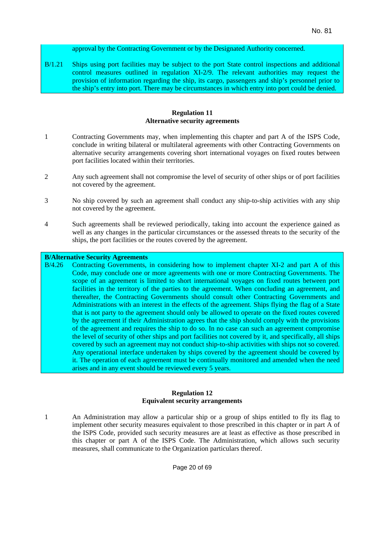approval by the Contracting Government or by the Designated Authority concerned.

B/1.21 Ships using port facilities may be subject to the port State control inspections and additional control measures outlined in regulation XI-2/9. The relevant authorities may request the provision of information regarding the ship, its cargo, passengers and ship's personnel prior to the ship's entry into port. There may be circumstances in which entry into port could be denied.

#### **Regulation 11 Alternative security agreements**

- 1 Contracting Governments may, when implementing this chapter and part A of the ISPS Code, conclude in writing bilateral or multilateral agreements with other Contracting Governments on alternative security arrangements covering short international voyages on fixed routes between port facilities located within their territories.
- 2 Any such agreement shall not compromise the level of security of other ships or of port facilities not covered by the agreement.
- 3 No ship covered by such an agreement shall conduct any ship-to-ship activities with any ship not covered by the agreement.
- 4 Such agreements shall be reviewed periodically, taking into account the experience gained as well as any changes in the particular circumstances or the assessed threats to the security of the ships, the port facilities or the routes covered by the agreement.

#### **B/Alternative Security Agreements**

B/4.26 Contracting Governments, in considering how to implement chapter XI-2 and part A of this Code, may conclude one or more agreements with one or more Contracting Governments. The scope of an agreement is limited to short international voyages on fixed routes between port facilities in the territory of the parties to the agreement. When concluding an agreement, and thereafter, the Contracting Governments should consult other Contracting Governments and Administrations with an interest in the effects of the agreement. Ships flying the flag of a State that is not party to the agreement should only be allowed to operate on the fixed routes covered by the agreement if their Administration agrees that the ship should comply with the provisions of the agreement and requires the ship to do so. In no case can such an agreement compromise the level of security of other ships and port facilities not covered by it, and specifically, all ships covered by such an agreement may not conduct ship-to-ship activities with ships not so covered. Any operational interface undertaken by ships covered by the agreement should be covered by it. The operation of each agreement must be continually monitored and amended when the need arises and in any event should be reviewed every 5 years.

#### **Regulation 12 Equivalent security arrangements**

1 An Administration may allow a particular ship or a group of ships entitled to fly its flag to implement other security measures equivalent to those prescribed in this chapter or in part A of the ISPS Code, provided such security measures are at least as effective as those prescribed in this chapter or part A of the ISPS Code. The Administration, which allows such security measures, shall communicate to the Organization particulars thereof.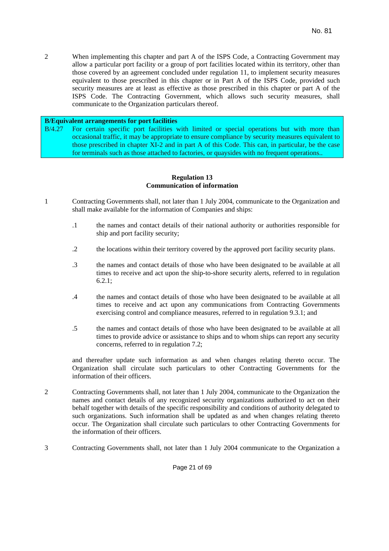2 When implementing this chapter and part A of the ISPS Code, a Contracting Government may allow a particular port facility or a group of port facilities located within its territory, other than those covered by an agreement concluded under regulation 11, to implement security measures equivalent to those prescribed in this chapter or in Part A of the ISPS Code, provided such security measures are at least as effective as those prescribed in this chapter or part A of the ISPS Code. The Contracting Government, which allows such security measures, shall communicate to the Organization particulars thereof.

## **B/Equivalent arrangements for port facilities**

B/4.27 For certain specific port facilities with limited or special operations but with more than occasional traffic, it may be appropriate to ensure compliance by security measures equivalent to those prescribed in chapter XI-2 and in part A of this Code. This can, in particular, be the case for terminals such as those attached to factories, or quaysides with no frequent operations..

#### **Regulation 13 Communication of information**

- 1 Contracting Governments shall, not later than 1 July 2004, communicate to the Organization and shall make available for the information of Companies and ships:
	- .1 the names and contact details of their national authority or authorities responsible for ship and port facility security;
	- .2 the locations within their territory covered by the approved port facility security plans.
	- .3 the names and contact details of those who have been designated to be available at all times to receive and act upon the ship-to-shore security alerts, referred to in regulation 6.2.1;
	- .4 the names and contact details of those who have been designated to be available at all times to receive and act upon any communications from Contracting Governments exercising control and compliance measures, referred to in regulation 9.3.1; and
	- .5 the names and contact details of those who have been designated to be available at all times to provide advice or assistance to ships and to whom ships can report any security concerns, referred to in regulation 7.2;

and thereafter update such information as and when changes relating thereto occur. The Organization shall circulate such particulars to other Contracting Governments for the information of their officers.

- 2 Contracting Governments shall, not later than 1 July 2004, communicate to the Organization the names and contact details of any recognized security organizations authorized to act on their behalf together with details of the specific responsibility and conditions of authority delegated to such organizations. Such information shall be updated as and when changes relating thereto occur. The Organization shall circulate such particulars to other Contracting Governments for the information of their officers.
- 3 Contracting Governments shall, not later than 1 July 2004 communicate to the Organization a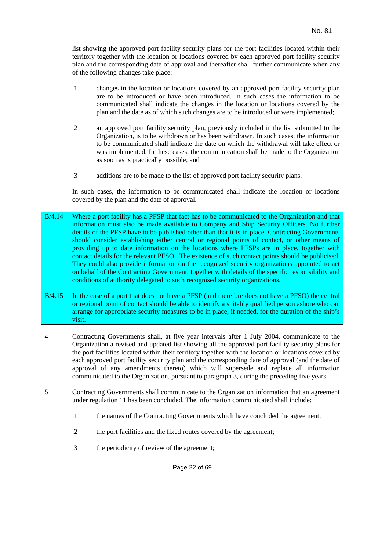list showing the approved port facility security plans for the port facilities located within their territory together with the location or locations covered by each approved port facility security plan and the corresponding date of approval and thereafter shall further communicate when any of the following changes take place:

- .1 changes in the location or locations covered by an approved port facility security plan are to be introduced or have been introduced. In such cases the information to be communicated shall indicate the changes in the location or locations covered by the plan and the date as of which such changes are to be introduced or were implemented;
- .2 an approved port facility security plan, previously included in the list submitted to the Organization, is to be withdrawn or has been withdrawn. In such cases, the information to be communicated shall indicate the date on which the withdrawal will take effect or was implemented. In these cases, the communication shall be made to the Organization as soon as is practically possible; and
- .3 additions are to be made to the list of approved port facility security plans.

In such cases, the information to be communicated shall indicate the location or locations covered by the plan and the date of approval.

- B/4.14 Where a port facility has a PFSP that fact has to be communicated to the Organization and that information must also be made available to Company and Ship Security Officers. No further details of the PFSP have to be published other than that it is in place. Contracting Governments should consider establishing either central or regional points of contact, or other means of providing up to date information on the locations where PFSPs are in place, together with contact details for the relevant PFSO. The existence of such contact points should be publicised. They could also provide information on the recognized security organizations appointed to act on behalf of the Contracting Government, together with details of the specific responsibility and conditions of authority delegated to such recognised security organizations.
- B/4.15 In the case of a port that does not have a PFSP (and therefore does not have a PFSO) the central or regional point of contact should be able to identify a suitably qualified person ashore who can arrange for appropriate security measures to be in place, if needed, for the duration of the ship's visit.
- 4 Contracting Governments shall, at five year intervals after 1 July 2004, communicate to the Organization a revised and updated list showing all the approved port facility security plans for the port facilities located within their territory together with the location or locations covered by each approved port facility security plan and the corresponding date of approval (and the date of approval of any amendments thereto) which will supersede and replace all information communicated to the Organization, pursuant to paragraph 3, during the preceding five years.
- 5 Contracting Governments shall communicate to the Organization information that an agreement under regulation 11 has been concluded. The information communicated shall include:
	- .1 the names of the Contracting Governments which have concluded the agreement;
	- .2 the port facilities and the fixed routes covered by the agreement;
	- .3 the periodicity of review of the agreement;

Page 22 of 69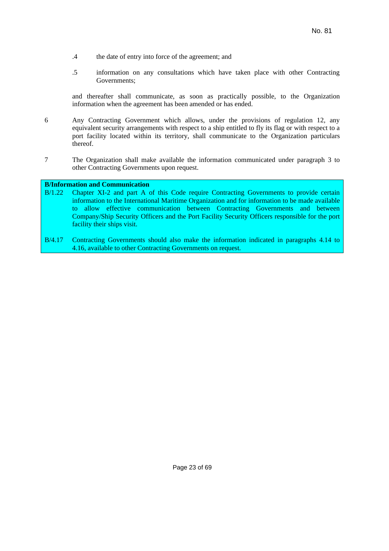- .4 the date of entry into force of the agreement; and
- .5 information on any consultations which have taken place with other Contracting Governments;

and thereafter shall communicate, as soon as practically possible, to the Organization information when the agreement has been amended or has ended.

- 6 Any Contracting Government which allows, under the provisions of regulation 12, any equivalent security arrangements with respect to a ship entitled to fly its flag or with respect to a port facility located within its territory, shall communicate to the Organization particulars thereof.
- 7 The Organization shall make available the information communicated under paragraph 3 to other Contracting Governments upon request.

# **B/Information and Communication**

- B/1.22 Chapter XI-2 and part A of this Code require Contracting Governments to provide certain information to the International Maritime Organization and for information to be made available to allow effective communication between Contracting Governments and between Company/Ship Security Officers and the Port Facility Security Officers responsible for the port facility their ships visit.
- B/4.17 Contracting Governments should also make the information indicated in paragraphs 4.14 to 4.16, available to other Contracting Governments on request.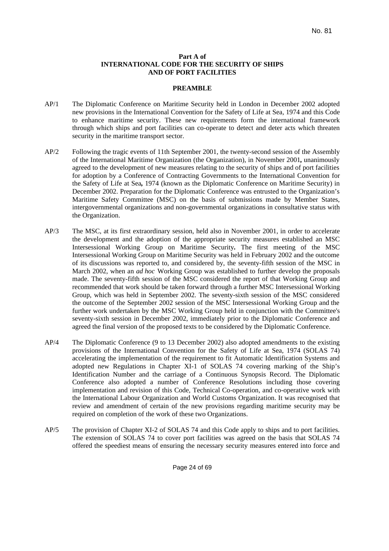#### **Part A of INTERNATIONAL CODE FOR THE SECURITY OF SHIPS AND OF PORT FACILITIES**

## **PREAMBLE**

- AP/1 The Diplomatic Conference on Maritime Security held in London in December 2002 adopted new provisions in the International Convention for the Safety of Life at Sea, 1974 and this Code to enhance maritime security. These new requirements form the international framework through which ships and port facilities can co-operate to detect and deter acts which threaten security in the maritime transport sector.
- AP/2 Following the tragic events of 11th September 2001, the twenty-second session of the Assembly of the International Maritime Organization (the Organization), in November 2001*,* unanimously agreed to the development of new measures relating to the security of ships and of port facilities for adoption by a Conference of Contracting Governments to the International Convention for the Safety of Life at Sea*,* 1974 (known as the Diplomatic Conference on Maritime Security) in December 2002. Preparation for the Diplomatic Conference was entrusted to the Organization's Maritime Safety Committee (MSC) on the basis of submissions made by Member States, intergovernmental organizations and non-governmental organizations in consultative status with the Organization.
- AP/3 The MSC, at its first extraordinary session, held also in November 2001, in order to accelerate the development and the adoption of the appropriate security measures established an MSC Intersessional Working Group on Maritime Security*.* The first meeting of the MSC Intersessional Working Group on Maritime Security was held in February 2002 and the outcome of its discussions was reported to, and considered by, the seventy-fifth session of the MSC in March 2002, when an *ad hoc* Working Group was established to further develop the proposals made. The seventy-fifth session of the MSC considered the report of that Working Group and recommended that work should be taken forward through a further MSC Intersessional Working Group, which was held in September 2002. The seventy-sixth session of the MSC considered the outcome of the September 2002 session of the MSC Intersessional Working Group and the further work undertaken by the MSC Working Group held in conjunction with the Committee's seventy-sixth session in December 2002, immediately prior to the Diplomatic Conference and agreed the final version of the proposed texts to be considered by the Diplomatic Conference.
- AP/4 The Diplomatic Conference (9 to 13 December 2002) also adopted amendments to the existing provisions of the International Convention for the Safety of Life at Sea, 1974 (SOLAS 74) accelerating the implementation of the requirement to fit Automatic Identification Systems and adopted new Regulations in Chapter XI-1 of SOLAS 74 covering marking of the Ship's Identification Number and the carriage of a Continuous Synopsis Record. The Diplomatic Conference also adopted a number of Conference Resolutions including those covering implementation and revision of this Code, Technical Co-operation, and co-operative work with the International Labour Organization and World Customs Organization. It was recognised that review and amendment of certain of the new provisions regarding maritime security may be required on completion of the work of these two Organizations.
- AP/5 The provision of Chapter XI-2 of SOLAS 74 and this Code apply to ships and to port facilities. The extension of SOLAS 74 to cover port facilities was agreed on the basis that SOLAS 74 offered the speediest means of ensuring the necessary security measures entered into force and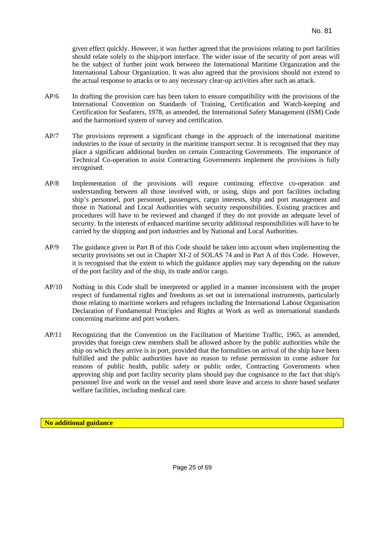given effect quickly. However, it was further agreed that the provisions relating to port facilities should relate solely to the ship/port interface. The wider issue of the security of port areas will be the subject of further joint work between the International Maritime Organization and the International Labour Organization. It was also agreed that the provisions should not extend to the actual response to attacks or to any necessary clear-up activities after such an attack.

- AP/6 In drafting the provision care has been taken to ensure compatibility with the provisions of the International Convention on Standards of Training, Certification and Watch-keeping and Certification for Seafarers, 1978, as amended, the International Safety Management (ISM) Code and the harmonised system of survey and certification.
- AP/7 The provisions represent a significant change in the approach of the international maritime industries to the issue of security in the maritime transport sector. It is recognised that they may place a significant additional burden on certain Contracting Governments. The importance of Technical Co-operation to assist Contracting Governments implement the provisions is fully recognised.
- AP/8 Implementation of the provisions will require continuing effective co-operation and understanding between all those involved with, or using, ships and port facilities including ship's personnel, port personnel, passengers, cargo interests, ship and port management and those in National and Local Authorities with security responsibilities. Existing practices and procedures will have to be reviewed and changed if they do not provide an adequate level of security. In the interests of enhanced maritime security additional responsibilities will have to be carried by the shipping and port industries and by National and Local Authorities.
- AP/9 The guidance given in Part B of this Code should be taken into account when implementing the security provisions set out in Chapter XI-2 of SOLAS 74 and in Part A of this Code. However, it is recognised that the extent to which the guidance applies may vary depending on the nature of the port facility and of the ship, its trade and/or cargo.
- AP/10 Nothing in this Code shall be interpreted or applied in a manner inconsistent with the proper respect of fundamental rights and freedoms as set out in international instruments, particularly those relating to maritime workers and refugees including the International Labour Organisation Declaration of Fundamental Principles and Rights at Work as well as international standards concerning maritime and port workers.
- AP/11 Recognizing that the Convention on the Facilitation of Maritime Traffic, 1965, as amended, provides that foreign crew members shall be allowed ashore by the public authorities while the ship on which they arrive is in port, provided that the formalities on arrival of the ship have been fulfilled and the public authorities have no reason to refuse permission to come ashore for reasons of public health, public safety or public order, Contracting Governments when approving ship and port facility security plans should pay due cognisance to the fact that ship's personnel live and work on the vessel and need shore leave and access to shore based seafarer welfare facilities, including medical care.

**No additional guidance**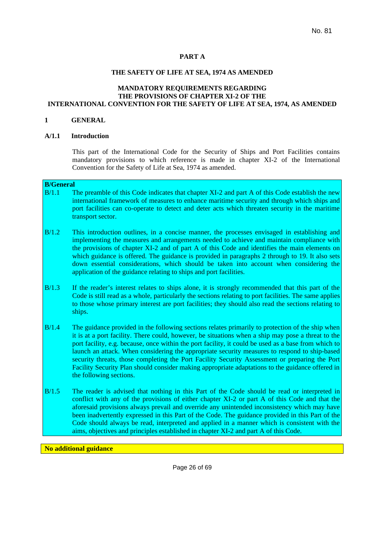# **PART A**

#### **THE SAFETY OF LIFE AT SEA, 1974 AS AMENDED**

# **MANDATORY REQUIREMENTS REGARDING THE PROVISIONS OF CHAPTER XI-2 OF THE INTERNATIONAL CONVENTION FOR THE SAFETY OF LIFE AT SEA, 1974, AS AMENDED**

#### **1 GENERAL**

#### **A/1.1 Introduction**

This part of the International Code for the Security of Ships and Port Facilities contains mandatory provisions to which reference is made in chapter XI-2 of the International Convention for the Safety of Life at Sea, 1974 as amended.

#### **B/General**

- B/1.1 The preamble of this Code indicates that chapter XI-2 and part A of this Code establish the new international framework of measures to enhance maritime security and through which ships and port facilities can co-operate to detect and deter acts which threaten security in the maritime transport sector.
- B/1.2 This introduction outlines, in a concise manner, the processes envisaged in establishing and implementing the measures and arrangements needed to achieve and maintain compliance with the provisions of chapter XI-2 and of part A of this Code and identifies the main elements on which guidance is offered. The guidance is provided in paragraphs 2 through to 19. It also sets down essential considerations, which should be taken into account when considering the application of the guidance relating to ships and port facilities.
- B/1.3 If the reader's interest relates to ships alone, it is strongly recommended that this part of the Code is still read as a whole, particularly the sections relating to port facilities. The same applies to those whose primary interest are port facilities; they should also read the sections relating to ships.
- B/1.4 The guidance provided in the following sections relates primarily to protection of the ship when it is at a port facility. There could, however, be situations when a ship may pose a threat to the port facility, e.g. because, once within the port facility, it could be used as a base from which to launch an attack. When considering the appropriate security measures to respond to ship-based security threats, those completing the Port Facility Security Assessment or preparing the Port Facility Security Plan should consider making appropriate adaptations to the guidance offered in the following sections.
- B/1.5 The reader is advised that nothing in this Part of the Code should be read or interpreted in conflict with any of the provisions of either chapter XI-2 or part A of this Code and that the aforesaid provisions always prevail and override any unintended inconsistency which may have been inadvertently expressed in this Part of the Code. The guidance provided in this Part of the Code should always be read, interpreted and applied in a manner which is consistent with the aims, objectives and principles established in chapter XI-2 and part A of this Code.

**No additional guidance**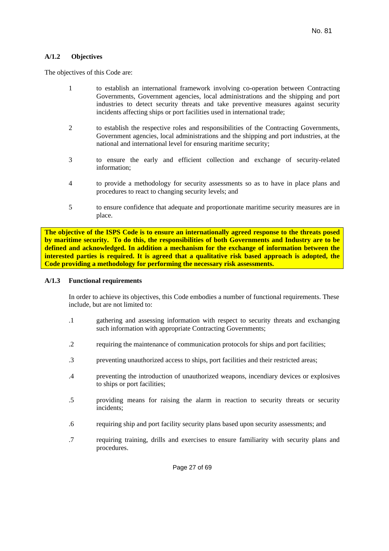# **A/1.2 Objectives**

The objectives of this Code are:

- 1 to establish an international framework involving co-operation between Contracting Governments, Government agencies, local administrations and the shipping and port industries to detect security threats and take preventive measures against security incidents affecting ships or port facilities used in international trade;
- 2 to establish the respective roles and responsibilities of the Contracting Governments, Government agencies, local administrations and the shipping and port industries, at the national and international level for ensuring maritime security;
- 3 to ensure the early and efficient collection and exchange of security-related information;
- 4 to provide a methodology for security assessments so as to have in place plans and procedures to react to changing security levels; and
- 5 to ensure confidence that adequate and proportionate maritime security measures are in place.

**The objective of the ISPS Code is to ensure an internationally agreed response to the threats posed by maritime security. To do this, the responsibilities of both Governments and Industry are to be defined and acknowledged. In addition a mechanism for the exchange of information between the interested parties is required. It is agreed that a qualitative risk based approach is adopted, the Code providing a methodology for performing the necessary risk assessments.**

#### **A/1.3 Functional requirements**

In order to achieve its objectives, this Code embodies a number of functional requirements. These include, but are not limited to:

- .1 gathering and assessing information with respect to security threats and exchanging such information with appropriate Contracting Governments;
- .2 requiring the maintenance of communication protocols for ships and port facilities;
- .3 preventing unauthorized access to ships, port facilities and their restricted areas;
- .4 preventing the introduction of unauthorized weapons, incendiary devices or explosives to ships or port facilities;
- .5 providing means for raising the alarm in reaction to security threats or security incidents;
- .6 requiring ship and port facility security plans based upon security assessments; and
- .7 requiring training, drills and exercises to ensure familiarity with security plans and procedures.

Page 27 of 69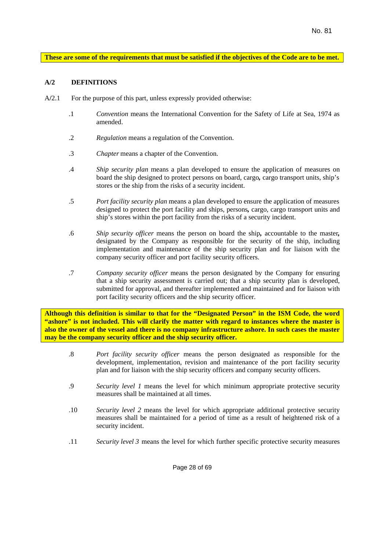#### **These are some of the requirements that must be satisfied if the objectives of the Code are to be met.**

# **A/2 DEFINITIONS**

- A/2.1 For the purpose of this part, unless expressly provided otherwise:
	- .1 *Convention* means the International Convention for the Safety of Life at Sea, 1974 as amended.
	- .2 *Regulation* means a regulation of the Convention.
	- .3 *Chapter* means a chapter of the Convention.
	- .4 *Ship security plan* means a plan developed to ensure the application of measures on board the ship designed to protect persons on board, cargo*,* cargo transport units, ship's stores or the ship from the risks of a security incident.
	- .5 *Port facility security plan* means a plan developed to ensure the application of measures designed to protect the port facility and ships, persons*,* cargo, cargo transport units and ship's stores within the port facility from the risks of a security incident.
	- .6 *Ship security officer* means the person on board the ship*,* accountable to the master*,* designated by the Company as responsible for the security of the ship, including implementation and maintenance of the ship security plan and for liaison with the company security officer and port facility security officers.
	- .7 *Company security officer* means the person designated by the Company for ensuring that a ship security assessment is carried out; that a ship security plan is developed, submitted for approval, and thereafter implemented and maintained and for liaison with port facility security officers and the ship security officer.

**Although this definition is similar to that for the "Designated Person" in the ISM Code, the word "ashore" is not included. This will clarify the matter with regard to instances where the master is also the owner of the vessel and there is no company infrastructure ashore. In such cases the master may be the company security officer and the ship security officer.**

- .8 *Port facility security officer* means the person designated as responsible for the development, implementation, revision and maintenance of the port facility security plan and for liaison with the ship security officers and company security officers.
- .9 *Security level 1* means the level for which minimum appropriate protective security measures shall be maintained at all times.
- .10 *Security level 2* means the level for which appropriate additional protective security measures shall be maintained for a period of time as a result of heightened risk of a security incident.
- .11 *Security level 3* means the level for which further specific protective security measures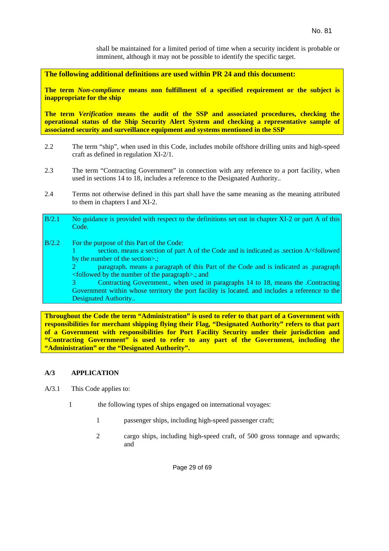shall be maintained for a limited period of time when a security incident is probable or imminent, although it may not be possible to identify the specific target.

**The following additional definitions are used within PR 24 and this document:**

**The term** *Non-compliance* **means non fulfillment of a specified requirement or the subject is inappropriate for the ship**

**The term** *Verification* **means the audit of the SSP and associated procedures, checking the operational status of the Ship Security Alert System and checking a representative sample of associated security and surveillance equipment and systems mentioned in the SSP**

- 2.2 The term "ship", when used in this Code, includes mobile offshore drilling units and high-speed craft as defined in regulation XI-2/1.
- 2.3 The term "Contracting Government" in connection with any reference to a port facility, when used in sections 14 to 18, includes a reference to the Designated Authority.*.*
- 2.4 Terms not otherwise defined in this part shall have the same meaning as the meaning attributed to them in chapters I and XI-2.
- B/2.1 No guidance is provided with respect to the definitions set out in chapter XI-2 or part A of this Code.

B/2.2 For the purpose of this Part of the Code:

1 section. means a section of part A of the Code and is indicated as .section A/<followed by the number of the section $\geq$ .;

2 paragraph. means a paragraph of this Part of the Code and is indicated as .paragraph <followed by the number of the paragraph>.; and

3 Contracting Government., when used in paragraphs 14 to 18, means the .Contracting Government within whose territory the port facility is located. and includes a reference to the Designated Authority..

**Throughout the Code the term "Administration" is used to refer to that part of a Government with responsibilities for merchant shipping flying their Flag, "Designated Authority" refers to that part of a Government with responsibilities for Port Facility Security under their jurisdiction and "Contracting Government" is used to refer to any part of the Government, including the "Administration" or the "Designated Authority".**

# **A/3 APPLICATION**

- A**/**3.1 This Code applies to:
	- 1 the following types of ships engaged on international voyages:
		- 1 passenger ships, including high-speed passenger craft;
		- 2 cargo ships, including high-speed craft*,* of 500 gross tonnage and upwards; and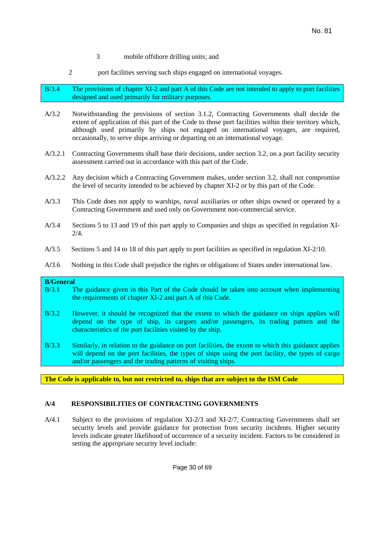- 3 mobile offshore drilling units; and
- 2 port facilities serving such ships engaged on international voyages.

B/3.4 The provisions of chapter XI-2 and part A of this Code are not intended to apply to port facilities designed and used primarily for military purposes.

- A**/**3.2 Notwithstanding the provisions of section 3.1.2, Contracting Governments shall decide the extent of application of this part of the Code to those port facilities within their territory which, although used primarily by ships not engaged on international voyages, are required, occasionally, to serve ships arriving or departing on an international voyage.
- A**/**3.2.1 Contracting Governments shall base their decisions, under section 3.2, on a port facility security assessment carried out in accordance with this part of the Code.
- A**/**3.2.2 Any decision which a Contracting Government makes, under section 3.2, shall not compromise the level of security intended to be achieved by chapter XI-2 or by this part of the Code*.*
- A**/**3.3 This Code does not apply to warships, naval auxiliaries or other ships owned or operated by a Contracting Government and used only on Government non-commercial service.
- A**/**3.4 Sections 5 to 13 and 19 of this part apply to Companies and ships as specified in regulation XI-2/4.
- A**/**3.5 Sections 5 and 14 to 18 of this part apply to port facilities as specified in regulation XI-2/10.
- A/3.6 Nothing in this Code shall prejudice the rights or obligations of States under international law.

#### **B/General**

- B/3.1 The guidance given in this Part of the Code should be taken into account when implementing the requirements of chapter XI-2 and part A of this Code.
- B/3.2 However, it should be recognized that the extent to which the guidance on ships applies will depend on the type of ship, its cargoes and/or passengers, its trading pattern and the characteristics of the port facilities visited by the ship.
- B/3.3 Similarly, in relation to the guidance on port facilities, the extent to which this guidance applies will depend on the port facilities, the types of ships using the port facility, the types of cargo and/or passengers and the trading patterns of visiting ships.

**The Code is applicable to, but not restricted to, ships that are subject to the ISM Code**

# **A/4 RESPONSIBILITIES OF CONTRACTING GOVERNMENTS**

A**/**4.1 Subject to the provisions of regulation XI-2/3 and XI-2/7, Contracting Governments shall set security levels and provide guidance for protection from security incidents. Higher security levels indicate greater likelihood of occurrence of a security incident. Factors to be considered in setting the appropriate security level include:

Page 30 of 69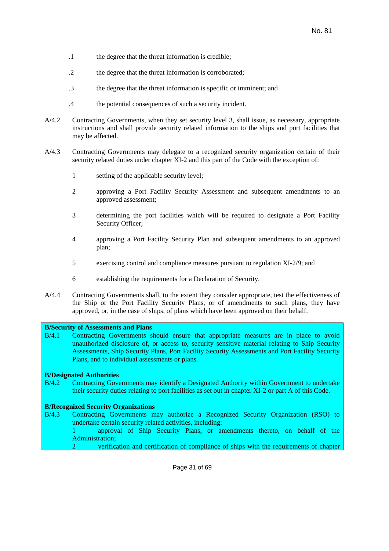- .1 the degree that the threat information is credible;
- .2 the degree that the threat information is corroborated;
- .3 the degree that the threat information is specific or imminent; and
- .4 the potential consequences of such a security incident.
- A**/**4.2 Contracting Governments, when they set security level 3, shall issue, as necessary, appropriate instructions and shall provide security related information to the ships and port facilities that may be affected.
- A**/**4.3 Contracting Governments may delegate to a recognized security organization certain of their security related duties under chapter XI-2 and this part of the Code with the exception of:
	- 1 setting of the applicable security level;
	- 2 approving a Port Facility Security Assessment and subsequent amendments to an approved assessment;
	- 3 determining the port facilities which will be required to designate a Port Facility Security Officer;
	- 4 approving a Port Facility Security Plan and subsequent amendments to an approved plan;
	- 5 exercising control and compliance measures pursuant to regulation XI-2/9; and
	- 6 establishing the requirements for a Declaration of Security.
- A**/**4.4 Contracting Governments shall, to the extent they consider appropriate, test the effectiveness of the Ship or the Port Facility Security Plans, or of amendments to such plans, they have approved, or, in the case of ships, of plans which have been approved on their behalf.

# **B/Security of Assessments and Plans**

B/4.1 Contracting Governments should ensure that appropriate measures are in place to avoid unauthorized disclosure of, or access to, security sensitive material relating to Ship Security Assessments, Ship Security Plans, Port Facility Security Assessments and Port Facility Security Plans, and to individual assessments or plans.

# **B/Designated Authorities**

B/4.2 Contracting Governments may identify a Designated Authority within Government to undertake their security duties relating to port facilities as set out in chapter XI-2 or part A of this Code.

# **B/Recognized Security Organizations**

- B/4.3 Contracting Governments may authorize a Recognized Security Organization (RSO) to undertake certain security related activities, including:
	- 1 approval of Ship Security Plans, or amendments thereto, on behalf of the Administration;
	- 2 verification and certification of compliance of ships with the requirements of chapter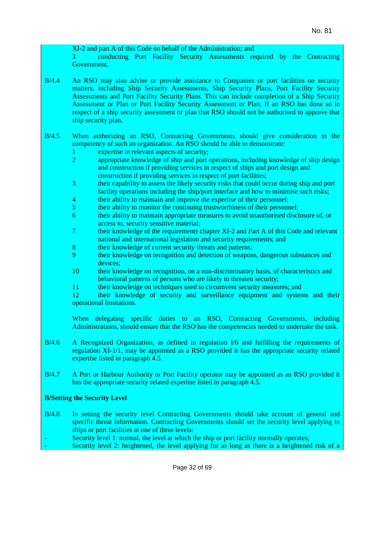XI-2 and part A of this Code on behalf of the Administration; and 3 conducting Port Facility Security Assessments required by the Contracting Government.

- B/4.4 An RSO may also advise or provide assistance to Companies or port facilities on security matters, including Ship Security Assessments, Ship Security Plans, Port Facility Security Assessments and Port Facility Security Plans. This can include completion of a Ship Security Assessment or Plan or Port Facility Security Assessment or Plan. If an RSO has done so in respect of a ship security assessment or plan that RSO should not be authorised to approve that ship security plan.
- B/4.5 When authorizing an RSO, Contracting Governments should give consideration to the competency of such an organization. An RSO should be able to demonstrate:
	- 1 expertise in relevant aspects of security;
	- 2 appropriate knowledge of ship and port operations, including knowledge of ship design and construction if providing services in respect of ships and port design and construction if providing services in respect of port facilities;
	- 3 their capability to assess the likely security risks that could occur during ship and port facility operations including the ship/port interface and how to minimise such risks;
	- 4 their ability to maintain and improve the expertise of their personnel;
	- 5 their ability to monitor the continuing trustworthiness of their personnel;
	- 6 their ability to maintain appropriate measures to avoid unauthorised disclosure of, or access to, security sensitive material;
	- 7 their knowledge of the requirements chapter XI-2 and Part A of this Code and relevant national and international legislation and security requirements; and
	- 8 their knowledge of current security threats and patterns;
	- 9 their knowledge on recognition and detection of weapons, dangerous substances and devices;
	- 10 their knowledge on recognition, on a non-discriminatory basis, of characteristics and behavioral patterns of persons who are likely to threaten security;
	- 11 their knowledge on techniques used to circumvent security measures; and

12 their knowledge of security and surveillance equipment and systems and their operational limitations.

When delegating specific duties to an RSO, Contracting Governments, including Administrations, should ensure that the RSO has the competencies needed to undertake the task.

- B/4.6 A Recognized Organization, as defined in regulation I/6 and fulfilling the requirements of regulation XI-1/1, may be appointed as a RSO provided it has the appropriate security related expertise listed in paragraph 4.5.
- B/4.7 A Port or Harbour Authority or Port Facility operator may be appointed as an RSO provided it has the appropriate security related expertise listed in paragraph 4.5.

# **B/Setting the Security Level**

- B/4.8 In setting the security level Contracting Governments should take account of general and specific threat information. Contracting Governments should set the security level applying to ships or port facilities at one of three levels:
	- Security level 1: normal, the level at which the ship or port facility normally operates;
	- Security level 2: heightened, the level applying for as long as there is a heightened risk of a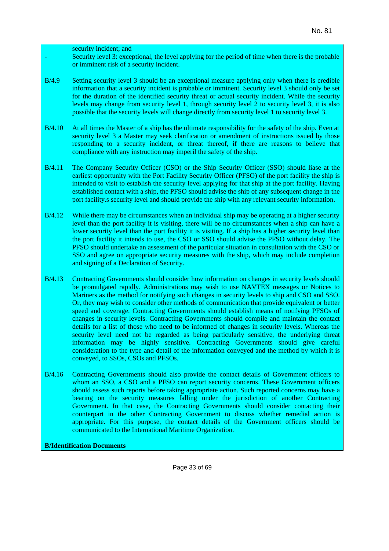security incident; and

Security level 3: exceptional, the level applying for the period of time when there is the probable or imminent risk of a security incident.

- B/4.9 Setting security level 3 should be an exceptional measure applying only when there is credible information that a security incident is probable or imminent. Security level 3 should only be set for the duration of the identified security threat or actual security incident. While the security levels may change from security level 1, through security level 2 to security level 3, it is also possible that the security levels will change directly from security level 1 to security level 3.
- B/4.10 At all times the Master of a ship has the ultimate responsibility for the safety of the ship. Even at security level 3 a Master may seek clarification or amendment of instructions issued by those responding to a security incident, or threat thereof, if there are reasons to believe that compliance with any instruction may imperil the safety of the ship.
- B/4.11 The Company Security Officer (CSO) or the Ship Security Officer (SSO) should liase at the earliest opportunity with the Port Facility Security Officer (PFSO) of the port facility the ship is intended to visit to establish the security level applying for that ship at the port facility. Having established contact with a ship, the PFSO should advise the ship of any subsequent change in the port facility.s security level and should provide the ship with any relevant security information.
- B/4.12 While there may be circumstances when an individual ship may be operating at a higher security level than the port facility it is visiting, there will be no circumstances when a ship can have a lower security level than the port facility it is visiting. If a ship has a higher security level than the port facility it intends to use, the CSO or SSO should advise the PFSO without delay. The PFSO should undertake an assessment of the particular situation in consultation with the CSO or SSO and agree on appropriate security measures with the ship, which may include completion and signing of a Declaration of Security.
- B/4.13 Contracting Governments should consider how information on changes in security levels should be promulgated rapidly. Administrations may wish to use NAVTEX messages or Notices to Mariners as the method for notifying such changes in security levels to ship and CSO and SSO. Or, they may wish to consider other methods of communication that provide equivalent or better speed and coverage. Contracting Governments should establish means of notifying PFSOs of changes in security levels. Contracting Governments should compile and maintain the contact details for a list of those who need to be informed of changes in security levels. Whereas the security level need not be regarded as being particularly sensitive, the underlying threat information may be highly sensitive. Contracting Governments should give careful consideration to the type and detail of the information conveyed and the method by which it is conveyed, to SSOs, CSOs and PFSOs.
- B/4.16 Contracting Governments should also provide the contact details of Government officers to whom an SSO, a CSO and a PFSO can report security concerns. These Government officers should assess such reports before taking appropriate action. Such reported concerns may have a bearing on the security measures falling under the jurisdiction of another Contracting Government. In that case, the Contracting Governments should consider contacting their counterpart in the other Contracting Government to discuss whether remedial action is appropriate. For this purpose, the contact details of the Government officers should be communicated to the International Maritime Organization.

**B/Identification Documents**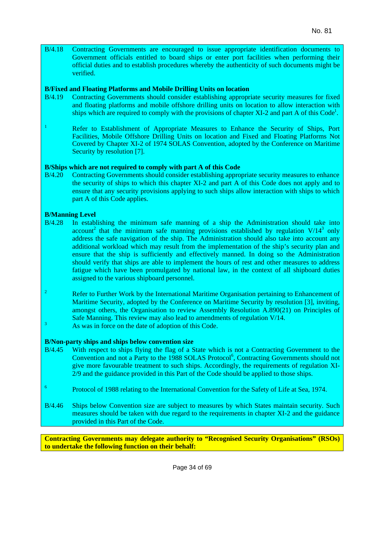B/4.18 Contracting Governments are encouraged to issue appropriate identification documents to Government officials entitled to board ships or enter port facilities when performing their official duties and to establish procedures whereby the authenticity of such documents might be verified.

# **B/Fixed and Floating Platforms and Mobile Drilling Units on location**

- B/4.19 Contracting Governments should consider establishing appropriate security measures for fixed and floating platforms and mobile offshore drilling units on location to allow interaction with ships which are required to comply with the provisions of chapter XI-2 and part A of this  $Code<sup>1</sup>$ .
	- Refer to Establishment of Appropriate Measures to Enhance the Security of Ships, Port Facilities, Mobile Offshore Drilling Units on location and Fixed and Floating Platforms Not Covered by Chapter XI-2 of 1974 SOLAS Convention, adopted by the Conference on Maritime Security by resolution [7].

## **B/Ships which are not required to comply with part A of this Code**

B/4.20 Contracting Governments should consider establishing appropriate security measures to enhance the security of ships to which this chapter XI-2 and part A of this Code does not apply and to ensure that any security provisions applying to such ships allow interaction with ships to which part A of this Code applies.

# **B/Manning Level**

- B/4.28 In establishing the minimum safe manning of a ship the Administration should take into account<sup>2</sup> that the minimum safe manning provisions established by regulation  $V/14^3$  only address the safe navigation of the ship. The Administration should also take into account any additional workload which may result from the implementation of the ship's security plan and ensure that the ship is sufficiently and effectively manned. In doing so the Administration should verify that ships are able to implement the hours of rest and other measures to address fatigue which have been promulgated by national law, in the context of all shipboard duties assigned to the various shipboard personnel.
- <sup>2</sup> Refer to Further Work by the International Maritime Organisation pertaining to Enhancement of Maritime Security, adopted by the Conference on Maritime Security by resolution [3], inviting, amongst others, the Organisation to review Assembly Resolution A.890(21) on Principles of Safe Manning. This review may also lead to amendments of regulation V/14.
- <sup>3</sup> As was in force on the date of adoption of this Code.

# **B/Non-party ships and ships below convention size**

- B/4.45 With respect to ships flying the flag of a State which is not a Contracting Government to the Convention and not a Party to the 1988 SOLAS Protocol<sup>6</sup>, Contracting Governments should not give more favourable treatment to such ships. Accordingly, the requirements of regulation XI-2/9 and the guidance provided in this Part of the Code should be applied to those ships.
- <sup>6</sup> Protocol of 1988 relating to the International Convention for the Safety of Life at Sea, 1974.
- B/4.46 Ships below Convention size are subject to measures by which States maintain security. Such measures should be taken with due regard to the requirements in chapter XI-2 and the guidance provided in this Part of the Code.

**Contracting Governments may delegate authority to "Recognised Security Organisations" (RSOs) to undertake the following function on their behalf:**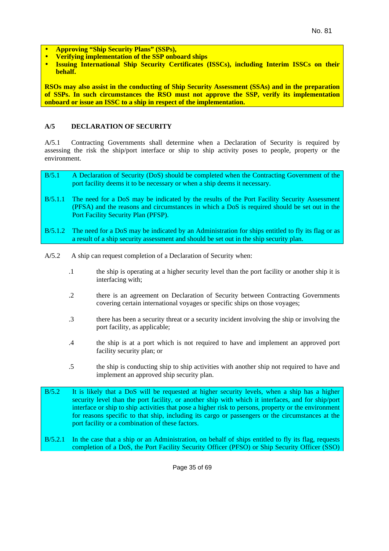- **Approving "Ship Security Plans" (SSPs),**
- **Verifying implementation of the SSP onboard ships**
- **Issuing International Ship Security Certificates (ISSCs), including Interim ISSCs on their behalf.**

**RSOs may also assist in the conducting of Ship Security Assessment (SSAs) and in the preparation of SSPs. In such circumstances the RSO must not approve the SSP, verify its implementation onboard or issue an ISSC to a ship in respect of the implementation.**

# **A/5 DECLARATION OF SECURITY**

A**/**5.1 Contracting Governments shall determine when a Declaration of Security is required by assessing the risk the ship/port interface or ship to ship activity poses to people, property or the environment.

- B/5.1 A Declaration of Security (DoS) should be completed when the Contracting Government of the port facility deems it to be necessary or when a ship deems it necessary.
- B/5.1.1 The need for a DoS may be indicated by the results of the Port Facility Security Assessment (PFSA) and the reasons and circumstances in which a DoS is required should be set out in the Port Facility Security Plan (PFSP).
- B/5.1.2 The need for a DoS may be indicated by an Administration for ships entitled to fly its flag or as a result of a ship security assessment and should be set out in the ship security plan.
- A**/**5.2 A ship can request completion of a Declaration of Security when:
	- .1 the ship is operating at a higher security level than the port facility or another ship it is interfacing with;
	- .2 there is an agreement on Declaration of Security between Contracting Governments covering certain international voyages or specific ships on those voyages;
	- .3 there has been a security threat or a security incident involving the ship or involving the port facility, as applicable;
	- .4 the ship is at a port which is not required to have and implement an approved port facility security plan; or
	- .5 the ship is conducting ship to ship activities with another ship not required to have and implement an approved ship security plan.
- B/5.2 It is likely that a DoS will be requested at higher security levels, when a ship has a higher security level than the port facility, or another ship with which it interfaces, and for ship/port interface or ship to ship activities that pose a higher risk to persons, property or the environment for reasons specific to that ship, including its cargo or passengers or the circumstances at the port facility or a combination of these factors.
- B/5.2.1 In the case that a ship or an Administration, on behalf of ships entitled to fly its flag, requests completion of a DoS, the Port Facility Security Officer (PFSO) or Ship Security Officer (SSO)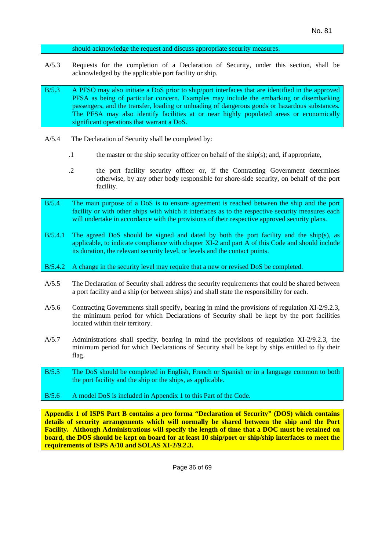### should acknowledge the request and discuss appropriate security measures.

- A**/**5.3 Requests for the completion of a Declaration of Security, under this section, shall be acknowledged by the applicable port facility or ship.
- B/5.3 A PFSO may also initiate a DoS prior to ship/port interfaces that are identified in the approved PFSA as being of particular concern. Examples may include the embarking or disembarking passengers, and the transfer, loading or unloading of dangerous goods or hazardous substances. The PFSA may also identify facilities at or near highly populated areas or economically significant operations that warrant a DoS.
- A/5.4 The Declaration of Security shall be completed by:
	- .1 the master or the ship security officer on behalf of the ship(s); and, if appropriate,
	- .2 the port facility security officer or, if the Contracting Government determines otherwise, by any other body responsible for shore-side security, on behalf of the port facility.
- B/5.4 The main purpose of a DoS is to ensure agreement is reached between the ship and the port facility or with other ships with which it interfaces as to the respective security measures each will undertake in accordance with the provisions of their respective approved security plans.
- B/5.4.1 The agreed DoS should be signed and dated by both the port facility and the ship(s), as applicable, to indicate compliance with chapter XI-2 and part A of this Code and should include its duration, the relevant security level, or levels and the contact points.
- B/5.4.2 A change in the security level may require that a new or revised DoS be completed.
- A**/**5.5 The Declaration of Security shall address the security requirements that could be shared between a port facility and a ship (or between ships) and shall state the responsibility for each.
- A**/**5.6 Contracting Governments shall specify*,* bearing in mind the provisions of regulation XI-2/9.2.3, the minimum period for which Declarations of Security shall be kept by the port facilities located within their territory.
- A**/**5.7 Administrations shall specify, bearing in mind the provisions of regulation XI-2/9.2.3, the minimum period for which Declarations of Security shall be kept by ships entitled to fly their flag.
- B/5.5 The DoS should be completed in English, French or Spanish or in a language common to both the port facility and the ship or the ships, as applicable.
- B/5.6 A model DoS is included in Appendix 1 to this Part of the Code.

**Appendix 1 of ISPS Part B contains a pro forma "Declaration of Security" (DOS) which contains details of security arrangements which will normally be shared between the ship and the Port Facility. Although Administrations will specify the length of time that a DOC must be retained on board, the DOS should be kept on board for at least 10 ship/port or ship/ship interfaces to meet the requirements of ISPS A/10 and SOLAS XI-2/9.2.3.**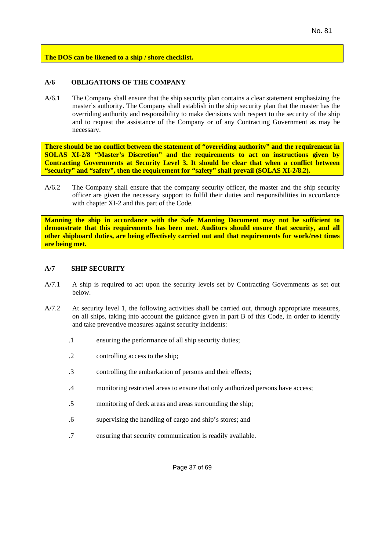## **The DOS can be likened to a ship / shore checklist.**

# **A/6 OBLIGATIONS OF THE COMPANY**

A**/**6.1 The Company shall ensure that the ship security plan contains a clear statement emphasizing the master's authority. The Company shall establish in the ship security plan that the master has the overriding authority and responsibility to make decisions with respect to the security of the ship and to request the assistance of the Company or of any Contracting Government as may be necessary.

**There should be no conflict between the statement of "overriding authority" and the requirement in SOLAS XI-2/8 "Master's Discretion" and the requirements to act on instructions given by Contracting Governments at Security Level 3. It should be clear that when a conflict between "security" and "safety", then the requirement for "safety" shall prevail (SOLAS XI-2/8.2).**

A**/**6.2 The Company shall ensure that the company security officer, the master and the ship security officer are given the necessary support to fulfil their duties and responsibilities in accordance with chapter XI-2 and this part of the Code.

**Manning the ship in accordance with the Safe Manning Document may not be sufficient to demonstrate that this requirements has been met. Auditors should ensure that security, and all other shipboard duties, are being effectively carried out and that requirements for work/rest times are being met.**

### **A/7 SHIP SECURITY**

- A**/**7.1 A ship is required to act upon the security levels set by Contracting Governments as set out below.
- A**/**7.2 At security level 1, the following activities shall be carried out, through appropriate measures, on all ships, taking into account the guidance given in part B of this Code, in order to identify and take preventive measures against security incidents:
	- .1 ensuring the performance of all ship security duties;
	- .2 controlling access to the ship;
	- .3 controlling the embarkation of persons and their effects;
	- .4 monitoring restricted areas to ensure that only authorized persons have access;
	- .5 monitoring of deck areas and areas surrounding the ship;
	- .6 supervising the handling of cargo and ship's stores; and
	- .7 ensuring that security communication is readily available.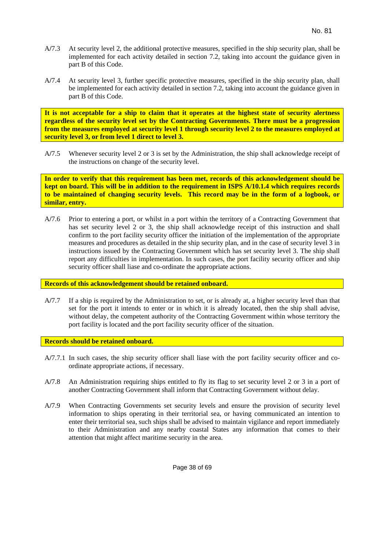- A**/**7.3 At security level 2, the additional protective measures, specified in the ship security plan, shall be implemented for each activity detailed in section 7.2, taking into account the guidance given in part B of this Code.
- A**/**7.4 At security level 3, further specific protective measures, specified in the ship security plan, shall be implemented for each activity detailed in section 7.2, taking into account the guidance given in part B of this Code.

**It is not acceptable for a ship to claim that it operates at the highest state of security alertness regardless of the security level set by the Contracting Governments. There must be a progression from the measures employed at security level 1 through security level 2 to the measures employed at security level 3, or from level 1 direct to level 3.**

A**/**7.5 Whenever security level 2 or 3 is set by the Administration, the ship shall acknowledge receipt of the instructions on change of the security level.

**In order to verify that this requirement has been met, records of this acknowledgement should be kept on board. This will be in addition to the requirement in ISPS A/10.1.4 which requires records to be maintained of changing security levels. This record may be in the form of a logbook, or similar, entry.**

A**/**7.6 Prior to entering a port, or whilst in a port within the territory of a Contracting Government that has set security level 2 or 3, the ship shall acknowledge receipt of this instruction and shall confirm to the port facility security officer the initiation of the implementation of the appropriate measures and procedures as detailed in the ship security plan, and in the case of security level 3 in instructions issued by the Contracting Government which has set security level 3. The ship shall report any difficulties in implementation. In such cases, the port facility security officer and ship security officer shall liase and co-ordinate the appropriate actions.

#### **Records of this acknowledgement should be retained onboard.**

A**/**7.7 If a ship is required by the Administration to set, or is already at, a higher security level than that set for the port it intends to enter or in which it is already located, then the ship shall advise, without delay, the competent authority of the Contracting Government within whose territory the port facility is located and the port facility security officer of the situation.

**Records should be retained onboard.**

- A**/**7.7.1 In such cases, the ship security officer shall liase with the port facility security officer and coordinate appropriate actions, if necessary.
- A**/**7.8 An Administration requiring ships entitled to fly its flag to set security level 2 or 3 in a port of another Contracting Government shall inform that Contracting Government without delay.
- A**/**7.9 When Contracting Governments set security levels and ensure the provision of security level information to ships operating in their territorial sea, or having communicated an intention to enter their territorial sea, such ships shall be advised to maintain vigilance and report immediately to their Administration and any nearby coastal States any information that comes to their attention that might affect maritime security in the area.

Page 38 of 69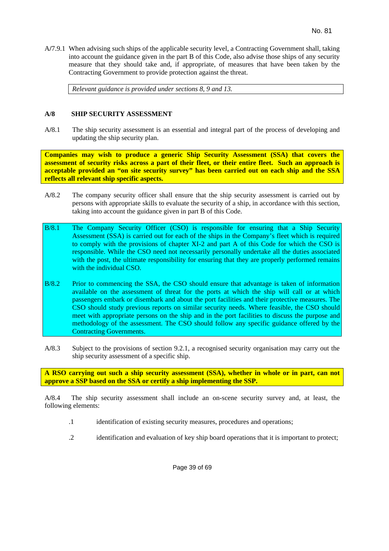A**/**7.9.1 When advising such ships of the applicable security level, a Contracting Government shall, taking into account the guidance given in the part B of this Code, also advise those ships of any security measure that they should take and, if appropriate, of measures that have been taken by the Contracting Government to provide protection against the threat.

*Relevant guidance is provided under sections 8, 9 and 13.*

#### **A/8 SHIP SECURITY ASSESSMENT**

A**/**8.1 The ship security assessment is an essential and integral part of the process of developing and updating the ship security plan.

**Companies may wish to produce a generic Ship Security Assessment (SSA) that covers the assessment of security risks across a part of their fleet, or their entire fleet. Such an approach is acceptable provided an "on site security survey" has been carried out on each ship and the SSA reflects all relevant ship specific aspects.**

- A**/**8.2 The company security officer shall ensure that the ship security assessment is carried out by persons with appropriate skills to evaluate the security of a ship, in accordance with this section, taking into account the guidance given in part B of this Code.
- B/8.1 The Company Security Officer (CSO) is responsible for ensuring that a Ship Security Assessment (SSA) is carried out for each of the ships in the Company's fleet which is required to comply with the provisions of chapter XI-2 and part A of this Code for which the CSO is responsible. While the CSO need not necessarily personally undertake all the duties associated with the post, the ultimate responsibility for ensuring that they are properly performed remains with the individual CSO.
- B/8.2 Prior to commencing the SSA, the CSO should ensure that advantage is taken of information available on the assessment of threat for the ports at which the ship will call or at which passengers embark or disembark and about the port facilities and their protective measures. The CSO should study previous reports on similar security needs. Where feasible, the CSO should meet with appropriate persons on the ship and in the port facilities to discuss the purpose and methodology of the assessment. The CSO should follow any specific guidance offered by the Contracting Governments.
- A**/**8.3Subject to the provisions of section 9.2.1, a recognised security organisation may carry out the ship security assessment of a specific ship.

**A RSO carrying out such a ship security assessment (SSA), whether in whole or in part, can not approve a SSP based on the SSA or certify a ship implementing the SSP.**

A**/**8.4 The ship security assessment shall include an on-scene security survey and, at least, the following elements:

- .1 identification of existing security measures, procedures and operations;
- .2 identification and evaluation of key ship board operations that it is important to protect;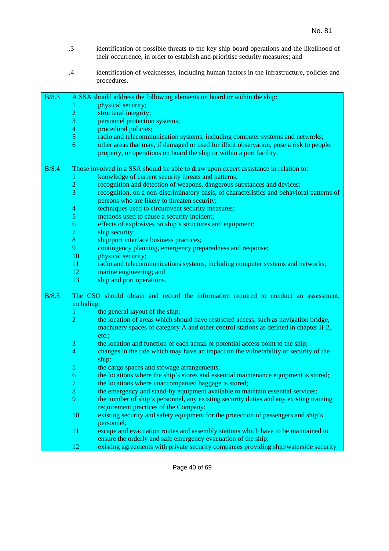- .3 identification of possible threats to the key ship board operations and the likelihood of their occurrence, in order to establish and prioritise security measures; and
- .4 identification of weaknesses, including human factors in the infrastructure, policies and procedures.

B/8.3 A SSA should address the following elements on board or within the ship:

- 1 **physical security;**
- 2 structural integrity;<br>3 personnel protection
- personnel protection systems;
- 4 procedural policies;
- 5 radio and telecommunication systems, including computer systems and networks;
- 6 other areas that may, if damaged or used for illicit observation, pose a risk to people, property, or operations on board the ship or within a port facility.
- B/8.4 Those involved in a SSA should be able to draw upon expert assistance in relation to:
	- 1 knowledge of current security threats and patterns;
	- 2 recognition and detection of weapons, dangerous substances and devices;
	- 3 recognition, on a non-discriminatory basis, of characteristics and behavioral patterns of persons who are likely to threaten security;
	- 4 techniques used to circumvent security measures;
	- 5 methods used to cause a security incident;
	- 6 effects of explosives on ship's structures and equipment;
	- 7 ship security;
	- 8 ship/port interface business practices;
	- 9 contingency planning, emergency preparedness and response;
	- 10 physical security;
	- 11 radio and telecommunications systems, including computer systems and networks;
	- 12 marine engineering; and
	- 13 ship and port operations.
- B/8.5 The CSO should obtain and record the information required to conduct an assessment, including:
	- 1 the general layout of the ship;
	- 2 the location of areas which should have restricted access, such as navigation bridge, machinery spaces of category A and other control stations as defined in chapter II-2, etc.;
	- 3 the location and function of each actual or potential access point to the ship;
	- 4 changes in the tide which may have an impact on the vulnerability or security of the ship;
	- 5 the cargo spaces and stowage arrangements;
	- 6 the locations where the ship's stores and essential maintenance equipment is stored;
	- 7 the locations where unaccompanied baggage is stored;
	- 8 the emergency and stand-by equipment available to maintain essential services;
	- 9 the number of ship's personnel, any existing security duties and any existing training requirement practices of the Company;
	- 10 existing security and safety equipment for the protection of passengers and ship's personnel;
	- 11 escape and evacuation routes and assembly stations which have to be maintained to ensure the orderly and safe emergency evacuation of the ship;
	- 12 existing agreements with private security companies providing ship/waterside security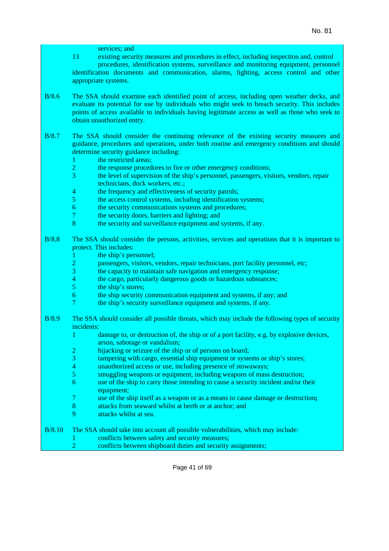services; and

- 13 existing security measures and procedures in effect, including inspection and, control procedures, identification systems, surveillance and monitoring equipment, personnel identification documents and communication, alarms, lighting, access control and other appropriate systems.
- B/8.6 The SSA should examine each identified point of access, including open weather decks, and evaluate its potential for use by individuals who might seek to breach security. This includes points of access available to individuals having legitimate access as well as those who seek to obtain unauthorized entry.
- B/8.7 The SSA should consider the continuing relevance of the existing security measures and guidance, procedures and operations, under both routine and emergency conditions and should determine security guidance including:
	- 1 the restricted areas:
	- 2 the response procedures to fire or other emergency conditions;
	- 3 the level of supervision of the ship's personnel, passengers, visitors, vendors, repair technicians, dock workers, etc.;
	- 4 the frequency and effectiveness of security patrols;
	- 5 the access control systems, including identification systems;
	- 6 the security communications systems and procedures;
	- 7 the security doors, barriers and lighting; and
	- 8 the security and surveillance equipment and systems, if any.
- B/8.8 The SSA should consider the persons, activities, services and operations that it is important to protect. This includes:
	- 1 the ship's personnel:
	- 2 passengers, visitors, vendors, repair technicians, port facility personnel, etc;
	- 3 the capacity to maintain safe navigation and emergency response;
	- 4 the cargo, particularly dangerous goods or hazardous substances;
	- 5 the ship's stores;
	- 6 the ship security communication equipment and systems, if any; and
	- 7 the ship's security surveillance equipment and systems, if any.
- B/8.9 The SSA should consider all possible threats, which may include the following types of security incidents:
	- 1 damage to, or destruction of, the ship or of a port facility, e.g. by explosive devices, arson, sabotage or vandalism;
	- 2 hijacking or seizure of the ship or of persons on board;
	- 3 tampering with cargo, essential ship equipment or systems or ship's stores;
	- 4 unauthorized access or use, including presence of stowaways;
	- 5 smuggling weapons or equipment, including weapons of mass destruction;
	- 6 use of the ship to carry those intending to cause a security incident and/or their equipment;
	- 7 use of the ship itself as a weapon or as a means to cause damage or destruction**;**
	- 8 attacks from seaward whilst at berth or at anchor; and
	- 9 attacks whilst at sea.
- B/8.10 The SSA should take into account all possible vulnerabilities, which may include:
	- 1 conflicts between safety and security measures;
		- 2 conflicts between shipboard duties and security assignments;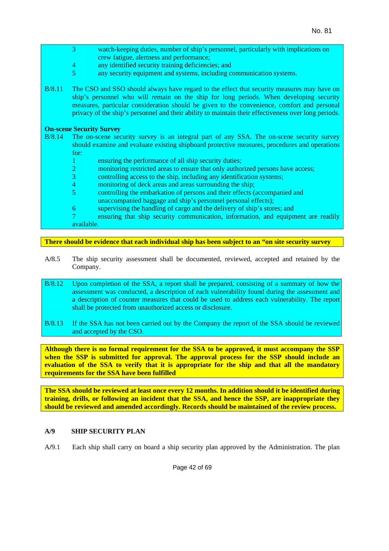- 3 watch-keeping duties, number of ship's personnel, particularly with implications on crew fatigue, alertness and performance;
- 4 any identified security training deficiencies; and
- 5 any security equipment and systems, including communication systems.
- B/8.11 The CSO and SSO should always have regard to the effect that security measures may have on ship's personnel who will remain on the ship for long periods. When developing security measures, particular consideration should be given to the convenience, comfort and personal privacy of the ship's personnel and their ability to maintain their effectiveness over long periods.

#### **On-scene Security Survey**

- B/8.14 The on-scene security survey is an integral part of any SSA. The on-scene security survey should examine and evaluate existing shipboard protective measures, procedures and operations for:
	- 1 ensuring the performance of all ship security duties;<br>2 monitoring restricted areas to ensure that only author
	- monitoring restricted areas to ensure that only authorized persons have access;
	- 3 controlling access to the ship, including any identification systems;
	- 4 monitoring of deck areas and areas surrounding the ship;
	- 5 controlling the embarkation of persons and their effects (accompanied and unaccompanied baggage and ship's personnel personal effects);
	- 6 supervising the handling of cargo and the delivery of ship's stores; and

7 ensuring that ship security communication, information, and equipment are readily available.

**There should be evidence that each individual ship has been subject to an "on site security survey**

- A**/**8.5 The ship security assessment shall be documented, reviewed, accepted and retained by the Company.
- B/8.12 Upon completion of the SSA, a report shall be prepared, consisting of a summary of how the assessment was conducted, a description of each vulnerability found during the assessment and a description of counter measures that could be used to address each vulnerability. The report shall be protected from unauthorized access or disclosure.
- B/8.13 If the SSA has not been carried out by the Company the report of the SSA should be reviewed and accepted by the CSO.

**Although there is no formal requirement for the SSA to be approved, it must accompany the SSP when the SSP is submitted for approval. The approval process for the SSP should include an evaluation of the SSA to verify that it is appropriate for the ship and that all the mandatory requirements for the SSA have been fulfilled**

**The SSA should be reviewed at least once every 12 months. In addition should it be identified during training, drills, or following an incident that the SSA, and hence the SSP, are inappropriate they should be reviewed and amended accordingly. Records should be maintained of the review process.**

## **A/9 SHIP SECURITY PLAN**

A**/**9.1 Each ship shall carry on board a ship security plan approved by the Administration. The plan

Page 42 of 69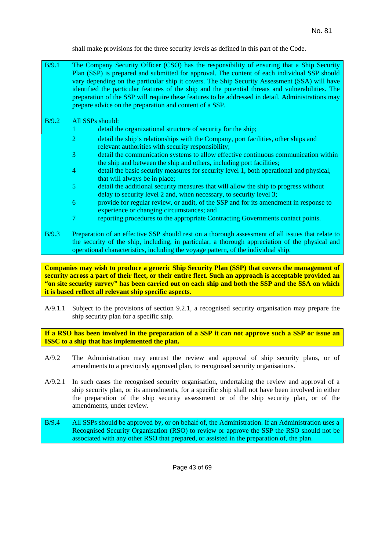shall make provisions for the three security levels as defined in this part of the Code.

| B/9.1 | The Company Security Officer (CSO) has the responsibility of ensuring that a Ship Security<br>Plan (SSP) is prepared and submitted for approval. The content of each individual SSP should<br>vary depending on the particular ship it covers. The Ship Security Assessment (SSA) will have<br>identified the particular features of the ship and the potential threats and vulnerabilities. The<br>preparation of the SSP will require these features to be addressed in detail. Administrations may<br>prepare advice on the preparation and content of a SSP. |                                                                                                                                                             |  |
|-------|------------------------------------------------------------------------------------------------------------------------------------------------------------------------------------------------------------------------------------------------------------------------------------------------------------------------------------------------------------------------------------------------------------------------------------------------------------------------------------------------------------------------------------------------------------------|-------------------------------------------------------------------------------------------------------------------------------------------------------------|--|
| B/9.2 | All SSPs should:                                                                                                                                                                                                                                                                                                                                                                                                                                                                                                                                                 |                                                                                                                                                             |  |
|       |                                                                                                                                                                                                                                                                                                                                                                                                                                                                                                                                                                  | detail the organizational structure of security for the ship;                                                                                               |  |
|       | $\overline{2}$                                                                                                                                                                                                                                                                                                                                                                                                                                                                                                                                                   | detail the ship's relationships with the Company, port facilities, other ships and<br>relevant authorities with security responsibility;                    |  |
|       | 3                                                                                                                                                                                                                                                                                                                                                                                                                                                                                                                                                                | detail the communication systems to allow effective continuous communication within<br>the ship and between the ship and others, including port facilities; |  |
|       | $\overline{4}$                                                                                                                                                                                                                                                                                                                                                                                                                                                                                                                                                   | detail the basic security measures for security level 1, both operational and physical,<br>that will always be in place;                                    |  |
|       | 5                                                                                                                                                                                                                                                                                                                                                                                                                                                                                                                                                                | detail the additional security measures that will allow the ship to progress without<br>delay to security level 2 and, when necessary, to security level 3; |  |
|       | 6                                                                                                                                                                                                                                                                                                                                                                                                                                                                                                                                                                | provide for regular review, or audit, of the SSP and for its amendment in response to<br>experience or changing circumstances; and                          |  |
|       | 7                                                                                                                                                                                                                                                                                                                                                                                                                                                                                                                                                                | reporting procedures to the appropriate Contracting Governments contact points.                                                                             |  |
| B/9.3 | Preparation of an effective SSP should rest on a thorough assessment of all issues that relate to<br>the security of the ship, including, in particular, a thorough appreciation of the physical and<br>operational characteristics, including the voyage pattern, of the individual ship.                                                                                                                                                                                                                                                                       |                                                                                                                                                             |  |

**Companies may wish to produce a generic Ship Security Plan (SSP) that covers the management of security across a part of their fleet, or their entire fleet. Such an approach is acceptable provided an "on site security survey" has been carried out on each ship and both the SSP and the SSA on which it is based reflect all relevant ship specific aspects.**

A**/**9.1.1 Subject to the provisions of section 9.2.1, a recognised security organisation may prepare the ship security plan for a specific ship.

**If a RSO has been involved in the preparation of a SSP it can not approve such a SSP or issue an ISSC to a ship that has implemented the plan.**

- A**/**9.2 The Administration may entrust the review and approval of ship security plans, or of amendments to a previously approved plan, to recognised security organisations.
- A**/**9.2.1 In such cases the recognised security organisation, undertaking the review and approval of a ship security plan, or its amendments, for a specific ship shall not have been involved in either the preparation of the ship security assessment or of the ship security plan, or of the amendments, under review.
- B/9.4 All SSPs should be approved by, or on behalf of, the Administration. If an Administration uses a Recognised Security Organisation (RSO) to review or approve the SSP the RSO should not be associated with any other RSO that prepared, or assisted in the preparation of, the plan.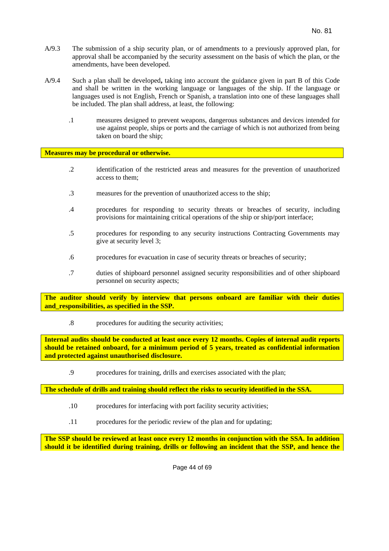- A**/**9.3 The submission of a ship security plan, or of amendments to a previously approved plan, for approval shall be accompanied by the security assessment on the basis of which the plan, or the amendments, have been developed.
- A**/**9.4 Such a plan shall be developed**,** taking into account the guidance given in part B of this Code and shall be written in the working language or languages of the ship. If the language or languages used is not English, French or Spanish, a translation into one of these languages shall be included. The plan shall address, at least, the following:
	- .1 measures designed to prevent weapons, dangerous substances and devices intended for use against people, ships or ports and the carriage of which is not authorized from being taken on board the ship;

**Measures may be procedural or otherwise.**

- .2 identification of the restricted areas and measures for the prevention of unauthorized access to them;
- .3 measures for the prevention of unauthorized access to the ship;
- .4 procedures for responding to security threats or breaches of security, including provisions for maintaining critical operations of the ship or ship/port interface;
- .5 procedures for responding to any security instructions Contracting Governments may give at security level 3;
- .6 procedures for evacuation in case of security threats or breaches of security;
- .7 duties of shipboard personnel assigned security responsibilities and of other shipboard personnel on security aspects;

**The auditor should verify by interview that persons onboard are familiar with their duties and\_responsibilities, as specified in the SSP.**

.8 procedures for auditing the security activities;

**Internal audits should be conducted at least once every 12 months. Copies of internal audit reports should be retained onboard, for a minimum period of 5 years, treated as confidential information and protected against unauthorised disclosure.**

.9 procedures for training, drills and exercises associated with the plan;

**The schedule of drills and training should reflect the risks to security identified in the SSA.**

- .10 procedures for interfacing with port facility security activities;
- .11 procedures for the periodic review of the plan and for updating;

**The SSP should be reviewed at least once every 12 months in conjunction with the SSA. In addition should it be identified during training, drills or following an incident that the SSP, and hence the**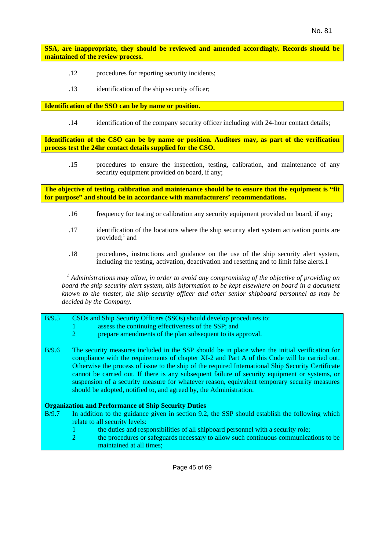**SSA, are inappropriate, they should be reviewed and amended accordingly. Records should be maintained of the review process.**

- .12 procedures for reporting security incidents;
- .13 identification of the ship security officer;

**Identification of the SSO can be by name or position.**

.14 identification of the company security officer including with 24-hour contact details;

**Identification of the CSO can be by name or position. Auditors may, as part of the verification process test the 24hr contact details supplied for the CSO.**

.15 procedures to ensure the inspection, testing, calibration, and maintenance of any security equipment provided on board, if any;

**The objective of testing, calibration and maintenance should be to ensure that the equipment is "fit for purpose" and should be in accordance with manufacturers' recommendations.**

- *.*16 frequency for testing or calibration any security equipment provided on board, if any;
- .17 identification of the locations where the ship security alert system activation points are provided;<sup>1</sup> and
- .18 procedures, instructions and guidance on the use of the ship security alert system, including the testing, activation, deactivation and resetting and to limit false alerts.1

*1 Administrations may allow, in order to avoid any compromising of the objective of providing on board the ship security alert system, this information to be kept elsewhere on board in a document known to the master, the ship security officer and other senior shipboard personnel as may be decided by the Company.*

| B/9.5 | CSOs and Ship Security Officers (SSOs) should develop procedures to:<br>assess the continuing effectiveness of the SSP; and<br>prepare amendments of the plan subsequent to its approval.<br>2                                                                                                                                                                                                                                                                                                                                                                                |  |
|-------|-------------------------------------------------------------------------------------------------------------------------------------------------------------------------------------------------------------------------------------------------------------------------------------------------------------------------------------------------------------------------------------------------------------------------------------------------------------------------------------------------------------------------------------------------------------------------------|--|
| B/9.6 | The security measures included in the SSP should be in place when the initial verification for<br>compliance with the requirements of chapter XI-2 and Part A of this Code will be carried out.<br>Otherwise the process of issue to the ship of the required International Ship Security Certificate<br>cannot be carried out. If there is any subsequent failure of security equipment or systems, or<br>suspension of a security measure for whatever reason, equivalent temporary security measures<br>should be adopted, notified to, and agreed by, the Administration. |  |
|       | <b>Organization and Performance of Ship Security Duties</b>                                                                                                                                                                                                                                                                                                                                                                                                                                                                                                                   |  |
| B/9.7 | In addition to the guidance given in section 9.2, the SSP should establish the following which<br>relate to all security levels:                                                                                                                                                                                                                                                                                                                                                                                                                                              |  |
|       | the duties and responsibilities of all shipboard personnel with a security role;                                                                                                                                                                                                                                                                                                                                                                                                                                                                                              |  |

2 the procedures or safeguards necessary to allow such continuous communications to be maintained at all times;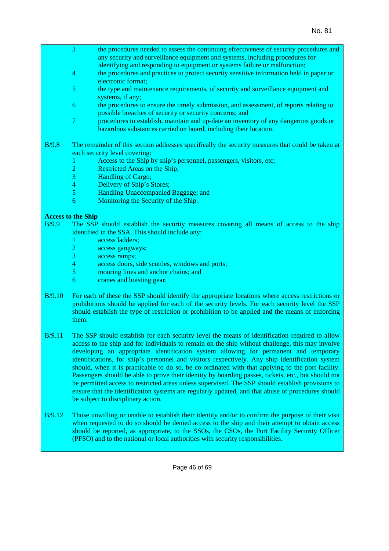- 3 the procedures needed to assess the continuing effectiveness of security procedures and any security and surveillance equipment and systems, including procedures for identifying and responding to equipment or systems failure or malfunction;
- 4 the procedures and practices to protect security sensitive information held in paper or electronic format;
- 5 the type and maintenance requirements, of security and surveillance equipment and systems, if any;
- 6 the procedures to ensure the timely submission, and assessment, of reports relating to possible breaches of security or security concerns; and
- 7 procedures to establish, maintain and up-date an inventory of any dangerous goods or hazardous substances carried on board, including their location.
- B/9.8 The remainder of this section addresses specifically the security measures that could be taken at each security level covering:
	- 1 Access to the Ship by ship's personnel, passengers, visitors, etc;<br>2 Restricted Areas on the Ship;
	- Restricted Areas on the Ship;
	- 3 Handling of Cargo;
	- 4 Delivery of Ship's Stores;
	- 5 Handling Unaccompanied Baggage; and
	- 6 Monitoring the Security of the Ship.

## **Access to the Ship**

- B/9.9 The SSP should establish the security measures covering all means of access to the ship identified in the SSA. This should include any:
	- 1 access ladders;
	- 2 access gangways;
	- 3 access ramps;
	- 4 access doors, side scuttles, windows and ports;
	- 5 mooring lines and anchor chains; and
	- 6 cranes and hoisting gear.
- B/9.10 For each of these the SSP should identify the appropriate locations where access restrictions or prohibitions should be applied for each of the security levels. For each security level the SSP should establish the type of restriction or prohibition to be applied and the means of enforcing them.
- B/9.11 The SSP should establish for each security level the means of identification required to allow access to the ship and for individuals to remain on the ship without challenge, this may involve developing an appropriate identification system allowing for permanent and temporary identifications, for ship's personnel and visitors respectively. Any ship identification system should, when it is practicable to do so, be co-ordinated with that applying to the port facility. Passengers should be able to prove their identity by boarding passes, tickets, etc., but should not be permitted access to restricted areas unless supervised. The SSP should establish provisions to ensure that the identification systems are regularly updated, and that abuse of procedures should be subject to disciplinary action.
- B/9.12 Those unwilling or unable to establish their identity and/or to confirm the purpose of their visit when requested to do so should be denied access to the ship and their attempt to obtain access should be reported, as appropriate, to the SSOs, the CSOs, the Port Facility Security Officer (PFSO) and to the national or local authorities with security responsibilities.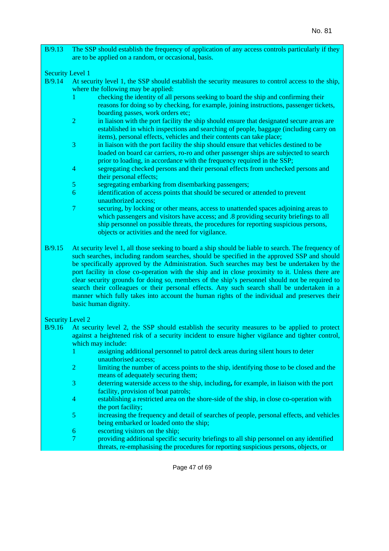B/9.13 The SSP should establish the frequency of application of any access controls particularly if they are to be applied on a random, or occasional, basis.

## Security Level 1

- B/9.14 At security level 1, the SSP should establish the security measures to control access to the ship, where the following may be applied:
	- 1 checking the identity of all persons seeking to board the ship and confirming their reasons for doing so by checking, for example, joining instructions, passenger tickets, boarding passes, work orders etc;
	- 2 in liaison with the port facility the ship should ensure that designated secure areas are established in which inspections and searching of people, baggage (including carry on items), personal effects, vehicles and their contents can take place;
	- 3 in liaison with the port facility the ship should ensure that vehicles destined to be loaded on board car carriers, ro-ro and other passenger ships are subjected to search prior to loading, in accordance with the frequency required in the SSP;
	- 4 segregating checked persons and their personal effects from unchecked persons and their personal effects;
	- 5 segregating embarking from disembarking passengers;
	- 6 identification of access points that should be secured or attended to prevent unauthorized access;
	- 7 securing, by locking or other means, access to unattended spaces adjoining areas to which passengers and visitors have access; and .8 providing security briefings to all ship personnel on possible threats, the procedures for reporting suspicious persons, objects or activities and the need for vigilance.
- B/9.15 At security level 1, all those seeking to board a ship should be liable to search. The frequency of such searches, including random searches, should be specified in the approved SSP and should be specifically approved by the Administration. Such searches may best be undertaken by the port facility in close co-operation with the ship and in close proximity to it. Unless there are clear security grounds for doing so, members of the ship's personnel should not be required to search their colleagues or their personal effects. Any such search shall be undertaken in a manner which fully takes into account the human rights of the individual and preserves their basic human dignity.

## Security Level 2

- B/9.16 At security level 2, the SSP should establish the security measures to be applied to protect against a heightened risk of a security incident to ensure higher vigilance and tighter control, which may include:
	- 1 assigning additional personnel to patrol deck areas during silent hours to deter unauthorised access;
	- 2 limiting the number of access points to the ship, identifying those to be closed and the means of adequately securing them;
	- 3 deterring waterside access to the ship, including**,** for example, in liaison with the port facility, provision of boat patrols;
	- 4 establishing a restricted area on the shore-side of the ship, in close co-operation with the port facility;
	- 5 increasing the frequency and detail of searches of people, personal effects, and vehicles being embarked or loaded onto the ship;
	- 6 escorting visitors on the ship;
	- 7 providing additional specific security briefings to all ship personnel on any identified threats, re-emphasising the procedures for reporting suspicious persons, objects, or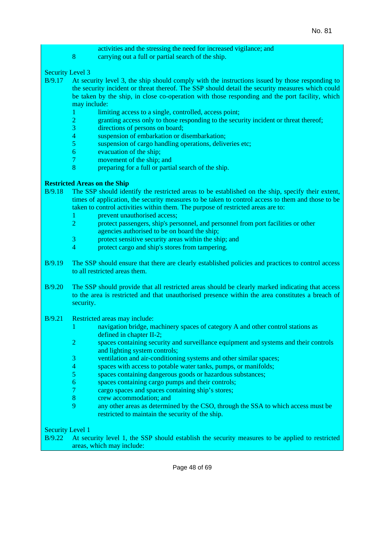activities and the stressing the need for increased vigilance; and

8 carrying out a full or partial search of the ship.

Security Level 3

- B/9.17 At security level 3, the ship should comply with the instructions issued by those responding to the security incident or threat thereof. The SSP should detail the security measures which could be taken by the ship, in close co-operation with those responding and the port facility, which may include:
	- 1 limiting access to a single, controlled, access point;
	- 2 granting access only to those responding to the security incident or threat thereof;<br>3 directions of persons on board:
	- directions of persons on board;
	- 4 suspension of embarkation or disembarkation;
	- 5 suspension of cargo handling operations, deliveries etc;
	- 6 evacuation of the ship;
	- 7 movement of the ship; and
	- 8 preparing for a full or partial search of the ship.

# **Restricted Areas on the Ship**

B/9.18 The SSP should identify the restricted areas to be established on the ship, specify their extent, times of application, the security measures to be taken to control access to them and those to be taken to control activities within them. The purpose of restricted areas are to:

- 1 prevent unauthorised access;
- 2 protect passengers, ship's personnel, and personnel from port facilities or other agencies authorised to be on board the ship;
- 3 protect sensitive security areas within the ship; and
- 4 protect cargo and ship's stores from tampering.
- B/9.19 The SSP should ensure that there are clearly established policies and practices to control access to all restricted areas them.
- B/9.20 The SSP should provide that all restricted areas should be clearly marked indicating that access to the area is restricted and that unauthorised presence within the area constitutes a breach of security.
- B/9.21 Restricted areas may include:
	- 1 navigation bridge, machinery spaces of category A and other control stations as defined in chapter II-2;
	- 2 spaces containing security and surveillance equipment and systems and their controls and lighting system controls;
	- 3 ventilation and air-conditioning systems and other similar spaces;
	- 4 spaces with access to potable water tanks, pumps, or manifolds;
	- 5 spaces containing dangerous goods or hazardous substances;
	- 6 spaces containing cargo pumps and their controls;
	- 7 cargo spaces and spaces containing ship's stores;
	- 8 crew accommodation; and
	- 9 any other areas as determined by the CSO, through the SSA to which access must be restricted to maintain the security of the ship.

Security Level 1

B/9.22 At security level 1, the SSP should establish the security measures to be applied to restricted areas, which may include: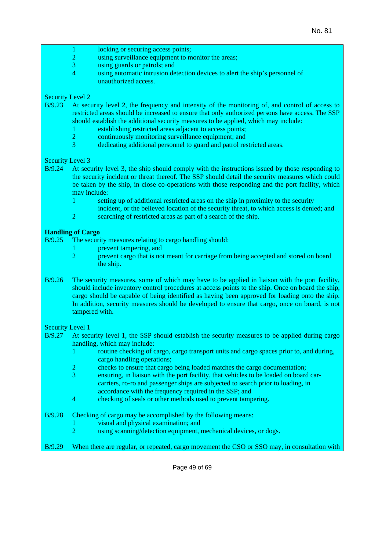- 1 locking or securing access points;
- 2 using surveillance equipment to monitor the areas;
- 3 using guards or patrols; and
- 4 using automatic intrusion detection devices to alert the ship's personnel of unauthorized access.

# Security Level 2

- B/9.23 At security level 2, the frequency and intensity of the monitoring of, and control of access to restricted areas should be increased to ensure that only authorized persons have access. The SSP should establish the additional security measures to be applied, which may include:
	- 1 establishing restricted areas adjacent to access points;
	- 2 continuously monitoring surveillance equipment; and
	- 3 dedicating additional personnel to guard and patrol restricted areas.

# Security Level 3

- B/9.24 At security level 3, the ship should comply with the instructions issued by those responding to the security incident or threat thereof. The SSP should detail the security measures which could be taken by the ship, in close co-operations with those responding and the port facility, which may include:
	- 1 setting up of additional restricted areas on the ship in proximity to the security incident, or the believed location of the security threat, to which access is denied; and
	- 2 searching of restricted areas as part of a search of the ship.

# **Handling of Cargo**

B/9.25 The security measures relating to cargo handling should:

- 1 prevent tampering, and
- 2 prevent cargo that is not meant for carriage from being accepted and stored on board the ship.
- B/9.26 The security measures, some of which may have to be applied in liaison with the port facility, should include inventory control procedures at access points to the ship. Once on board the ship, cargo should be capable of being identified as having been approved for loading onto the ship. In addition, security measures should be developed to ensure that cargo, once on board, is not tampered with.

# Security Level 1

- B/9.27 At security level 1, the SSP should establish the security measures to be applied during cargo handling, which may include:
	- 1 routine checking of cargo, cargo transport units and cargo spaces prior to, and during, cargo handling operations;
	- 2 checks to ensure that cargo being loaded matches the cargo documentation;
	- 3 ensuring, in liaison with the port facility, that vehicles to be loaded on board carcarriers, ro-ro and passenger ships are subjected to search prior to loading, in accordance with the frequency required in the SSP; and
	- 4 checking of seals or other methods used to prevent tampering.
- B/9.28 Checking of cargo may be accomplished by the following means:
	- 1 visual and physical examination; and
	- 2 using scanning/detection equipment, mechanical devices, or dogs.
- B/9.29 When there are regular, or repeated, cargo movement the CSO or SSO may, in consultation with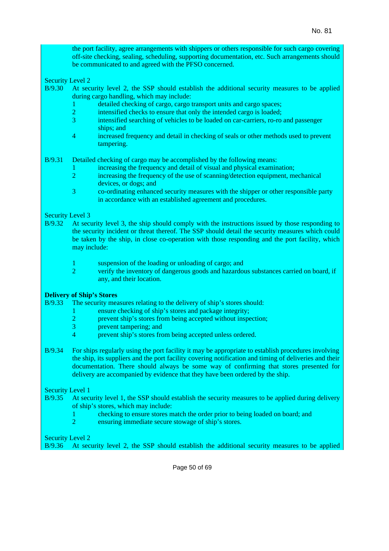the port facility, agree arrangements with shippers or others responsible for such cargo covering off-site checking, sealing, scheduling, supporting documentation, etc. Such arrangements should be communicated to and agreed with the PFSO concerned.

# Security Level 2

- B/9.30 At security level 2, the SSP should establish the additional security measures to be applied during cargo handling, which may include:
	- 1 detailed checking of cargo, cargo transport units and cargo spaces;
	- 2 intensified checks to ensure that only the intended cargo is loaded;
	- 3 intensified searching of vehicles to be loaded on car-carriers, ro-ro and passenger ships; and
	- 4 increased frequency and detail in checking of seals or other methods used to prevent tampering.

# B/9.31 Detailed checking of cargo may be accomplished by the following means:

- 1 increasing the frequency and detail of visual and physical examination;
- 2 increasing the frequency of the use of scanning/detection equipment, mechanical devices, or dogs; and
- 3 co-ordinating enhanced security measures with the shipper or other responsible party in accordance with an established agreement and procedures.

# Security Level 3

- B/9.32 At security level 3, the ship should comply with the instructions issued by those responding to the security incident or threat thereof. The SSP should detail the security measures which could be taken by the ship, in close co-operation with those responding and the port facility, which may include:
	- 1 suspension of the loading or unloading of cargo; and
	- 2 verify the inventory of dangerous goods and hazardous substances carried on board, if any, and their location.

## **Delivery of Ship's Stores**

B/9.33 The security measures relating to the delivery of ship's stores should:

- 1 ensure checking of ship's stores and package integrity;
- 2 prevent ship's stores from being accepted without inspection;
- 3 prevent tampering; and
- 4 prevent ship's stores from being accepted unless ordered.
- B/9.34 For ships regularly using the port facility it may be appropriate to establish procedures involving the ship, its suppliers and the port facility covering notification and timing of deliveries and their documentation. There should always be some way of confirming that stores presented for delivery are accompanied by evidence that they have been ordered by the ship.

## Security Level 1

- B/9.35 At security level 1, the SSP should establish the security measures to be applied during delivery of ship's stores, which may include:
	- 1 checking to ensure stores match the order prior to being loaded on board; and
	- 2 ensuring immediate secure stowage of ship's stores.

# Security Level 2

B/9.36 At security level 2, the SSP should establish the additional security measures to be applied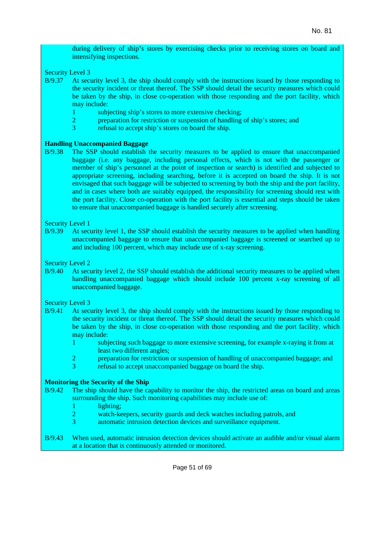during delivery of ship's stores by exercising checks prior to receiving stores on board and intensifying inspections.

## Security Level 3

- B/9.37 At security level 3, the ship should comply with the instructions issued by those responding to the security incident or threat thereof. The SSP should detail the security measures which could be taken by the ship, in close co-operation with those responding and the port facility, which may include:
	- 1 subjecting ship's stores to more extensive checking;
	- 2 preparation for restriction or suspension of handling of ship's stores; and<br>3 refusal to accent ship's stores on board the ship
	- refusal to accept ship's stores on board the ship.

## **Handling Unaccompanied Baggage**

B/9.38 The SSP should establish the security measures to be applied to ensure that unaccompanied baggage (i.e. any baggage, including personal effects, which is not with the passenger or member of ship's personnel at the point of inspection or search) is identified and subjected to appropriate screening, including searching, before it is accepted on board the ship. It is not envisaged that such baggage will be subjected to screening by both the ship and the port facility, and in cases where both are suitably equipped, the responsibility for screening should rest with the port facility. Close co-operation with the port facility is essential and steps should be taken to ensure that unaccompanied baggage is handled securely after screening.

Security Level 1

B/9.39 At security level 1, the SSP should establish the security measures to be applied when handling unaccompanied baggage to ensure that unaccompanied baggage is screened or searched up to and including 100 percent, which may include use of x-ray screening.

Security Level 2

B/9.40 At security level 2, the SSP should establish the additional security measures to be applied when handling unaccompanied baggage which should include 100 percent x-ray screening of all unaccompanied baggage.

Security Level 3

- B/9.41 At security level 3, the ship should comply with the instructions issued by those responding to the security incident or threat thereof. The SSP should detail the security measures which could be taken by the ship, in close co-operation with those responding and the port facility, which may include:
	- 1 subjecting such baggage to more extensive screening, for example x-raying it from at least two different angles;
	- 2 preparation for restriction or suspension of handling of unaccompanied baggage; and
	- 3 refusal to accept unaccompanied baggage on board the ship.

## **Monitoring the Security of the Ship**

- B/9.42 The ship should have the capability to monitor the ship, the restricted areas on board and areas surrounding the ship. Such monitoring capabilities may include use of:
	- 1 lighting:
	- 2 watch-keepers, security guards and deck watches including patrols, and
	- 3 automatic intrusion detection devices and surveillance equipment.

#### B/9.43 When used, automatic intrusion detection devices should activate an audible and/or visual alarm at a location that is continuously attended or monitored.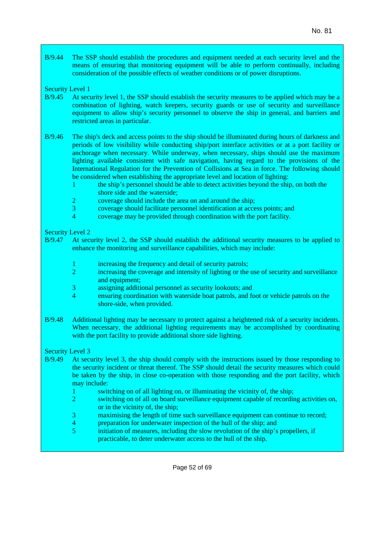B/9.44 The SSP should establish the procedures and equipment needed at each security level and the means of ensuring that monitoring equipment will be able to perform continually, including consideration of the possible effects of weather conditions or of power disruptions.

#### Security Level 1

- B/9.45 At security level 1, the SSP should establish the security measures to be applied which may be a combination of lighting, watch keepers, security guards or use of security and surveillance equipment to allow ship's security personnel to observe the ship in general, and barriers and restricted areas in particular.
- B/9.46 The ship's deck and access points to the ship should be illuminated during hours of darkness and periods of low visibility while conducting ship/port interface activities or at a port facility or anchorage when necessary. While underway, when necessary, ships should use the maximum lighting available consistent with safe navigation, having regard to the provisions of the International Regulation for the Prevention of Collisions at Sea in force. The following should be considered when establishing the appropriate level and location of lighting:
	- 1 the ship's personnel should be able to detect activities beyond the ship, on both the shore side and the waterside;
	- 2 coverage should include the area on and around the ship;
	- 3 coverage should facilitate personnel identification at access points; and
	- 4 coverage may be provided through coordination with the port facility.

Security Level 2

- B/9.47 At security level 2, the SSP should establish the additional security measures to be applied to enhance the monitoring and surveillance capabilities, which may include:
	- 1 increasing the frequency and detail of security patrols;
	- 2 increasing the coverage and intensity of lighting or the use of security and surveillance and equipment;
	- 3 assigning additional personnel as security lookouts; and
	- 4 ensuring coordination with waterside boat patrols, and foot or vehicle patrols on the shore-side, when provided.
- B/9.48 Additional lighting may be necessary to protect against a heightened risk of a security incidents. When necessary, the additional lighting requirements may be accomplished by coordinating with the port facility to provide additional shore side lighting.

Security Level 3

- B/9.49 At security level 3, the ship should comply with the instructions issued by those responding to the security incident or threat thereof. The SSP should detail the security measures which could be taken by the ship, in close co-operation with those responding and the port facility, which may include:
	- 1 switching on of all lighting on, or illuminating the vicinity of, the ship;
	- 2 switching on of all on board surveillance equipment capable of recording activities on, or in the vicinity of, the ship;
	- 3 maximising the length of time such surveillance equipment can continue to record;
	- 4 preparation for underwater inspection of the hull of the ship; and
	- 5 initiation of measures, including the slow revolution of the ship's propellers, if practicable, to deter underwater access to the hull of the ship.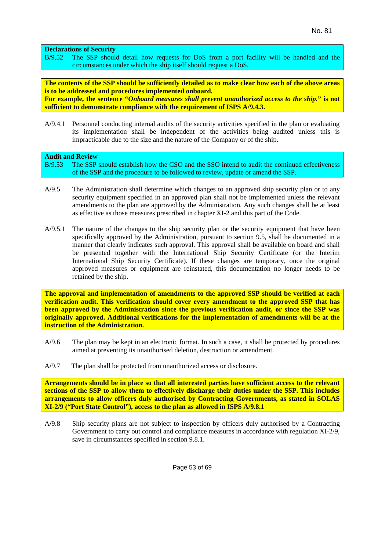**Declarations of Security**

B/9.52 The SSP should detail how requests for DoS from a port facility will be handled and the circumstances under which the ship itself should request a DoS.

**The contents of the SSP should be sufficiently detailed as to make clear how each of the above areas is to be addressed and procedures implemented onboard. For example, the sentence "***Onboard measures shall prevent unauthorized access to the ship.***" is not**

**sufficient to demonstrate compliance with the requirement of ISPS A/9.4.3.**

A**/**9.4.1 Personnel conducting internal audits of the security activities specified in the plan or evaluating its implementation shall be independent of the activities being audited unless this is impracticable due to the size and the nature of the Company or of the ship.

#### **Audit and Review**

- B/9.53 The SSP should establish how the CSO and the SSO intend to audit the continued effectiveness of the SSP and the procedure to be followed to review, update or amend the SSP.
- A**/**9.5 The Administration shall determine which changes to an approved ship security plan or to any security equipment specified in an approved plan shall not be implemented unless the relevant amendments to the plan are approved by the Administration. Any such changes shall be at least as effective as those measures prescribed in chapter XI-2 and this part of the Code.
- A**/**9.5.1 The nature of the changes to the ship security plan or the security equipment that have been specifically approved by the Administration, pursuant to section 9.5, shall be documented in a manner that clearly indicates such approval. This approval shall be available on board and shall be presented together with the International Ship Security Certificate (or the Interim International Ship Security Certificate). If these changes are temporary, once the original approved measures or equipment are reinstated, this documentation no longer needs to be retained by the ship.

**The approval and implementation of amendments to the approved SSP should be verified at each verification audit. This verification should cover every amendment to the approved SSP that has been approved by the Administration since the previous verification audit, or since the SSP was originally approved. Additional verifications for the implementation of amendments will be at the instruction of the Administration.**

- A**/**9.6 The plan may be kept in an electronic format. In such a case, it shall be protected by procedures aimed at preventing its unauthorised deletion, destruction or amendment.
- A**/**9.7 The plan shall be protected from unauthorized access or disclosure.

**Arrangements should be in place so that all interested parties have sufficient access to the relevant sections of the SSP to allow them to effectively discharge their duties under the SSP. This includes arrangements to allow officers duly authorised by Contracting Governments, as stated in SOLAS XI-2/9 ("Port State Control"), access to the plan as allowed in ISPS A/9.8.1**

A**/**9.8 Ship security plans are not subject to inspection by officers duly authorised by a Contracting Government to carry out control and compliance measures in accordance with regulation XI-2/9, save in circumstances specified in section 9.8.1.

Page 53 of 69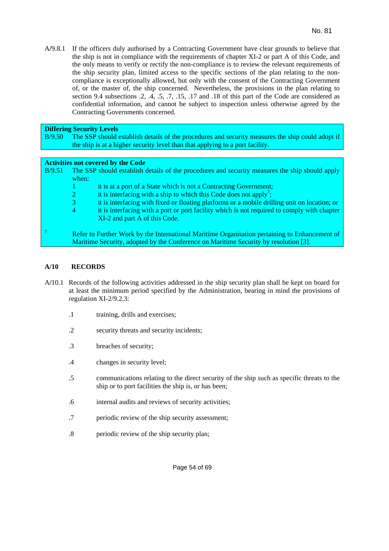A**/**9.8.1 If the officers duly authorised by a Contracting Government have clear grounds to believe that the ship is not in compliance with the requirements of chapter XI-2 or part A of this Code, and the only means to verify or rectify the non-compliance is to review the relevant requirements of the ship security plan, limited access to the specific sections of the plan relating to the noncompliance is exceptionally allowed, but only with the consent of the Contracting Government of, or the master of, the ship concerned. Nevertheless, the provisions in the plan relating to section 9.4 subsections .2, .4, .5, .7, .15, .17 and .18 of this part of the Code are considered as confidential information, and cannot be subject to inspection unless otherwise agreed by the Contracting Governments concerned.

### **Differing Security Levels**

B/9.50 The SSP should establish details of the procedures and security measures the ship could adopt if the ship is at a higher security level than that applying to a port facility.

#### **Activities not covered by the Code**

- B/9.51 The SSP should establish details of the procedures and security measures the ship should apply when:
	- 1 it is at a port of a State which is not a Contracting Government;
	- 2 it is interfacing with a ship to which this Code does not apply<sup>7</sup>;
	- 3 it is interfacing with fixed or floating platforms or a mobile drilling unit on location; or
	- 4 it is interfacing with a port or port facility which is not required to comply with chapter XI-2 and part A of this Code.

 $<sup>7</sup>$  Refer to Further Work by the International Maritime Organisation pertaining to Enhancement of</sup> Maritime Security, adopted by the Conference on Maritime Security by resolution [3].

#### **A/10 RECORDS**

- A**/**10.1 Records of the following activities addressed in the ship security plan shall be kept on board for at least the minimum period specified by the Administration, bearing in mind the provisions of regulation XI-2/9.2.3:
	- .1 training, drills and exercises;
	- .2 security threats and security incidents;
	- .3 breaches of security;
	- .4 changes in security level;
	- .5 communications relating to the direct security of the ship such as specific threats to the ship or to port facilities the ship is, or has been;
	- .6 internal audits and reviews of security activities;
	- .7 periodic review of the ship security assessment;
	- .8 periodic review of the ship security plan;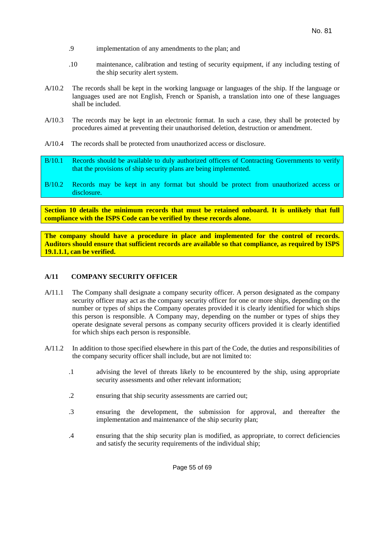- .9 implementation of any amendments to the plan; and
- .10 maintenance, calibration and testing of security equipment, if any including testing of the ship security alert system.
- A**/**10.2 The records shall be kept in the working language or languages of the ship. If the language or languages used are not English, French or Spanish, a translation into one of these languages shall be included.
- A**/**10.3 The records may be kept in an electronic format. In such a case, they shall be protected by procedures aimed at preventing their unauthorised deletion, destruction or amendment.
- A**/**10.4 The records shall be protected from unauthorized access or disclosure.
- B/10.1 Records should be available to duly authorized officers of Contracting Governments to verify that the provisions of ship security plans are being implemented.
- B/10.2 Records may be kept in any format but should be protect from unauthorized access or disclosure.

**Section 10 details the minimum records that must be retained onboard. It is unlikely that full compliance with the ISPS Code can be verified by these records alone.**

**The company should have a procedure in place and implemented for the control of records. Auditors should ensure that sufficient records are available so that compliance, as required by ISPS 19.1.1.1, can be verified.**

## **A/11 COMPANY SECURITY OFFICER**

- A**/**11.1 The Company shall designate a company security officer. A person designated as the company security officer may act as the company security officer for one or more ships, depending on the number or types of ships the Company operates provided it is clearly identified for which ships this person is responsible. A Company may, depending on the number or types of ships they operate designate several persons as company security officers provided it is clearly identified for which ships each person is responsible.
- A**/**11.2 In addition to those specified elsewhere in this part of the Code, the duties and responsibilities of the company security officer shall include, but are not limited to:
	- .1 advising the level of threats likely to be encountered by the ship, using appropriate security assessments and other relevant information;
	- .2 ensuring that ship security assessments are carried out;
	- .3 ensuring the development, the submission for approval, and thereafter the implementation and maintenance of the ship security plan;
	- .4 ensuring that the ship security plan is modified, as appropriate, to correct deficiencies and satisfy the security requirements of the individual ship;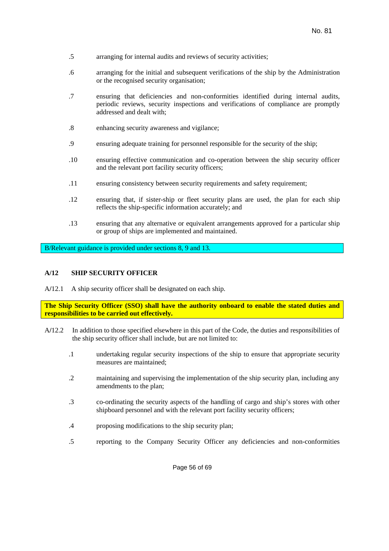- .5 arranging for internal audits and reviews of security activities;
- .6 arranging for the initial and subsequent verifications of the ship by the Administration or the recognised security organisation;
- .7 ensuring that deficiencies and non-conformities identified during internal audits, periodic reviews, security inspections and verifications of compliance are promptly addressed and dealt with;
- .8 enhancing security awareness and vigilance;
- .9 ensuring adequate training for personnel responsible for the security of the ship;
- .10 ensuring effective communication and co-operation between the ship security officer and the relevant port facility security officers;
- .11 ensuring consistency between security requirements and safety requirement;
- .12 ensuring that, if sister-ship or fleet security plans are used, the plan for each ship reflects the ship-specific information accurately; and
- .13 ensuring that any alternative or equivalent arrangements approved for a particular ship or group of ships are implemented and maintained.

B/Relevant guidance is provided under sections 8, 9 and 13.

### **A/12 SHIP SECURITY OFFICER**

A**/**12.1 A ship security officer shall be designated on each ship.

**The Ship Security Officer (SSO) shall have the authority onboard to enable the stated duties and responsibilities to be carried out effectively.**

- A**/**12.2 In addition to those specified elsewhere in this part of the Code, the duties and responsibilities of the ship security officer shall include, but are not limited to:
	- .1 undertaking regular security inspections of the ship to ensure that appropriate security measures are maintained;
	- .2 maintaining and supervising the implementation of the ship security plan, including any amendments to the plan;
	- .3 co-ordinating the security aspects of the handling of cargo and ship's stores with other shipboard personnel and with the relevant port facility security officers;
	- .4 proposing modifications to the ship security plan;
	- .5 reporting to the Company Security Officer any deficiencies and non-conformities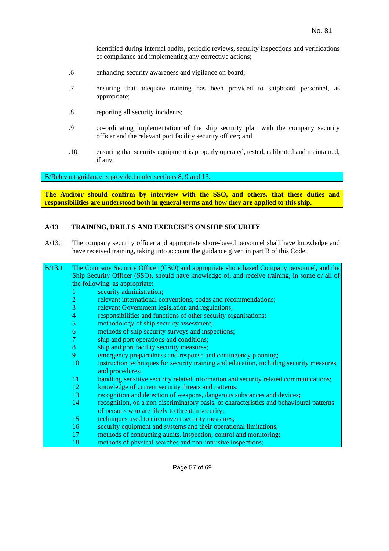identified during internal audits, periodic reviews, security inspections and verifications of compliance and implementing any corrective actions;

- .6 enhancing security awareness and vigilance on board;
- .7 ensuring that adequate training has been provided to shipboard personnel, as appropriate;
- .8 reporting all security incidents;
- .9 co-ordinating implementation of the ship security plan with the company security officer and the relevant port facility security officer; and
- .10 ensuring that security equipment is properly operated, tested, calibrated and maintained, if any.

B/Relevant guidance is provided under sections 8, 9 and 13.

**The Auditor should confirm by interview with the SSO, and others, that these duties and responsibilities are understood both in general terms and how they are applied to this ship.**

## **A/13 TRAINING, DRILLS AND EXERCISES ON SHIP SECURITY**

A**/**13.1 The company security officer and appropriate shore-based personnel shall have knowledge and have received training, taking into account the guidance given in part B of this Code.

| B/13.1 | The Company Security Officer (CSO) and appropriate shore based Company personnel, and the<br>Ship Security Officer (SSO), should have knowledge of, and receive training, in some or all of<br>the following, as appropriate: |                                                                                         |  |  |                |                                                                |
|--------|-------------------------------------------------------------------------------------------------------------------------------------------------------------------------------------------------------------------------------|-----------------------------------------------------------------------------------------|--|--|----------------|----------------------------------------------------------------|
|        |                                                                                                                                                                                                                               |                                                                                         |  |  |                | security administration;                                       |
|        |                                                                                                                                                                                                                               |                                                                                         |  |  | $\overline{2}$ | relevant international conventions, codes and recommendations; |
|        | 3                                                                                                                                                                                                                             | relevant Government legislation and regulations;                                        |  |  |                |                                                                |
|        | $\overline{4}$                                                                                                                                                                                                                | responsibilities and functions of other security organisations;                         |  |  |                |                                                                |
|        | 5                                                                                                                                                                                                                             | methodology of ship security assessment;                                                |  |  |                |                                                                |
|        | 6                                                                                                                                                                                                                             | methods of ship security surveys and inspections;                                       |  |  |                |                                                                |
|        | $\overline{\mathcal{L}}$                                                                                                                                                                                                      | ship and port operations and conditions;                                                |  |  |                |                                                                |
|        | 8                                                                                                                                                                                                                             | ship and port facility security measures;                                               |  |  |                |                                                                |
|        | 9                                                                                                                                                                                                                             | emergency preparedness and response and contingency planning;                           |  |  |                |                                                                |
|        | 10                                                                                                                                                                                                                            | instruction techniques for security training and education, including security measures |  |  |                |                                                                |
|        |                                                                                                                                                                                                                               | and procedures;                                                                         |  |  |                |                                                                |
|        | 11                                                                                                                                                                                                                            | handling sensitive security related information and security related communications;    |  |  |                |                                                                |
|        | 12                                                                                                                                                                                                                            | knowledge of current security threats and patterns;                                     |  |  |                |                                                                |
|        | 13                                                                                                                                                                                                                            | recognition and detection of weapons, dangerous substances and devices;                 |  |  |                |                                                                |
|        | 14                                                                                                                                                                                                                            | recognition, on a non discriminatory basis, of characteristics and behavioural patterns |  |  |                |                                                                |
|        |                                                                                                                                                                                                                               | of persons who are likely to threaten security;                                         |  |  |                |                                                                |
|        | 15                                                                                                                                                                                                                            | techniques used to circumvent security measures;                                        |  |  |                |                                                                |
|        | 16                                                                                                                                                                                                                            | security equipment and systems and their operational limitations;                       |  |  |                |                                                                |
|        | 17                                                                                                                                                                                                                            | methods of conducting audits, inspection, control and monitoring;                       |  |  |                |                                                                |
|        | 18                                                                                                                                                                                                                            | methods of physical searches and non-intrusive inspections;                             |  |  |                |                                                                |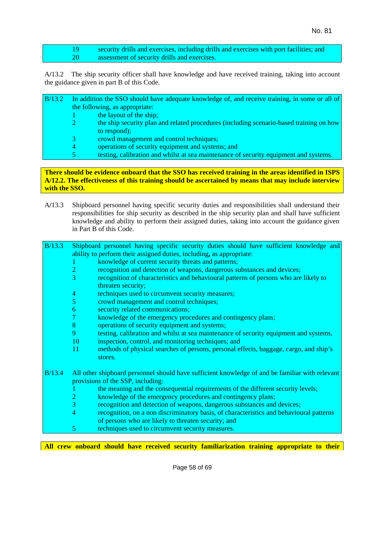19 security drills and exercises, including drills and exercises with port facilities; and 20 assessment of security drills and exercises.

A**/**13.2 The ship security officer shall have knowledge and have received training, taking into account the guidance given in part B of this Code.

| B/13.2 | In addition the SSO should have adequate knowledge of, and receive training, in some or all of<br>the following, as appropriate: |                                                                                                         |  |
|--------|----------------------------------------------------------------------------------------------------------------------------------|---------------------------------------------------------------------------------------------------------|--|
|        |                                                                                                                                  |                                                                                                         |  |
|        |                                                                                                                                  | the ship security plan and related procedures (including scenario-based training on how<br>to respond); |  |
|        |                                                                                                                                  | crowd management and control techniques;                                                                |  |
|        | $\overline{4}$                                                                                                                   | operations of security equipment and systems; and                                                       |  |
|        |                                                                                                                                  | testing, calibration and whilst at sea maintenance of security equipment and systems.                   |  |

**There should be evidence onboard that the SSO has received training in the areas identified in ISPS A/12.2. The effectiveness of this training should be ascertained by means that may include interview with the SSO.**

A**/**13.3 Shipboard personnel having specific security duties and responsibilities shall understand their responsibilities for ship security as described in the ship security plan and shall have sufficient knowledge and ability to perform their assigned duties, taking into account the guidance given in Part B of this Code.

| B/13.3 | Shipboard personnel having specific security duties should have sufficient knowledge and        |                                                                                         |  |
|--------|-------------------------------------------------------------------------------------------------|-----------------------------------------------------------------------------------------|--|
|        | ability to perform their assigned duties, including, as appropriate:                            |                                                                                         |  |
|        |                                                                                                 | knowledge of current security threats and patterns;                                     |  |
|        | $\overline{2}$                                                                                  | recognition and detection of weapons, dangerous substances and devices;                 |  |
|        | 3                                                                                               | recognition of characteristics and behavioural patterns of persons who are likely to    |  |
|        |                                                                                                 | threaten security;                                                                      |  |
|        | 4                                                                                               | techniques used to circumvent security measures;                                        |  |
|        | 5                                                                                               | crowd management and control techniques;                                                |  |
|        | 6                                                                                               | security related communications;                                                        |  |
|        | $\tau$                                                                                          | knowledge of the emergency procedures and contingency plans;                            |  |
|        | 8                                                                                               | operations of security equipment and systems;                                           |  |
|        | 9                                                                                               | testing, calibration and whilst at sea maintenance of security equipment and systems,   |  |
|        | 10                                                                                              | inspection, control, and monitoring techniques; and                                     |  |
|        | 11                                                                                              | methods of physical searches of persons, personal effects, baggage, cargo, and ship's   |  |
|        |                                                                                                 | stores.                                                                                 |  |
| B/13.4 | All other shipboard personnel should have sufficient knowledge of and be familiar with relevant |                                                                                         |  |
|        | provisions of the SSP, including:                                                               |                                                                                         |  |
|        |                                                                                                 | the meaning and the consequential requirements of the different security levels;        |  |
|        | $\overline{c}$                                                                                  | knowledge of the emergency procedures and contingency plans;                            |  |
|        | 3                                                                                               | recognition and detection of weapons, dangerous substances and devices;                 |  |
|        | $\overline{4}$                                                                                  | recognition, on a non discriminatory basis, of characteristics and behavioural patterns |  |
|        |                                                                                                 | of persons who are likely to threaten security; and                                     |  |
|        | 5                                                                                               | techniques used to circumvent security measures.                                        |  |

**All crew onboard should have received security familiarization training appropriate to their**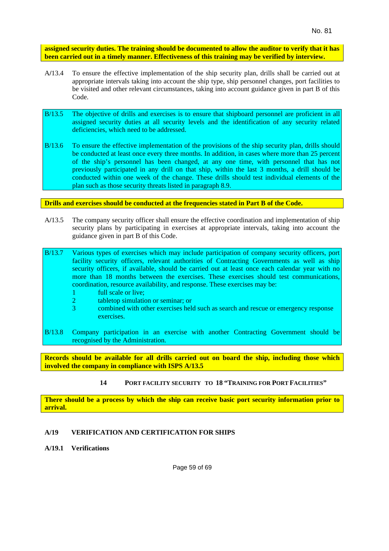**assigned security duties. The training should be documented to allow the auditor to verify that it has been carried out in a timely manner. Effectiveness of this training may be verified by interview.**

- A**/**13.4 To ensure the effective implementation of the ship security plan, drills shall be carried out at appropriate intervals taking into account the ship type, ship personnel changes, port facilities to be visited and other relevant circumstances, taking into account guidance given in part B of this Code.
- B/13.5 The objective of drills and exercises is to ensure that shipboard personnel are proficient in all assigned security duties at all security levels and the identification of any security related deficiencies, which need to be addressed.
- B/13.6 To ensure the effective implementation of the provisions of the ship security plan, drills should be conducted at least once every three months. In addition, in cases where more than 25 percent of the ship's personnel has been changed, at any one time, with personnel that has not previously participated in any drill on that ship, within the last 3 months, a drill should be conducted within one week of the change. These drills should test individual elements of the plan such as those security threats listed in paragraph 8.9.

**Drills and exercises should be conducted at the frequencies stated in Part B of the Code.**

- A**/**13.5 The company security officer shall ensure the effective coordination and implementation of ship security plans by participating in exercises at appropriate intervals, taking into account the guidance given in part B of this Code.
- B/13.7 Various types of exercises which may include participation of company security officers, port facility security officers, relevant authorities of Contracting Governments as well as ship security officers, if available, should be carried out at least once each calendar year with no more than 18 months between the exercises. These exercises should test communications, coordination, resource availability, and response. These exercises may be:
	- 1 full scale or live;
	- 2 tabletop simulation or seminar; or
	- 3 combined with other exercises held such as search and rescue or emergency response exercises.
- B/13.8 Company participation in an exercise with another Contracting Government should be recognised by the Administration.

**Records should be available for all drills carried out on board the ship, including those which involved the company in compliance with ISPS A/13.5**

# **14 PORT FACILITY SECURITY TO 18 "TRAINING FOR PORT FACILITIES"**

**There should be a process by which the ship can receive basic port security information prior to arrival.**

# **A/19 VERIFICATION AND CERTIFICATION FOR SHIPS**

**A/19.1 Verifications**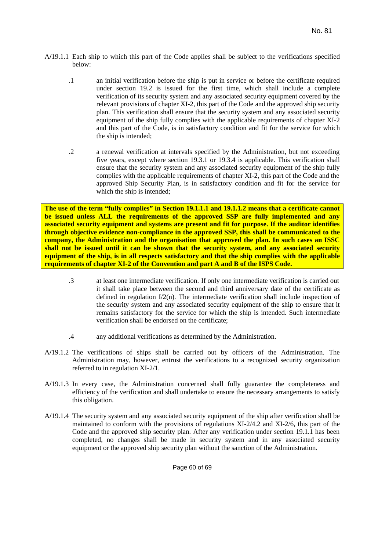- A**/**19.1.1 Each ship to which this part of the Code applies shall be subject to the verifications specified below:
	- .1 an initial verification before the ship is put in service or before the certificate required under section 19.2 is issued for the first time, which shall include a complete verification of its security system and any associated security equipment covered by the relevant provisions of chapter XI-2, this part of the Code and the approved ship security plan. This verification shall ensure that the security system and any associated security equipment of the ship fully complies with the applicable requirements of chapter XI-2 and this part of the Code, is in satisfactory condition and fit for the service for which the ship is intended;
	- .2 a renewal verification at intervals specified by the Administration, but not exceeding five years, except where section 19.3.1 or 19.3.4 is applicable. This verification shall ensure that the security system and any associated security equipment of the ship fully complies with the applicable requirements of chapter XI-2, this part of the Code and the approved Ship Security Plan, is in satisfactory condition and fit for the service for which the ship is intended;

**The use of the term "fully complies" in Section 19.1.1.1 and 19.1.1.2 means that a certificate cannot be issued unless ALL the requirements of the approved SSP are fully implemented and any associated security equipment and systems are present and fit for purpose. If the auditor identifies through objective evidence non-compliance in the approved SSP, this shall be communicated to the company, the Administration and the organisation that approved the plan. In such cases an ISSC shall not be issued until it can be shown that the security system, and any associated security equipment of the ship, is in all respects satisfactory and that the ship complies with the applicable requirements of chapter XI-2 of the Convention and part A and B of the ISPS Code.**

- .3 at least one intermediate verification. If only one intermediate verification is carried out it shall take place between the second and third anniversary date of the certificate as defined in regulation I/2(n). The intermediate verification shall include inspection of the security system and any associated security equipment of the ship to ensure that it remains satisfactory for the service for which the ship is intended. Such intermediate verification shall be endorsed on the certificate;
- .4 any additional verifications as determined by the Administration.
- A**/**19.1.2 The verifications of ships shall be carried out by officers of the Administration. The Administration may, however, entrust the verifications to a recognized security organization referred to in regulation XI-2/1.
- A**/**19.1.3 In every case, the Administration concerned shall fully guarantee the completeness and efficiency of the verification and shall undertake to ensure the necessary arrangements to satisfy this obligation.
- A**/**19.1.4 The security system and any associated security equipment of the ship after verification shall be maintained to conform with the provisions of regulations XI-2/4.2 and XI-2/6, this part of the Code and the approved ship security plan. After any verification under section 19.1.1 has been completed, no changes shall be made in security system and in any associated security equipment or the approved ship security plan without the sanction of the Administration.

Page 60 of 69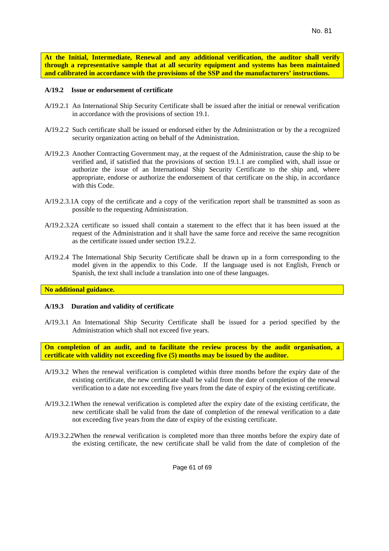**At the Initial, Intermediate, Renewal and any additional verification, the auditor shall verify through a representative sample that at all security equipment and systems has been maintained and calibrated in accordance with the provisions of the SSP and the manufacturers' instructions.**

#### **A/19.2 Issue or endorsement of certificate**

- A**/**19.2.1 An International Ship Security Certificate shall be issued after the initial or renewal verification in accordance with the provisions of section 19.1.
- A**/**19.2.2 Such certificate shall be issued or endorsed either by the Administration or by the a recognized security organization acting on behalf of the Administration.
- A**/**19.2.3 Another Contracting Government may, at the request of the Administration, cause the ship to be verified and, if satisfied that the provisions of section 19.1.1 are complied with, shall issue or authorize the issue of an International Ship Security Certificate to the ship and, where appropriate, endorse or authorize the endorsement of that certificate on the ship, in accordance with this Code.
- A**/**19.2.3.1A copy of the certificate and a copy of the verification report shall be transmitted as soon as possible to the requesting Administration.
- A**/**19.2.3.2A certificate so issued shall contain a statement to the effect that it has been issued at the request of the Administration and it shall have the same force and receive the same recognition as the certificate issued under section 19.2.2.
- A**/**19.2.4 The International Ship Security Certificate shall be drawn up in a form corresponding to the model given in the appendix to this Code. If the language used is not English, French or Spanish, the text shall include a translation into one of these languages.

## **No additional guidance.**

#### **A/19.3 Duration and validity of certificate**

A**/**19.3.1 An International Ship Security Certificate shall be issued for a period specified by the Administration which shall not exceed five years.

**On completion of an audit, and to facilitate the review process by the audit organisation, a certificate with validity not exceeding five (5) months may be issued by the auditor.**

- A**/**19.3.2 When the renewal verification is completed within three months before the expiry date of the existing certificate, the new certificate shall be valid from the date of completion of the renewal verification to a date not exceeding five years from the date of expiry of the existing certificate.
- A**/**19.3.2.1When the renewal verification is completed after the expiry date of the existing certificate, the new certificate shall be valid from the date of completion of the renewal verification to a date not exceeding five years from the date of expiry of the existing certificate.
- A**/**19.3.2.2When the renewal verification is completed more than three months before the expiry date of the existing certificate, the new certificate shall be valid from the date of completion of the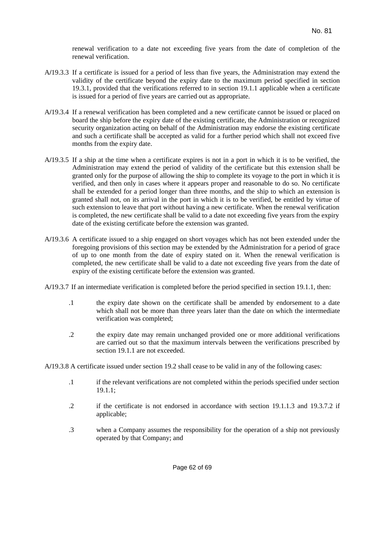renewal verification to a date not exceeding five years from the date of completion of the renewal verification.

- A**/**19.3.3 If a certificate is issued for a period of less than five years, the Administration may extend the validity of the certificate beyond the expiry date to the maximum period specified in section 19.3.1, provided that the verifications referred to in section 19.1.1 applicable when a certificate is issued for a period of five years are carried out as appropriate.
- A**/**19.3.4 If a renewal verification has been completed and a new certificate cannot be issued or placed on board the ship before the expiry date of the existing certificate, the Administration or recognized security organization acting on behalf of the Administration may endorse the existing certificate and such a certificate shall be accepted as valid for a further period which shall not exceed five months from the expiry date.
- A**/**19.3.5 If a ship at the time when a certificate expires is not in a port in which it is to be verified, the Administration may extend the period of validity of the certificate but this extension shall be granted only for the purpose of allowing the ship to complete its voyage to the port in which it is verified, and then only in cases where it appears proper and reasonable to do so. No certificate shall be extended for a period longer than three months, and the ship to which an extension is granted shall not, on its arrival in the port in which it is to be verified, be entitled by virtue of such extension to leave that port without having a new certificate. When the renewal verification is completed, the new certificate shall be valid to a date not exceeding five years from the expiry date of the existing certificate before the extension was granted.
- A**/**19.3.6 A certificate issued to a ship engaged on short voyages which has not been extended under the foregoing provisions of this section may be extended by the Administration for a period of grace of up to one month from the date of expiry stated on it. When the renewal verification is completed, the new certificate shall be valid to a date not exceeding five years from the date of expiry of the existing certificate before the extension was granted.
- A**/**19.3.7 If an intermediate verification is completed before the period specified in section 19.1.1, then:
	- .1 the expiry date shown on the certificate shall be amended by endorsement to a date which shall not be more than three years later than the date on which the intermediate verification was completed;
	- .2 the expiry date may remain unchanged provided one or more additional verifications are carried out so that the maximum intervals between the verifications prescribed by section 19.1.1 are not exceeded.

A**/**19.3.8 A certificate issued under section 19.2 shall cease to be valid in any of the following cases:

- .1 if the relevant verifications are not completed within the periods specified under section 19.1.1;
- .2 if the certificate is not endorsed in accordance with section 19.1.1.3 and 19.3.7.2 if applicable;
- .3 when a Company assumes the responsibility for the operation of a ship not previously operated by that Company; and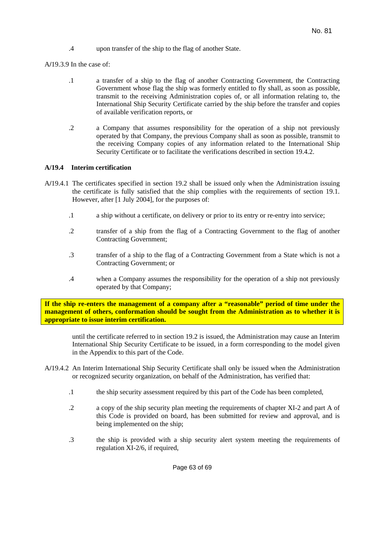.4 upon transfer of the ship to the flag of another State.

A**/**19.3.9 In the case of:

- .1 a transfer of a ship to the flag of another Contracting Government, the Contracting Government whose flag the ship was formerly entitled to fly shall, as soon as possible, transmit to the receiving Administration copies of, or all information relating to, the International Ship Security Certificate carried by the ship before the transfer and copies of available verification reports, or
- .2 a Company that assumes responsibility for the operation of a ship not previously operated by that Company, the previous Company shall as soon as possible, transmit to the receiving Company copies of any information related to the International Ship Security Certificate or to facilitate the verifications described in section 19.4.2.

## **A/19.4 Interim certification**

- A**/**19.4.1 The certificates specified in section 19.2 shall be issued only when the Administration issuing the certificate is fully satisfied that the ship complies with the requirements of section 19.1. However, after [1 July 2004], for the purposes of:
	- .1 a ship without a certificate, on delivery or prior to its entry or re-entry into service;
	- .2 transfer of a ship from the flag of a Contracting Government to the flag of another Contracting Government;
	- .3 transfer of a ship to the flag of a Contracting Government from a State which is not a Contracting Government; or
	- .4 when a Company assumes the responsibility for the operation of a ship not previously operated by that Company;

**If the ship re-enters the management of a company after a "reasonable" period of time under the management of others, conformation should be sought from the Administration as to whether it is appropriate to issue interim certification.**

until the certificate referred to in section 19.2 is issued, the Administration may cause an Interim International Ship Security Certificate to be issued, in a form corresponding to the model given in the Appendix to this part of the Code.

- A**/**19.4.2 An Interim International Ship Security Certificate shall only be issued when the Administration or recognized security organization, on behalf of the Administration, has verified that:
	- .1 the ship security assessment required by this part of the Code has been completed,
	- .2 a copy of the ship security plan meeting the requirements of chapter XI-2 and part A of this Code is provided on board, has been submitted for review and approval, and is being implemented on the ship;
	- .3 the ship is provided with a ship security alert system meeting the requirements of regulation XI-2/6, if required,

Page 63 of 69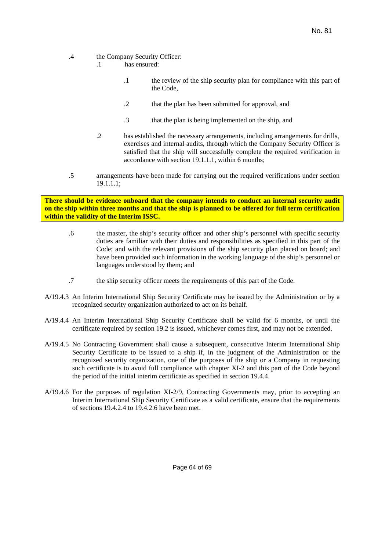## .4 the Company Security Officer:

- .1 has ensured:
	- .1 the review of the ship security plan for compliance with this part of the Code,
	- .2 that the plan has been submitted for approval, and
	- .3 that the plan is being implemented on the ship, and
- .2 has established the necessary arrangements, including arrangements for drills, exercises and internal audits, through which the Company Security Officer is satisfied that the ship will successfully complete the required verification in accordance with section 19.1.1.1, within 6 months;
- .5 arrangements have been made for carrying out the required verifications under section 19.1.1.1;

**There should be evidence onboard that the company intends to conduct an internal security audit on the ship within three months and that the ship is planned to be offered for full term certification within the validity of the Interim ISSC.**

- .6 the master, the ship's security officer and other ship's personnel with specific security duties are familiar with their duties and responsibilities as specified in this part of the Code; and with the relevant provisions of the ship security plan placed on board; and have been provided such information in the working language of the ship's personnel or languages understood by them; and
- .7 the ship security officer meets the requirements of this part of the Code.
- A**/**19.4.3 An Interim International Ship Security Certificate may be issued by the Administration or by a recognized security organization authorized to act on its behalf.
- A**/**19.4.4 An Interim International Ship Security Certificate shall be valid for 6 months, or until the certificate required by section 19.2 is issued, whichever comes first, and may not be extended.
- A**/**19.4.5 No Contracting Government shall cause a subsequent, consecutive Interim International Ship Security Certificate to be issued to a ship if, in the judgment of the Administration or the recognized security organization, one of the purposes of the ship or a Company in requesting such certificate is to avoid full compliance with chapter XI-2 and this part of the Code beyond the period of the initial interim certificate as specified in section 19.4.4.
- A**/**19.4.6 For the purposes of regulation XI-2/9, Contracting Governments may, prior to accepting an Interim International Ship Security Certificate as a valid certificate, ensure that the requirements of sections 19.4.2.4 to 19.4.2.6 have been met.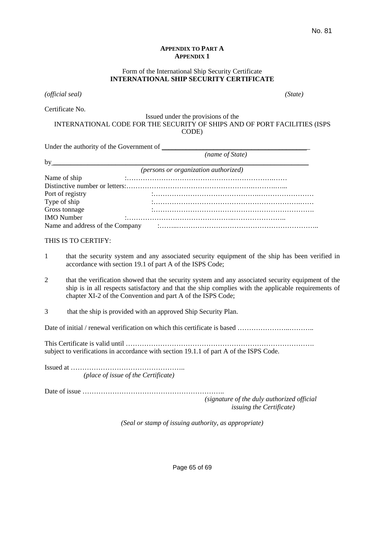#### **APPENDIX TO PART A APPENDIX 1**

### Form of the International Ship Security Certificate **INTERNATIONAL SHIP SECURITY CERTIFICATE**

*(official seal) (State)*

Certificate No.

Issued under the provisions of the INTERNATIONAL CODE FOR THE SECURITY OF SHIPS AND OF PORT FACILITIES (ISPS CODE)

| Under the authority of the Government of |                                      |
|------------------------------------------|--------------------------------------|
|                                          | (name of State)                      |
| by                                       |                                      |
|                                          | (persons or organization authorized) |
| Name of ship                             |                                      |
|                                          |                                      |
| Port of registry                         |                                      |
| Type of ship                             |                                      |
| Gross tonnage                            |                                      |
| <b>IMO</b> Number                        |                                      |
| Name and address of the Company          |                                      |

## THIS IS TO CERTIFY:

- 1 that the security system and any associated security equipment of the ship has been verified in accordance with section 19.1 of part A of the ISPS Code;
- 2 that the verification showed that the security system and any associated security equipment of the ship is in all respects satisfactory and that the ship complies with the applicable requirements of chapter XI-2 of the Convention and part A of the ISPS Code;
- 3 that the ship is provided with an approved Ship Security Plan.

Date of initial / renewal verification on which this certificate is based ……………………………

This Certificate is valid until ………………………………………………………………………. subject to verifications in accordance with section 19.1.1 of part A of the ISPS Code.

Issued at ………………………………………….. *(place of issue of the Certificate)*

Date of issue …………………………………………………….. *(signature of the duly authorized official issuing the Certificate)*

*(Seal or stamp of issuing authority, as appropriate)*

Page 65 of 69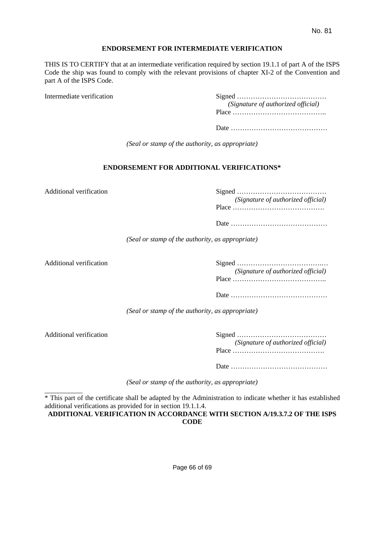#### **ENDORSEMENT FOR INTERMEDIATE VERIFICATION**

THIS IS TO CERTIFY that at an intermediate verification required by section 19.1.1 of part A of the ISPS Code the ship was found to comply with the relevant provisions of chapter XI-2 of the Convention and part A of the ISPS Code.

Intermediate verification Signed 2008.

| (Signature of authorized official) |
|------------------------------------|
|                                    |

Date ……………………………………

*(Seal or stamp of the authority, as appropriate)*

#### **ENDORSEMENT FOR ADDITIONAL VERIFICATIONS\***

Additional verification Signed ………………………………… *(Signature of authorized official)* Place ………………………………….

Date ……………………………………

*(Seal or stamp of the authority, as appropriate)*

Additional verification and the state of the Signed methods of the Signed methods of the Signed methods of the Signed methods of the Signed methods of the Signed methods of the Signed methods of the Signed methods of the S  *(Signature of authorized official)* Place …………………………………..

Date ……………………………………

*(Seal or stamp of the authority, as appropriate)*

\_\_\_\_\_\_\_\_\_\_\_

Additional verification Signed ………………………………… *(Signature of authorized official)* Place ………………………………….

Date ……………………………………

*(Seal or stamp of the authority, as appropriate)*

\* This part of the certificate shall be adapted by the Administration to indicate whether it has established additional verifications as provided for in section 19.1.1.4.

**ADDITIONAL VERIFICATION IN ACCORDANCE WITH SECTION A/19.3.7.2 OF THE ISPS CODE**

Page 66 of 69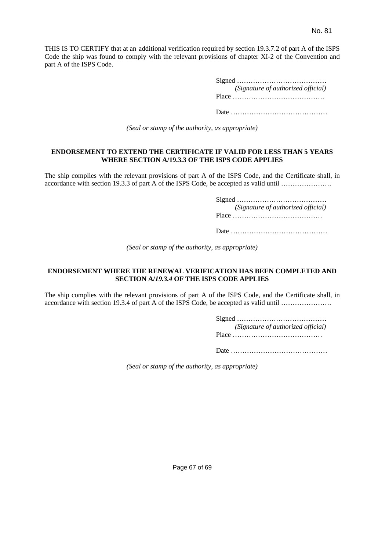THIS IS TO CERTIFY that at an additional verification required by section 19.3.7.2 of part A of the ISPS Code the ship was found to comply with the relevant provisions of chapter XI-2 of the Convention and part A of the ISPS Code.

| (Signature of authorized official) |  |  |  |
|------------------------------------|--|--|--|
|                                    |  |  |  |
|                                    |  |  |  |
|                                    |  |  |  |

*(Seal or stamp of the authority, as appropriate)*

#### **ENDORSEMENT TO EXTEND THE CERTIFICATE IF VALID FOR LESS THAN 5 YEARS WHERE SECTION A/19.3.3 OF THE ISPS CODE APPLIES**

The ship complies with the relevant provisions of part A of the ISPS Code, and the Certificate shall, in accordance with section 19.3.3 of part A of the ISPS Code, be accepted as valid until ………………….

> Signed …………………………………  *(Signature of authorized official)* Place …………………………………

Date ……………………………………

*(Seal or stamp of the authority, as appropriate)*

#### **ENDORSEMENT WHERE THE RENEWAL VERIFICATION HAS BEEN COMPLETED AND SECTION A/***19.3.4* **OF THE ISPS CODE APPLIES**

The ship complies with the relevant provisions of part A of the ISPS Code, and the Certificate shall, in accordance with section 19.3.4 of part A of the ISPS Code, be accepted as valid until ………………….

> Signed …………………………………  *(Signature of authorized official)* Place …………………………………

> Date ……………………………………

*(Seal or stamp of the authority, as appropriate)*

Page 67 of 69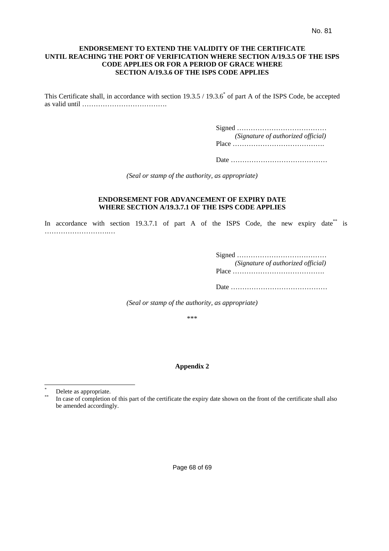#### **ENDORSEMENT TO EXTEND THE VALIDITY OF THE CERTIFICATE UNTIL REACHING THE PORT OF VERIFICATION WHERE SECTION A/19.3.5 OF THE ISPS CODE APPLIES OR FOR A PERIOD OF GRACE WHERE SECTION A/19.3.6 OF THE ISPS CODE APPLIES**

This Certificate shall, in accordance with section 19.3.5 / 19.3.6<sup>\*</sup> of part A of the ISPS Code, be accepted as valid until ……………………………….

> Signed …………………………………  *(Signature of authorized official)* Place ………………………………….

Date ……………………………………

*(Seal or stamp of the authority, as appropriate)*

## **ENDORSEMENT FOR ADVANCEMENT OF EXPIRY DATE WHERE SECTION A/19.3.7.1 OF THE ISPS CODE APPLIES**

In accordance with section  $19.3.7.1$  of part A of the ISPS Code, the new expiry date\*\* is ……………………….…

| (Signature of authorized official) |
|------------------------------------|
|                                    |

Date ……………………………………

*(Seal or stamp of the authority, as appropriate)*

\*\*\*

#### **Appendix 2**

\* Delete as appropriate.

 $\overline{a}$ 

In case of completion of this part of the certificate the expiry date shown on the front of the certificate shall also be amended accordingly.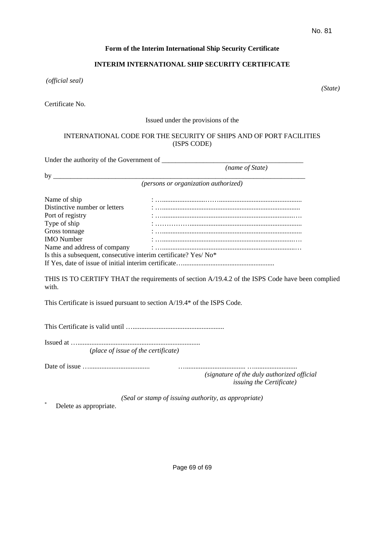#### **Form of the Interim International Ship Security Certificate**

# **INTERIM INTERNATIONAL SHIP SECURITY CERTIFICATE**

*(official seal)*

Certificate No.

### Issued under the provisions of the

## INTERNATIONAL CODE FOR THE SECURITY OF SHIPS AND OF PORT FACILITIES (ISPS CODE)

Under the authority of the Government of

|                                                                | (name of State)                      |  |  |
|----------------------------------------------------------------|--------------------------------------|--|--|
| by                                                             | (persons or organization authorized) |  |  |
| Name of ship                                                   |                                      |  |  |
| Distinctive number or letters                                  |                                      |  |  |
| Port of registry                                               |                                      |  |  |
| Type of ship                                                   |                                      |  |  |
| Gross tonnage                                                  |                                      |  |  |
| <b>IMO</b> Number                                              |                                      |  |  |
| Name and address of company                                    |                                      |  |  |
| Is this a subsequent, consecutive interim certificate? Yes/No* |                                      |  |  |
|                                                                |                                      |  |  |

THIS IS TO CERTIFY THAT the requirements of section A*/*19.4.2 of the ISPS Code have been complied with.

This Certificate is issued pursuant to section A/19.4\* of the ISPS Code*.*

This Certificate is valid until ….....................................................

Issued at …....................................................................... (*place of issue of the certificate)*

Date of issue …................................... …................................... ….........................

*(signature of the duly authorized official issuing the Certificate)*

*(Seal or stamp of issuing authority, as appropriate)*

Delete as appropriate.

Page 69 of 69

*(State)*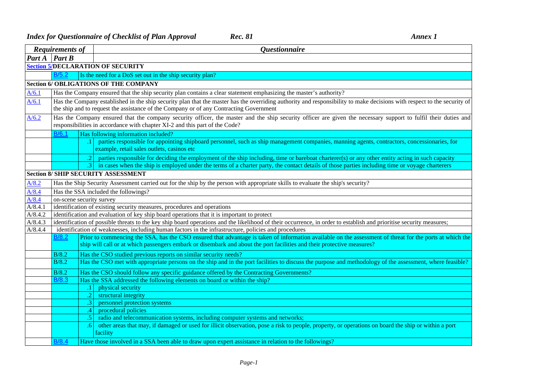|                   | <b>Requirements of</b>                                                                               | <i><b>Ouestionnaire</b></i>                                                                                                                                                                                                                                       |  |
|-------------------|------------------------------------------------------------------------------------------------------|-------------------------------------------------------------------------------------------------------------------------------------------------------------------------------------------------------------------------------------------------------------------|--|
| $Part A$ $Part B$ |                                                                                                      |                                                                                                                                                                                                                                                                   |  |
|                   |                                                                                                      | <b>Section 5/DECLARATION OF SECURITY</b>                                                                                                                                                                                                                          |  |
|                   | B/5.2                                                                                                | Is the need for a DoS set out in the ship security plan?                                                                                                                                                                                                          |  |
|                   |                                                                                                      | <b>Section 6/ OBLIGATIONS OF THE COMPANY</b>                                                                                                                                                                                                                      |  |
| A/6.1             |                                                                                                      | Has the Company ensured that the ship security plan contains a clear statement emphasizing the master's authority?                                                                                                                                                |  |
| A/6.1             |                                                                                                      | Has the Company established in the ship security plan that the master has the overriding authority and responsibility to make decisions with respect to the security of<br>the ship and to request the assistance of the Company or of any Contracting Government |  |
| A/6.2             |                                                                                                      | Has the Company ensured that the company security officer, the master and the ship security officer are given the necessary support to fulfil their duties and<br>responsibilities in accordance with chapter XI-2 and this part of the Code?                     |  |
|                   | B/6.1                                                                                                | Has following information included?                                                                                                                                                                                                                               |  |
|                   |                                                                                                      | parties responsible for appointing shipboard personnel, such as ship management companies, manning agents, contractors, concessionaries, for<br>$\lceil \cdot \rceil$<br>example, retail sales outlets, casinos etc                                               |  |
|                   |                                                                                                      | 2. parties responsible for deciding the employment of the ship including, time or bareboat charterer(s) or any other entity acting in such capacity                                                                                                               |  |
|                   |                                                                                                      | .3 in cases when the ship is employed under the terms of a charter party, the contact details of those parties including time or voyage charterers                                                                                                                |  |
|                   |                                                                                                      | <b>Section 8/ SHIP SECURITY ASSESSMENT</b>                                                                                                                                                                                                                        |  |
| A/8.2             |                                                                                                      | Has the Ship Security Assessment carried out for the ship by the person with appropriate skills to evaluate the ship's security?                                                                                                                                  |  |
| A/8.4             | Has the SSA included the followings?                                                                 |                                                                                                                                                                                                                                                                   |  |
| A/8.4             |                                                                                                      | on-scene security survey                                                                                                                                                                                                                                          |  |
| A/8.4.1           |                                                                                                      | identification of existing security measures, procedures and operations                                                                                                                                                                                           |  |
| A/8.4.2           |                                                                                                      | identification and evaluation of key ship board operations that it is important to protect                                                                                                                                                                        |  |
| A/8.4.3           |                                                                                                      | identification of possible threats to the key ship board operations and the likelihood of their occurrence, in order to establish and prioritise security measures;                                                                                               |  |
| A/8.4.4           | identification of weaknesses, including human factors in the infrastructure, policies and procedures |                                                                                                                                                                                                                                                                   |  |
|                   | B/8.2                                                                                                | Prior to commencing the SSA, has the CSO ensured that advantage is taken of information available on the assessment of threat for the ports at which the                                                                                                          |  |
|                   |                                                                                                      | ship will call or at which passengers embark or disembark and about the port facilities and their protective measures?                                                                                                                                            |  |
|                   | B/8.2                                                                                                | Has the CSO studied previous reports on similar security needs?                                                                                                                                                                                                   |  |
|                   | B/8.2                                                                                                | Has the CSO met with appropriate persons on the ship and in the port facilities to discuss the purpose and methodology of the assessment, where feasible?                                                                                                         |  |
|                   | B/8.2                                                                                                | Has the CSO should follow any specific guidance offered by the Contracting Governments?                                                                                                                                                                           |  |
|                   | B/8.3                                                                                                | Has the SSA addressed the following elements on board or within the ship?                                                                                                                                                                                         |  |
|                   |                                                                                                      | $\vert .1 \vert$ physical security                                                                                                                                                                                                                                |  |
|                   |                                                                                                      | $.2$ structural integrity                                                                                                                                                                                                                                         |  |
|                   |                                                                                                      | personnel protection systems<br>$.3\dagger$                                                                                                                                                                                                                       |  |
|                   |                                                                                                      | procedural policies<br>.4 <sub>1</sub>                                                                                                                                                                                                                            |  |
|                   |                                                                                                      | radio and telecommunication systems, including computer systems and networks;<br>.5 <sub>1</sub>                                                                                                                                                                  |  |
|                   |                                                                                                      | other areas that may, if damaged or used for illicit observation, pose a risk to people, property, or operations on board the ship or within a port<br>.6 <sub>1</sub><br>facility                                                                                |  |
|                   | B/8.4                                                                                                | Have those involved in a SSA been able to draw upon expert assistance in relation to the followings?                                                                                                                                                              |  |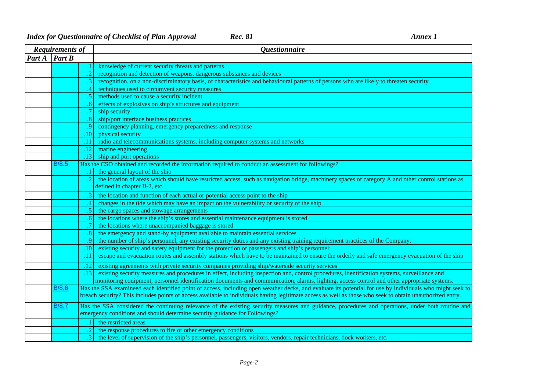# *Index for Questionnaire of Checklist of Plan Approval Rec. 81 Annex 1*

| <b>Requirements of</b> |       |                  | <i><b>Ouestionnaire</b></i>                                                                                                                               |  |
|------------------------|-------|------------------|-----------------------------------------------------------------------------------------------------------------------------------------------------------|--|
| $Part A$ Part B        |       |                  |                                                                                                                                                           |  |
|                        |       |                  | knowledge of current security threats and patterns                                                                                                        |  |
|                        |       | $\cdot$ .2       | recognition and detection of weapons, dangerous substances and devices                                                                                    |  |
|                        |       | .3 <sup>°</sup>  | recognition, on a non-discriminatory basis, of characteristics and behavioural patterns of persons who are likely to threaten security                    |  |
|                        |       | $\mathcal{A}$    | techniques used to circumvent security measures                                                                                                           |  |
|                        |       | $.5\,$           | methods used to cause a security incident                                                                                                                 |  |
|                        |       | .6 <sub>1</sub>  | effects of explosives on ship's structures and equipment                                                                                                  |  |
|                        |       | .7               | ship security                                                                                                                                             |  |
|                        |       |                  | ship/port interface business practices                                                                                                                    |  |
|                        |       |                  | contingency planning, emergency preparedness and response                                                                                                 |  |
|                        |       |                  | $.10$ physical security                                                                                                                                   |  |
|                        |       | .11              | radio and telecommunications systems, including computer systems and networks                                                                             |  |
|                        |       | .12              | marine engineering                                                                                                                                        |  |
|                        |       | .13 <sup>1</sup> | ship and port operations                                                                                                                                  |  |
|                        | B/8.5 |                  | Has the CSO obtained and recorded the information required to conduct an assessment for followings?                                                       |  |
|                        |       | .1               | the general layout of the ship                                                                                                                            |  |
|                        |       | $\cdot$ .2       | the location of areas which should have restricted access, such as navigation bridge, machinery spaces of category A and other control stations as        |  |
|                        |       |                  | defined in chapter II-2, etc.                                                                                                                             |  |
|                        |       | $\mathbf{.3}$    | the location and function of each actual or potential access point to the ship                                                                            |  |
|                        |       |                  | changes in the tide which may have an impact on the vulnerability or security of the ship                                                                 |  |
|                        |       | $.5\,$           | the cargo spaces and stowage arrangements                                                                                                                 |  |
|                        |       | .6 <sup>1</sup>  | the locations where the ship's stores and essential maintenance equipment is stored                                                                       |  |
|                        |       |                  | the locations where unaccompanied baggage is stored                                                                                                       |  |
|                        |       | .8 <sub>l</sub>  | the emergency and stand-by equipment available to maintain essential services                                                                             |  |
|                        |       | .9               | the number of ship's personnel, any existing security duties and any existing training requirement practices of the Company;                              |  |
|                        |       | .10 <sub>l</sub> | existing security and safety equipment for the protection of passengers and ship's personnel;                                                             |  |
|                        |       | $.11\,$          | escape and evacuation routes and assembly stations which have to be maintained to ensure the orderly and safe emergency evacuation of the ship            |  |
|                        |       | .12              | existing agreements with private security companies providing ship/waterside security services                                                            |  |
|                        |       | .13              | existing security measures and procedures in effect, including inspection and, control procedures, identification systems, surveillance and               |  |
|                        |       |                  | monitoring equipment, personnel identification documents and communication, alarms, lighting, access control and other appropriate systems.               |  |
|                        | B/8.6 |                  | Has the SSA examineed each identified point of access, including open weather decks, and evaluate its potential for use by individuals who might seek to  |  |
|                        |       |                  | breach security? This includes points of access available to individuals having legitimate access as well as those who seek to obtain unauthorized entry. |  |
|                        | B/8.7 |                  | Has the SSA considered the continuing relevance of the existing security measures and guidance, procedures and operations, under both routine and         |  |
|                        |       |                  | emergency conditions and should determine security guidance for Followings?                                                                               |  |
|                        |       |                  | the restricted areas                                                                                                                                      |  |
|                        |       |                  | the response procedures to fire or other emergency conditions                                                                                             |  |
|                        |       | $\mathbf{.3}$    | the level of supervision of the ship's personnel, passengers, visitors, vendors, repair technicians, dock workers, etc.                                   |  |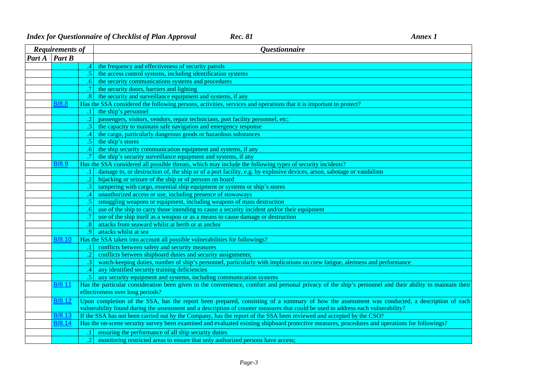# *Index for Questionnaire of Checklist of Plan Approval Rec. 81 Annex 1*

| <b>Requirements of</b> |               |                 | <i><b>Ouestionnaire</b></i>                                                                                                                              |
|------------------------|---------------|-----------------|----------------------------------------------------------------------------------------------------------------------------------------------------------|
| $Part A$ $Part B$      |               |                 |                                                                                                                                                          |
|                        |               | .4 <sub>1</sub> | the frequency and effectiveness of security patrols                                                                                                      |
|                        |               | .5 <sup>1</sup> | the access control systems, including identification systems                                                                                             |
|                        |               | .61             | the security communications systems and procedures                                                                                                       |
|                        |               |                 | the security doors, barriers and lighting                                                                                                                |
|                        |               | .8 <sub>1</sub> | the security and surveillance equipment and systems, if any                                                                                              |
|                        | B/8.8         |                 | Has the SSA considered the following persons, activities, services and operations that it is important to protect?                                       |
|                        |               | $\overline{1}$  | the ship's personnel                                                                                                                                     |
|                        |               | 2               | passengers, visitors, vendors, repair technicians, port facility personnel, etc;                                                                         |
|                        |               | .3 <sup>1</sup> | the capacity to maintain safe navigation and emergency response                                                                                          |
|                        |               | $\mathcal{A}$   | the cargo, particularly dangerous goods or hazardous substances                                                                                          |
|                        |               | .5 <sup>1</sup> | the ship's stores                                                                                                                                        |
|                        |               | .6 <sub>1</sub> | the ship security communication equipment and systems, if any                                                                                            |
|                        |               |                 | the ship's security surveillance equipment and systems, if any                                                                                           |
|                        | <b>B/8.9</b>  |                 | Has the SSA considered all possible threats, which may include the following types of security incidents?                                                |
|                        |               |                 | damage to, or destruction of, the ship or of a port facility, e.g. by explosive devices, arson, sabotage or vandalism                                    |
|                        |               | 2               | hijacking or seizure of the ship or of persons on board                                                                                                  |
|                        |               | .3 <sup>1</sup> | tampering with cargo, essential ship equipment or systems or ship's stores                                                                               |
|                        |               | .4 <sub>1</sub> | unauthorized access or use, including presence of stowaways                                                                                              |
|                        |               | .5 <sup>1</sup> | smuggling weapons or equipment, including weapons of mass destruction                                                                                    |
|                        |               | .61             | use of the ship to carry those intending to cause a security incident and/or their equipment                                                             |
|                        |               |                 | use of the ship itself as a weapon or as a means to cause damage or destruction                                                                          |
|                        |               | .8 <sub>1</sub> | attacks from seaward whilst at berth or at anchor                                                                                                        |
|                        |               | .9 <sub>1</sub> | attacks whilst at sea                                                                                                                                    |
|                        | B/8.10        |                 | Has the SSA taken into account all possible vulnerabilities for followings?                                                                              |
|                        |               | $\blacksquare$  | conflicts between safety and security measures                                                                                                           |
|                        |               | .2 <sub>1</sub> | conflicts between shipboard duties and security assignments;                                                                                             |
|                        |               |                 | 3.3 watch-keeping duties, number of ship's personnel, particularly with implications on crew fatigue, alertness and performance                          |
|                        |               | $\mathcal{A}$   | any identified security training deficiencies                                                                                                            |
|                        |               | .5 <sup>1</sup> | any security equipment and systems, including communication systems                                                                                      |
|                        | B/8.11        |                 | Has the particular consideration been given to the convenience, comfort and personal privacy of the ship's personnel and their ability to maintain their |
|                        |               |                 | effectiveness over long periods?                                                                                                                         |
|                        | B/8.12        |                 | Upon completion of the SSA, has the report been prepared, consisting of a summary of how the assessment was conducted, a description of each             |
|                        |               |                 | vulnerability found during the assessment and a description of counter measures that could be used to address each vulnerability?                        |
|                        | B/8.13        |                 | If the SSA has not been carried out by the Company, has the report of the SSA been reviewed and accepted by the CSO?                                     |
|                        | <b>B/8.14</b> |                 | Has the on-scene security survey been examined and evaluated existing shipboard protective measures, procedures and operations for followings?           |
|                        |               |                 | ensuring the performance of all ship security duties                                                                                                     |
|                        |               | $\vert 2 \vert$ | monitoring restricted areas to ensure that only authorized persons have access;                                                                          |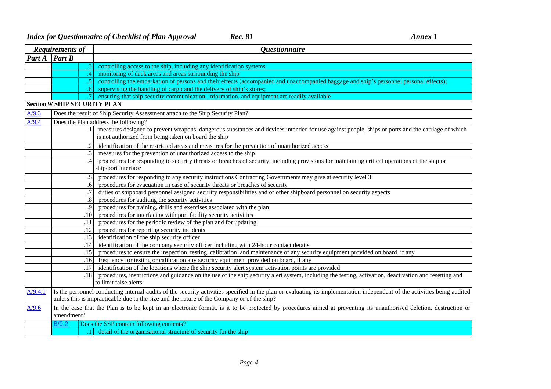| <b>Requirements of</b> |                                      | <i><b>Ouestionnaire</b></i>                                                                                                                                                                                                                                             |
|------------------------|--------------------------------------|-------------------------------------------------------------------------------------------------------------------------------------------------------------------------------------------------------------------------------------------------------------------------|
| $Part A$ Part B        |                                      |                                                                                                                                                                                                                                                                         |
|                        | $\lceil 3 \rceil$                    | controlling access to the ship, including any identification systems                                                                                                                                                                                                    |
|                        | .4                                   | monitoring of deck areas and areas surrounding the ship                                                                                                                                                                                                                 |
|                        | .5 <sup>1</sup>                      | controlling the embarkation of persons and their effects (accompanied and unaccompanied baggage and ship's personnel personal effects);                                                                                                                                 |
|                        | .6 <sup>1</sup>                      | supervising the handling of cargo and the delivery of ship's stores;                                                                                                                                                                                                    |
|                        | .7 <sup>1</sup>                      | ensuring that ship security communication, information, and equipment are readily available                                                                                                                                                                             |
|                        | <b>Section 9/ SHIP SECURITY PLAN</b> |                                                                                                                                                                                                                                                                         |
| A/9.3                  |                                      | Does the result of Ship Security Assessment attach to the Ship Security Plan?                                                                                                                                                                                           |
| A/9.4                  |                                      | Does the Plan address the following?                                                                                                                                                                                                                                    |
|                        | $\cdot$ 1                            | measures designed to prevent weapons, dangerous substances and devices intended for use against people, ships or ports and the carriage of which<br>is not authorized from being taken on board the ship                                                                |
|                        |                                      | identification of the restricted areas and measures for the prevention of unauthorized access                                                                                                                                                                           |
|                        |                                      | measures for the prevention of unauthorized access to the ship                                                                                                                                                                                                          |
|                        | $\cdot$                              | procedures for responding to security threats or breaches of security, including provisions for maintaining critical operations of the ship or<br>ship/port interface                                                                                                   |
|                        |                                      | procedures for responding to any security instructions Contracting Governments may give at security level 3                                                                                                                                                             |
|                        |                                      | procedures for evacuation in case of security threats or breaches of security                                                                                                                                                                                           |
|                        |                                      | duties of shipboard personnel assigned security responsibilities and of other shipboard personnel on security aspects                                                                                                                                                   |
|                        | $\cdot$ 8                            | procedures for auditing the security activities                                                                                                                                                                                                                         |
|                        | 9.                                   | procedures for training, drills and exercises associated with the plan                                                                                                                                                                                                  |
|                        | .10                                  | procedures for interfacing with port facility security activities                                                                                                                                                                                                       |
|                        | .11                                  | procedures for the periodic review of the plan and for updating                                                                                                                                                                                                         |
|                        | .12                                  | procedures for reporting security incidents                                                                                                                                                                                                                             |
|                        | .13 <sub>l</sub>                     | identification of the ship security officer                                                                                                                                                                                                                             |
|                        | .14                                  | identification of the company security officer including with 24-hour contact details                                                                                                                                                                                   |
|                        | .15                                  | procedures to ensure the inspection, testing, calibration, and maintenance of any security equipment provided on board, if any                                                                                                                                          |
|                        | .16                                  | frequency for testing or calibration any security equipment provided on board, if any                                                                                                                                                                                   |
|                        | .17                                  | identification of the locations where the ship security alert system activation points are provided                                                                                                                                                                     |
|                        | .18                                  | procedures, instructions and guidance on the use of the ship security alert system, including the testing, activation, deactivation and resetting and<br>to limit false alerts                                                                                          |
| A/9.4.1                |                                      | Is the personnel conducting internal audits of the security activities specified in the plan or evaluating its implementation independent of the activities being audited<br>unless this is impracticable due to the size and the nature of the Company or of the ship? |
| A/9.6                  | amendment?                           | In the case that the Plan is to be kept in an electronic format, is it to be protected by procedures aimed at preventing its unauthorised deletion, destruction or                                                                                                      |
|                        | B/9.2                                | Does the SSP contain following contents?                                                                                                                                                                                                                                |
|                        |                                      | detail of the organizational structure of security for the ship                                                                                                                                                                                                         |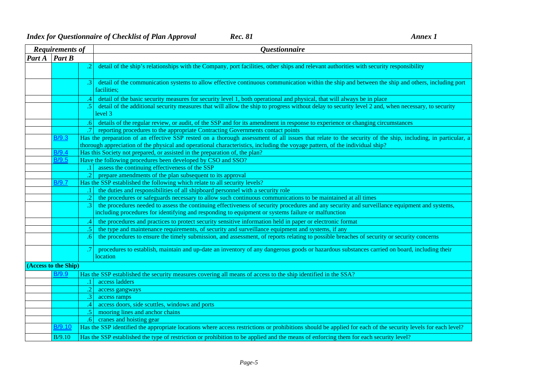| <b>Requirements of</b> |                      |                  | <i><b>Ouestionnaire</b></i>                                                                                                                                                                                                                                                                |
|------------------------|----------------------|------------------|--------------------------------------------------------------------------------------------------------------------------------------------------------------------------------------------------------------------------------------------------------------------------------------------|
| Part A                 | Part B               |                  |                                                                                                                                                                                                                                                                                            |
|                        |                      | $\cdot$ 2.       | detail of the ship's relationships with the Company, port facilities, other ships and relevant authorities with security responsibility                                                                                                                                                    |
|                        |                      | .3 <sup>1</sup>  | detail of the communication systems to allow effective continuous communication within the ship and between the ship and others, including port<br>facilities:                                                                                                                             |
|                        |                      |                  | detail of the basic security measures for security level 1, both operational and physical, that will always be in place                                                                                                                                                                    |
|                        |                      | $\overline{.5}$  | detail of the additional security measures that will allow the ship to progress without delay to security level 2 and, when necessary, to security<br>level 3                                                                                                                              |
|                        |                      | .6 <sub>1</sub>  | details of the regular review, or audit, of the SSP and for its amendment in response to experience or changing circumstances                                                                                                                                                              |
|                        |                      |                  | reporting procedures to the appropriate Contracting Governments contact points                                                                                                                                                                                                             |
|                        | B/9.3                |                  | Has the preparation of an effective SSP rested on a thorough assessment of all issues that relate to the security of the ship, including, in particular, a<br>thorough appreciation of the physical and operational characteristics, including the voyage pattern, of the individual ship? |
|                        | B/9.4                |                  | Has this Society not prepared, or assisted in the preparation of, the plan?                                                                                                                                                                                                                |
|                        | B/9.5                |                  | Have the following procedures been developed by CSO and SSO?                                                                                                                                                                                                                               |
|                        |                      | $\vert .1 \vert$ | assess the continuing effectiveness of the SSP                                                                                                                                                                                                                                             |
|                        |                      | $\overline{.2}$  | prepare amendments of the plan subsequent to its approval                                                                                                                                                                                                                                  |
|                        | B/9.7                |                  | Has the SSP established the following which relate to all security levels?                                                                                                                                                                                                                 |
|                        |                      |                  | the duties and responsibilities of all shipboard personnel with a security role                                                                                                                                                                                                            |
|                        |                      | $\overline{.2}$  | the procedures or safeguards necessary to allow such continuous communications to be maintained at all times                                                                                                                                                                               |
|                        |                      | .3               | the procedures needed to assess the continuing effectiveness of security procedures and any security and surveillance equipment and systems,<br>including procedures for identifying and responding to equipment or systems failure or malfunction                                         |
|                        |                      | $\mathcal{A}$    | the procedures and practices to protect security sensitive information held in paper or electronic format                                                                                                                                                                                  |
|                        |                      | .5 <sub>1</sub>  | the type and maintenance requirements, of security and surveillance equipment and systems, if any                                                                                                                                                                                          |
|                        |                      | .6 <sub>1</sub>  | the procedures to ensure the timely submission, and assessment, of reports relating to possible breaches of security or security concerns                                                                                                                                                  |
|                        |                      | .7               | procedures to establish, maintain and up-date an inventory of any dangerous goods or hazardous substances carried on board, including their<br>location                                                                                                                                    |
|                        | (Access to the Ship) |                  |                                                                                                                                                                                                                                                                                            |
|                        | B/9.9                |                  | Has the SSP established the security measures covering all means of access to the ship identified in the SSA?                                                                                                                                                                              |
|                        |                      | $\cdot$ 1        | access ladders                                                                                                                                                                                                                                                                             |
|                        |                      | $\overline{.2}$  | access gangways                                                                                                                                                                                                                                                                            |
|                        |                      | $\mathbf{.3}$    | access ramps                                                                                                                                                                                                                                                                               |
|                        |                      | $\mathcal{A}$    | access doors, side scuttles, windows and ports                                                                                                                                                                                                                                             |
|                        |                      | .5 <sub>1</sub>  | mooring lines and anchor chains                                                                                                                                                                                                                                                            |
|                        |                      | .6 <sub>1</sub>  | cranes and hoisting gear                                                                                                                                                                                                                                                                   |
|                        | B/9.10               |                  | Has the SSP identified the appropriate locations where access restrictions or prohibitions should be applied for each of the security levels for each level?                                                                                                                               |
|                        | B/9.10               |                  | Has the SSP established the type of restriction or prohibition to be applied and the means of enforcing them for each security level?                                                                                                                                                      |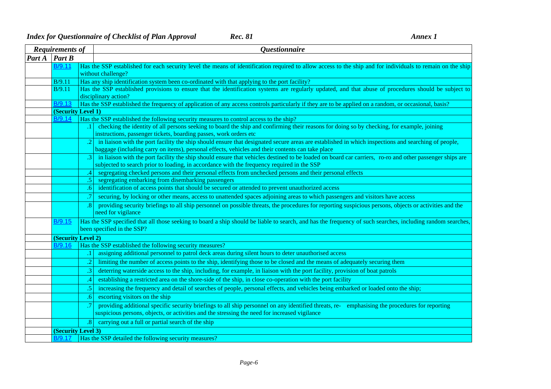| <b>Requirements of</b> |                     | <i><b>Ouestionnaire</b></i>                                                                                                                                                                                                                             |
|------------------------|---------------------|---------------------------------------------------------------------------------------------------------------------------------------------------------------------------------------------------------------------------------------------------------|
| $Part A$ $Part B$      |                     |                                                                                                                                                                                                                                                         |
| B/9.11                 |                     | Has the SSP established for each security level the means of identification required to allow access to the ship and for individuals to remain on the ship                                                                                              |
|                        |                     | without challenge?                                                                                                                                                                                                                                      |
| B/9.11                 |                     | Has any ship identification system been co-ordinated with that applying to the port facility?                                                                                                                                                           |
| B/9.11                 |                     | Has the SSP established provisions to ensure that the identification systems are regularly updated, and that abuse of procedures should be subject to                                                                                                   |
|                        |                     | disciplinary action?                                                                                                                                                                                                                                    |
| B/9.13                 |                     | Has the SSP established the frequency of application of any access controls particularly if they are to be applied on a random, or occasional, basis?                                                                                                   |
| (Security Level 1)     |                     |                                                                                                                                                                                                                                                         |
| B/9.14                 |                     | Has the SSP established the following security measures to control access to the ship?                                                                                                                                                                  |
|                        | .1 <sub>1</sub>     | checking the identity of all persons seeking to board the ship and confirming their reasons for doing so by checking, for example, joining<br>instructions, passenger tickets, boarding passes, work orders etc                                         |
|                        | .2                  | in liaison with the port facility the ship should ensure that designated secure areas are established in which inspections and searching of people,<br>baggage (including carry on items), personal effects, vehicles and their contents can take place |
|                        | $\left  .3 \right $ | in liaison with the port facility the ship should ensure that vehicles destined to be loaded on board car carriers, ro-ro and other passenger ships are<br>subjected to search prior to loading, in accordance with the frequency required in the SSP   |
|                        | $\mathcal{A}$       | segregating checked persons and their personal effects from unchecked persons and their personal effects                                                                                                                                                |
|                        | .5 <sub>1</sub>     | segregating embarking from disembarking passengers                                                                                                                                                                                                      |
|                        | .6 <sub>1</sub>     | identification of access points that should be secured or attended to prevent unauthorized access                                                                                                                                                       |
|                        | $.7\phantom{0}$     | securing, by locking or other means, access to unattended spaces adjoining areas to which passengers and visitors have access                                                                                                                           |
|                        | .8 <sup>1</sup>     | providing security briefings to all ship personnel on possible threats, the procedures for reporting suspicious persons, objects or activities and the<br>need for vigilance                                                                            |
| B/9.15                 |                     | Has the SSP specified that all those seeking to board a ship should be liable to search, and has the frequency of such searches, including random searches,<br>been specified in the SSP?                                                               |
| (Security Level 2)     |                     |                                                                                                                                                                                                                                                         |
| B/9.16                 |                     | Has the SSP established the following security measures?                                                                                                                                                                                                |
|                        | .1                  | assigning additional personnel to patrol deck areas during silent hours to deter unauthorised access                                                                                                                                                    |
|                        | $\cdot$ 2           | limiting the number of access points to the ship, identifying those to be closed and the means of adequately securing them                                                                                                                              |
|                        | .3                  | deterring waterside access to the ship, including, for example, in liaison with the port facility, provision of boat patrols                                                                                                                            |
|                        | $\cdot$ 4           | establishing a restricted area on the shore-side of the ship, in close co-operation with the port facility                                                                                                                                              |
|                        | .5 <sub>1</sub>     | increasing the frequency and detail of searches of people, personal effects, and vehicles being embarked or loaded onto the ship;                                                                                                                       |
|                        | .6 <sup>1</sup>     | escorting visitors on the ship                                                                                                                                                                                                                          |
|                        | $\cdot$ 7           | providing additional specific security briefings to all ship personnel on any identified threats, re- emphasising the procedures for reporting<br>suspicious persons, objects, or activities and the stressing the need for increased vigilance         |
|                        | $\overline{.8}$     | carrying out a full or partial search of the ship                                                                                                                                                                                                       |
| (Security Level 3)     |                     |                                                                                                                                                                                                                                                         |
| B/9.17                 |                     | Has the SSP detailed the following security measures?                                                                                                                                                                                                   |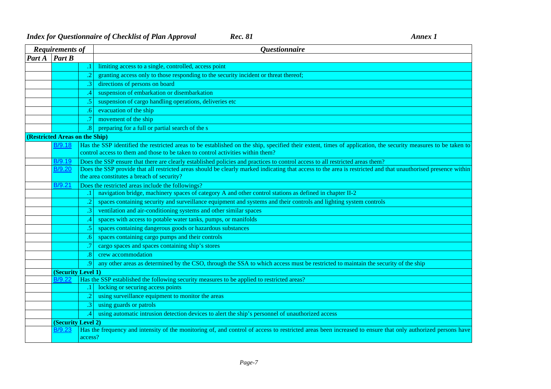| <b>Requirements of</b> |                                |                   | <b>Ouestionnaire</b>                                                                                                                                                                                                                             |
|------------------------|--------------------------------|-------------------|--------------------------------------------------------------------------------------------------------------------------------------------------------------------------------------------------------------------------------------------------|
|                        | Part $A$   Part B              |                   |                                                                                                                                                                                                                                                  |
|                        |                                | .1                | limiting access to a single, controlled, access point                                                                                                                                                                                            |
|                        |                                | $\cdot$           | granting access only to those responding to the security incident or threat thereof;                                                                                                                                                             |
|                        |                                | $\cdot$ 3         | directions of persons on board                                                                                                                                                                                                                   |
|                        |                                | $\cdot$           | suspension of embarkation or disembarkation                                                                                                                                                                                                      |
|                        |                                | .5                | suspension of cargo handling operations, deliveries etc                                                                                                                                                                                          |
|                        |                                | .6                | evacuation of the ship                                                                                                                                                                                                                           |
|                        |                                | .7                | movement of the ship                                                                                                                                                                                                                             |
|                        |                                | $\overline{.8}$   | preparing for a full or partial search of the s                                                                                                                                                                                                  |
|                        | (Restricted Areas on the Ship) |                   |                                                                                                                                                                                                                                                  |
|                        | B/9.18                         |                   | Has the SSP identified the restricted areas to be established on the ship, specified their extent, times of application, the security measures to be taken to<br>control access to them and those to be taken to control activities within them? |
|                        | B/9.19                         |                   | Does the SSP ensure that there are clearly established policies and practices to control access to all restricted areas them?                                                                                                                    |
|                        | B/9.20                         |                   | Does the SSP provide that all restricted areas should be clearly marked indicating that access to the area is restricted and that unauthorised presence within<br>the area constitutes a breach of security?                                     |
|                        | B/9.21                         |                   | Does the restricted areas include the followings?                                                                                                                                                                                                |
|                        |                                | .1                | navigation bridge, machinery spaces of category A and other control stations as defined in chapter II-2                                                                                                                                          |
|                        |                                | $\cdot$           | spaces containing security and surveillance equipment and systems and their controls and lighting system controls                                                                                                                                |
|                        |                                | $\cdot$ 3         | ventilation and air-conditioning systems and other similar spaces                                                                                                                                                                                |
|                        |                                | .4                | spaces with access to potable water tanks, pumps, or manifolds                                                                                                                                                                                   |
|                        |                                | .5                | spaces containing dangerous goods or hazardous substances                                                                                                                                                                                        |
|                        |                                | .6                | spaces containing cargo pumps and their controls                                                                                                                                                                                                 |
|                        |                                | .7                | cargo spaces and spaces containing ship's stores                                                                                                                                                                                                 |
|                        |                                | $\boldsymbol{.8}$ | crew accommodation                                                                                                                                                                                                                               |
|                        |                                | .9                | any other areas as determined by the CSO, through the SSA to which access must be restricted to maintain the security of the ship                                                                                                                |
|                        | (Security Level 1)             |                   |                                                                                                                                                                                                                                                  |
|                        | B/9.22                         |                   | Has the SSP established the following security measures to be applied to restricted areas?                                                                                                                                                       |
|                        |                                | .1                | locking or securing access points                                                                                                                                                                                                                |
|                        |                                | $\cdot$ 2         | using surveillance equipment to monitor the areas                                                                                                                                                                                                |
|                        |                                | $\mathbf{.3}$     | using guards or patrols                                                                                                                                                                                                                          |
|                        |                                | $\mathcal{A}$     | using automatic intrusion detection devices to alert the ship's personnel of unauthorized access                                                                                                                                                 |
|                        | (Security Level 2)             |                   |                                                                                                                                                                                                                                                  |
|                        | B/9.23                         | access?           | Has the frequency and intensity of the monitoring of, and control of access to restricted areas been increased to ensure that only authorized persons have                                                                                       |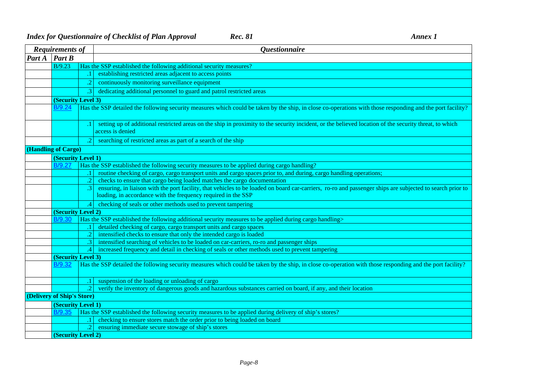| <b>Requirements of</b> |                            |                 | <i><b>Ouestionnaire</b></i>                                                                                                                                                                                                |
|------------------------|----------------------------|-----------------|----------------------------------------------------------------------------------------------------------------------------------------------------------------------------------------------------------------------------|
|                        | Part A   Part B            |                 |                                                                                                                                                                                                                            |
|                        | B/9.23                     |                 | Has the SSP established the following additional security measures?                                                                                                                                                        |
|                        |                            | $\cdot$ 1       | establishing restricted areas adjacent to access points                                                                                                                                                                    |
|                        |                            | $\cdot$ .2      | continuously monitoring surveillance equipment                                                                                                                                                                             |
|                        |                            | $\cdot$ 3       | dedicating additional personnel to guard and patrol restricted areas                                                                                                                                                       |
|                        | <b>(Security Level 3)</b>  |                 |                                                                                                                                                                                                                            |
|                        | B/9.24                     |                 | Has the SSP detailed the following security measures which could be taken by the ship, in close co-operations with those responding and the port facility?                                                                 |
|                        |                            | Л               | setting up of additional restricted areas on the ship in proximity to the security incident, or the believed location of the security threat, to which<br>access is denied                                                 |
|                        |                            | $\cdot$ .2      | searching of restricted areas as part of a search of the ship                                                                                                                                                              |
|                        | (Handling of Cargo)        |                 |                                                                                                                                                                                                                            |
|                        | (Security Level 1)         |                 |                                                                                                                                                                                                                            |
|                        | <b>B/9.27</b>              |                 | Has the SSP established the following security measures to be applied during cargo handling?                                                                                                                               |
|                        |                            | - 1             | routine checking of cargo, cargo transport units and cargo spaces prior to, and during, cargo handling operations;                                                                                                         |
|                        |                            | $\cdot$ .2      | checks to ensure that cargo being loaded matches the cargo documentation                                                                                                                                                   |
|                        |                            | $\cdot$ 3       | ensuring, in liaison with the port facility, that vehicles to be loaded on board car-carriers, ro-ro and passenger ships are subjected to search prior to<br>loading, in accordance with the frequency required in the SSP |
|                        |                            | .4              | checking of seals or other methods used to prevent tampering                                                                                                                                                               |
|                        | <b>(Security Level 2)</b>  |                 |                                                                                                                                                                                                                            |
|                        | B/9.30                     |                 | Has the SSP established the following additional security measures to be applied during cargo handling>                                                                                                                    |
|                        |                            |                 | detailed checking of cargo, cargo transport units and cargo spaces                                                                                                                                                         |
|                        |                            | $\cdot$ .2      | intensified checks to ensure that only the intended cargo is loaded                                                                                                                                                        |
|                        |                            | $\cdot$ 3       | intensified searching of vehicles to be loaded on car-carriers, ro-ro and passenger ships                                                                                                                                  |
|                        |                            | .4              | increased frequency and detail in checking of seals or other methods used to prevent tampering                                                                                                                             |
|                        | (Security Level 3)         |                 |                                                                                                                                                                                                                            |
|                        | B/9.32                     |                 | Has the SSP detailed the following security measures which could be taken by the ship, in close co-operation with those responding and the port facility?                                                                  |
|                        |                            | J               | suspension of the loading or unloading of cargo                                                                                                                                                                            |
|                        |                            | $\overline{.2}$ | verify the inventory of dangerous goods and hazardous substances carried on board, if any, and their location                                                                                                              |
|                        | (Delivery of Ship's Store) |                 |                                                                                                                                                                                                                            |
|                        | (Security Level 1)         |                 |                                                                                                                                                                                                                            |
|                        | <b>B/9.35</b>              |                 | Has the SSP established the following security measures to be applied during delivery of ship's stores?                                                                                                                    |
|                        |                            |                 | checking to ensure stores match the order prior to being loaded on board                                                                                                                                                   |
|                        |                            | $\overline{.2}$ | ensuring immediate secure stowage of ship's stores                                                                                                                                                                         |
|                        | (Security Level 2)         |                 |                                                                                                                                                                                                                            |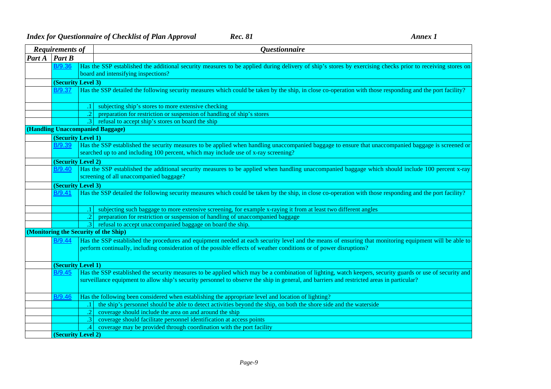| Rec. 81 | Q |
|---------|---|
|---------|---|

| <b>Requirements of</b> |                    |                | <i><b>Ouestionnaire</b></i>                                                                                                                               |
|------------------------|--------------------|----------------|-----------------------------------------------------------------------------------------------------------------------------------------------------------|
| Part A                 | Part B             |                |                                                                                                                                                           |
|                        | <b>B</b> /9.36     |                | Has the SSP established the additional security measures to be applied during delivery of ship's stores by exercising checks prior to receiving stores on |
|                        |                    |                | board and intensifying inspections?                                                                                                                       |
|                        | (Security Level 3) |                |                                                                                                                                                           |
|                        | B/9.37             |                | Has the SSP detailed the following security measures which could be taken by the ship, in close co-operation with those responding and the port facility? |
|                        |                    |                |                                                                                                                                                           |
|                        |                    |                | .1 subjecting ship's stores to more extensive checking                                                                                                    |
|                        |                    |                | .2 preparation for restriction or suspension of handling of ship's stores                                                                                 |
|                        |                    |                | .3 refusal to accept ship's stores on board the ship                                                                                                      |
|                        |                    |                | (Handling Unaccompanied Baggage)                                                                                                                          |
|                        | (Security Level 1) |                |                                                                                                                                                           |
|                        | B/9.39             |                | Has the SSP established the security measures to be applied when handling unaccompanied baggage to ensure that unaccompanied baggage is screened or       |
|                        |                    |                | searched up to and including 100 percent, which may include use of x-ray screening?                                                                       |
|                        | (Security Level 2) |                |                                                                                                                                                           |
|                        | B/9.40             |                | Has the SSP established the additional security measures to be applied when handling unaccompanied baggage which should include 100 percent x-ray         |
|                        |                    |                | screening of all unaccompanied baggage?                                                                                                                   |
|                        | (Security Level 3) |                |                                                                                                                                                           |
|                        | B/9.41             |                | Has the SSP detailed the following security measures which could be taken by the ship, in close co-operation with those responding and the port facility? |
|                        |                    |                |                                                                                                                                                           |
|                        |                    |                | subjecting such baggage to more extensive screening, for example x-raying it from at least two different angles                                           |
|                        |                    | 2              | preparation for restriction or suspension of handling of unaccompanied baggage                                                                            |
|                        |                    | $\overline{3}$ | refusal to accept unaccompanied baggage on board the ship.                                                                                                |
|                        |                    |                | (Monitoring the Security of the Ship)                                                                                                                     |
|                        | B/9.44             |                | Has the SSP established the procedures and equipment needed at each security level and the means of ensuring that monitoring equipment will be able to    |
|                        |                    |                | perform continually, including consideration of the possible effects of weather conditions or of power disruptions?                                       |
|                        |                    |                |                                                                                                                                                           |
|                        | (Security Level 1) |                |                                                                                                                                                           |
|                        | B/9.45             |                | Has the SSP established the security measures to be applied which may be a combination of lighting, watch keepers, security guards or use of security and |
|                        |                    |                | surveillance equipment to allow ship's security personnel to observe the ship in general, and barriers and restricted areas in particular?                |
|                        |                    |                |                                                                                                                                                           |
|                        | B/9.46             |                | Has the following been considered when establishing the appropriate level and location of lighting?                                                       |
|                        |                    |                | the ship's personnel should be able to detect activities beyond the ship, on both the shore side and the waterside                                        |
|                        |                    | $\overline{2}$ | coverage should include the area on and around the ship                                                                                                   |
|                        |                    | $\cdot$ 3      | coverage should facilitate personnel identification at access points                                                                                      |
|                        |                    |                | coverage may be provided through coordination with the port facility                                                                                      |
|                        | (Security Level 2) |                |                                                                                                                                                           |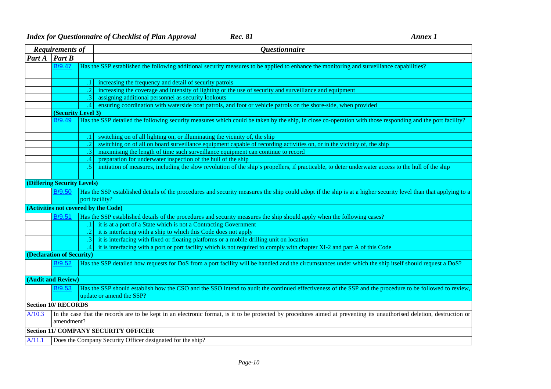| <b>Requirements of</b> |                             | <i><b>Ouestionnaire</b></i>                                                                                                                                                         |
|------------------------|-----------------------------|-------------------------------------------------------------------------------------------------------------------------------------------------------------------------------------|
|                        | $Part A$ Part B             |                                                                                                                                                                                     |
|                        | <b>B/9.47</b>               | Has the SSP established the following additional security measures to be applied to enhance the monitoring and surveillance capabilities?                                           |
|                        |                             | increasing the frequency and detail of security patrols                                                                                                                             |
|                        |                             | increasing the coverage and intensity of lighting or the use of security and surveillance and equipment                                                                             |
|                        |                             | assigning additional personnel as security lookouts                                                                                                                                 |
|                        |                             | ensuring coordination with waterside boat patrols, and foot or vehicle patrols on the shore-side, when provided<br>$\mathcal{A}$                                                    |
|                        | (Security Level 3)          |                                                                                                                                                                                     |
|                        | B/9.49                      | Has the SSP detailed the following security measures which could be taken by the ship, in close co-operation with those responding and the port facility?                           |
|                        |                             | switching on of all lighting on, or illuminating the vicinity of, the ship<br>$\cdot$ 1                                                                                             |
|                        |                             | switching on of all on board surveillance equipment capable of recording activities on, or in the vicinity of, the ship                                                             |
|                        |                             | maximising the length of time such surveillance equipment can continue to record<br>$\cdot$ 3                                                                                       |
|                        |                             | preparation for underwater inspection of the hull of the ship<br>.4                                                                                                                 |
|                        |                             | initiation of measures, including the slow revolution of the ship's propellers, if practicable, to deter underwater access to the hull of the ship<br>$.5\,$                        |
|                        | (Differing Security Levels) |                                                                                                                                                                                     |
|                        | <b>B/9.50</b>               | Has the SSP established details of the procedures and security measures the ship could adopt if the ship is at a higher security level than that applying to a<br>port facility?    |
|                        |                             | (Activities not covered by the Code)                                                                                                                                                |
|                        | B/9.51                      | Has the SSP established details of the procedures and security measures the ship should apply when the following cases?                                                             |
|                        |                             | it is at a port of a State which is not a Contracting Government                                                                                                                    |
|                        |                             | it is interfacing with a ship to which this Code does not apply                                                                                                                     |
|                        |                             | .3 it is interfacing with fixed or floating platforms or a mobile drilling unit on location                                                                                         |
|                        |                             | it is interfacing with a port or port facility which is not required to comply with chapter XI-2 and part A of this Code                                                            |
|                        | (Declaration of Security)   |                                                                                                                                                                                     |
|                        | B/9.52                      | Has the SSP detailed how requests for DoS from a port facility will be handled and the circumstances under which the ship itself should request a DoS?                              |
|                        | (Audit and Review)          |                                                                                                                                                                                     |
|                        | B/9.53                      | Has the SSP should establish how the CSO and the SSO intend to audit the continued effectiveness of the SSP and the procedure to be followed to review,<br>update or amend the SSP? |
|                        | <b>Section 10/ RECORDS</b>  |                                                                                                                                                                                     |
| A/10.3                 | amendment?                  | In the case that the records are to be kept in an electronic format, is it to be protected by procedures aimed at preventing its unauthorised deletion, destruction or              |
|                        |                             | <b>Section 11/ COMPANY SECURITY OFFICER</b>                                                                                                                                         |
| A/11.1                 |                             | Does the Company Security Officer designated for the ship?                                                                                                                          |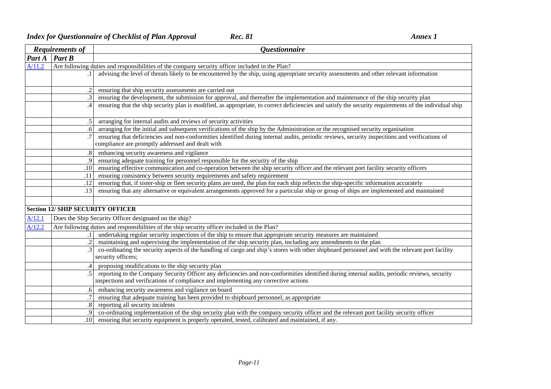| <b>Requirements of</b> |                  | <i><b>Ouestionnaire</b></i>                                                                                                                                                                                                          |
|------------------------|------------------|--------------------------------------------------------------------------------------------------------------------------------------------------------------------------------------------------------------------------------------|
| Part A                 | Part B           |                                                                                                                                                                                                                                      |
| A/11.2                 |                  | Are following duties and responsibilities of the company security officer included in the Plan?                                                                                                                                      |
|                        |                  | advising the level of threats likely to be encountered by the ship, using appropriate security assessments and other relevant information                                                                                            |
|                        |                  | ensuring that ship security assessments are carried out                                                                                                                                                                              |
|                        |                  | ensuring the development, the submission for approval, and thereafter the implementation and maintenance of the ship security plan                                                                                                   |
|                        | .4               | ensuring that the ship security plan is modified, as appropriate, to correct deficiencies and satisfy the security requirements of the individual ship                                                                               |
|                        | $.5\phantom{0}$  | arranging for internal audits and reviews of security activities                                                                                                                                                                     |
|                        | .6               | arranging for the initial and subsequent verifications of the ship by the Administration or the recognised security organisation                                                                                                     |
|                        |                  | ensuring that deficiencies and non-conformities identified during internal audits, periodic reviews, security inspections and verifications of<br>compliance are promptly addressed and dealt with                                   |
|                        | $.8\,$           | enhancing security awareness and vigilance                                                                                                                                                                                           |
|                        | .9               | ensuring adequate training for personnel responsible for the security of the ship                                                                                                                                                    |
|                        | .10              | ensuring effective communication and co-operation between the ship security officer and the relevant port facility security officers                                                                                                 |
|                        | .11              | ensuring consistency between security requirements and safety requirement                                                                                                                                                            |
|                        | .12              | ensuring that, if sister-ship or fleet security plans are used, the plan for each ship reflects the ship-specific information accurately                                                                                             |
|                        | .13              | ensuring that any alternative or equivalent arrangements approved for a particular ship or group of ships are implemented and maintained                                                                                             |
|                        |                  |                                                                                                                                                                                                                                      |
|                        |                  | <b>Section 12/ SHIP SECURITY OFFICER</b>                                                                                                                                                                                             |
| A/12.1                 |                  | Does the Ship Security Officer designated on the ship?                                                                                                                                                                               |
| A/12.2                 |                  | Are following duties and responsibilities of the ship security officer included in the Plan?                                                                                                                                         |
|                        |                  | undertaking regular security inspections of the ship to ensure that appropriate security measures are maintained                                                                                                                     |
|                        |                  | maintaining and supervising the implementation of the ship security plan, including any amendments to the plan                                                                                                                       |
|                        |                  | co-ordinating the security aspects of the handling of cargo and ship's stores with other shipboard personnel and with the relevant port facility<br>security officers;                                                               |
|                        |                  | proposing modifications to the ship security plan                                                                                                                                                                                    |
|                        |                  | reporting to the Company Security Officer any deficiencies and non-conformities identified during internal audits, periodic reviews, security<br>inspections and verifications of compliance and implementing any corrective actions |
|                        | .6 <sub>1</sub>  | enhancing security awareness and vigilance on board                                                                                                                                                                                  |
|                        |                  | ensuring that adequate training has been provided to shipboard personnel, as appropriate                                                                                                                                             |
|                        | $.8\,$           | reporting all security incidents                                                                                                                                                                                                     |
|                        | .9               | co-ordinating implementation of the ship security plan with the company security officer and the relevant port facility security officer                                                                                             |
|                        | .10 <sub>l</sub> | ensuring that security equipment is properly operated, tested, calibrated and maintained, if any.                                                                                                                                    |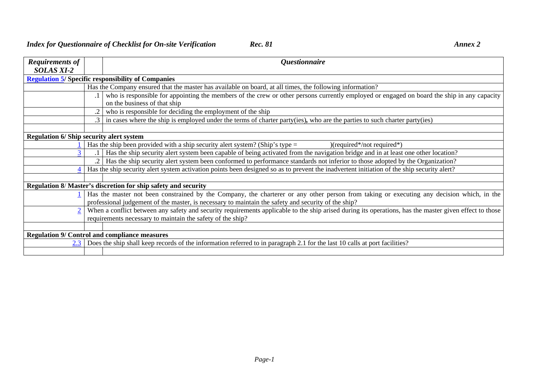### *Index for Questionnaire of Checklist for On-site Verification* Rec. 81 Annex 2

| <b>Requirements of</b> | <i><b>Questionnaire</b></i>                                                                                                                            |
|------------------------|--------------------------------------------------------------------------------------------------------------------------------------------------------|
| <b>SOLAS XI-2</b>      |                                                                                                                                                        |
|                        |                                                                                                                                                        |
|                        | <b>Regulation 5/ Specific responsibility of Companies</b>                                                                                              |
|                        | Has the Company ensured that the master has available on board, at all times, the following information?                                               |
|                        | who is responsible for appointing the members of the crew or other persons currently employed or engaged on board the ship in any capacity             |
|                        | on the business of that ship                                                                                                                           |
|                        | who is responsible for deciding the employment of the ship                                                                                             |
|                        | 3.<br>in cases where the ship is employed under the terms of charter party(ies), who are the parties to such charter party(ies)                        |
|                        |                                                                                                                                                        |
|                        | <b>Regulation 6/ Ship security alert system</b>                                                                                                        |
|                        | Has the ship been provided with a ship security alert system? (Ship's type $=$<br>$(required*/not required*)$                                          |
| $\mathbf{3}$           | Has the ship security alert system been capable of being activated from the navigation bridge and in at least one other location?                      |
|                        | Has the ship security alert system been conformed to performance standards not inferior to those adopted by the Organization?<br>.2                    |
|                        | Has the ship security alert system activation points been designed so as to prevent the inadvertent initiation of the ship security alert?             |
|                        |                                                                                                                                                        |
|                        | Regulation 8/ Master's discretion for ship safety and security                                                                                         |
|                        | Has the master not been constrained by the Company, the charterer or any other person from taking or executing any decision which, in the              |
|                        | professional judgement of the master, is necessary to maintain the safety and security of the ship?                                                    |
|                        | When a conflict between any safety and security requirements applicable to the ship arised during its operations, has the master given effect to those |
|                        | requirements necessary to maintain the safety of the ship?                                                                                             |
|                        |                                                                                                                                                        |
|                        | <b>Regulation 9/ Control and compliance measures</b>                                                                                                   |
| $2.3^{\circ}$          | Does the ship shall keep records of the information referred to in paragraph 2.1 for the last 10 calls at port facilities?                             |
|                        |                                                                                                                                                        |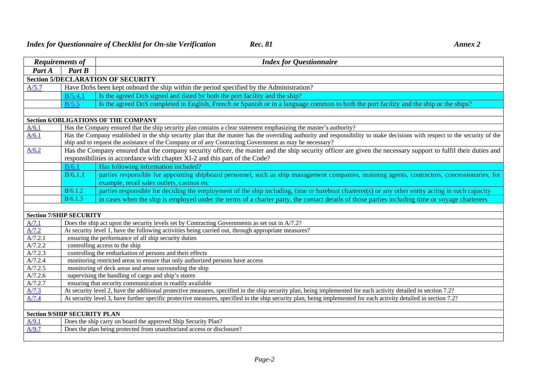| <b>Requirements of</b> |                                     | <b>Index for Questionnaire</b>                                                                                                                                              |
|------------------------|-------------------------------------|-----------------------------------------------------------------------------------------------------------------------------------------------------------------------------|
| Part A                 | Part B                              |                                                                                                                                                                             |
|                        |                                     | <b>Section 5/DECLARATION OF SECURITY</b>                                                                                                                                    |
| A/5.7                  |                                     | Have DoSs been kept onboard the ship within the period specified by the Administration?                                                                                     |
|                        | B/5.4.1                             | Is the agreed DoS signed and dated by both the port facility and the ship?                                                                                                  |
|                        | B/5.5                               | Is the agreed DoS completed in English, French or Spanish or in a language common to both the port facility and the ship or the ships?                                      |
|                        |                                     |                                                                                                                                                                             |
|                        |                                     | <b>Section 6/OBLIGATIONS OF THE COMPANY</b>                                                                                                                                 |
| A/6.1                  |                                     | Has the Company ensured that the ship security plan contains a clear statement emphasizing the master's authority?                                                          |
| A/6.1                  |                                     | Has the Company established in the ship security plan that the master has the overriding authority and responsibility to make decisions with respect to the security of the |
|                        |                                     | ship and to request the assistance of the Company or of any Contracting Government as may be necessary?                                                                     |
| A/6.2                  |                                     | Has the Company ensured that the company security officer, the master and the ship security officer are given the necessary support to fulfil their duties and              |
|                        |                                     | responsibilities in accordance with chapter XI-2 and this part of the Code?                                                                                                 |
|                        | B/6.1                               | Has following information included?                                                                                                                                         |
|                        | B/6.1.1                             | parties responsible for appointing shipboard personnel, such as ship management companies, manning agents, contractors, concessionaries, for                                |
|                        |                                     | example, retail sales outlets, casinos etc                                                                                                                                  |
|                        | B/6.1.2                             | parties responsible for deciding the employment of the ship including, time or bareboat charterer(s) or any other entity acting in such capacity                            |
|                        | B/6.1.3                             | in cases when the ship is employed under the terms of a charter party, the contact details of those parties including time or voyage charterers                             |
|                        |                                     |                                                                                                                                                                             |
|                        | <b>Section 7/SHIP SECURITY</b>      |                                                                                                                                                                             |
| A/7.1                  |                                     | Does the ship act upon the security levels set by Contracting Governments as set out in A/7.2?                                                                              |
| A/7.2                  |                                     | At security level 1, have the following activities being carried out, through appropriate measures?                                                                         |
| A/7.2.1                |                                     | ensuring the performance of all ship security duties                                                                                                                        |
| A/7.2.2                |                                     | controlling access to the ship                                                                                                                                              |
| A/7.2.3                |                                     | controlling the embarkation of persons and their effects                                                                                                                    |
| A/7.2.4                |                                     | monitoring restricted areas to ensure that only authorized persons have access                                                                                              |
| A/7.2.5                |                                     | monitoring of deck areas and areas surrounding the ship                                                                                                                     |
| A/7.2.6                |                                     | supervising the handling of cargo and ship's stores<br>ensuring that security communication is readily available                                                            |
| A/7.2.7<br>A/7.3       |                                     | At security level 2, have the additional protective measures, specified in the ship security plan, being implemented for each activity detailed in section 7.2?             |
| A/7.4                  |                                     | At security level 3, have further specific protective measures, specified in the ship security plan, being implemented for each activity detailed in section 7.2?           |
|                        |                                     |                                                                                                                                                                             |
|                        | <b>Section 9/SHIP SECURITY PLAN</b> |                                                                                                                                                                             |
| A/9.1                  |                                     | Does the ship carry on board the approved Ship Security Plan?                                                                                                               |
| A/9.7                  |                                     | Does the plan being protected from unauthorized access or disclosure?                                                                                                       |
|                        |                                     |                                                                                                                                                                             |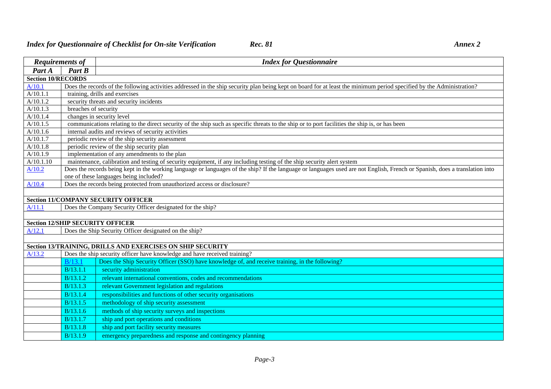| <b>Requirements of</b>    |                                                                                                                                                                       | <b>Index for Questionnaire</b>                                                                                                                                                                                        |  |
|---------------------------|-----------------------------------------------------------------------------------------------------------------------------------------------------------------------|-----------------------------------------------------------------------------------------------------------------------------------------------------------------------------------------------------------------------|--|
| Part A                    | Part B                                                                                                                                                                |                                                                                                                                                                                                                       |  |
| <b>Section 10/RECORDS</b> |                                                                                                                                                                       |                                                                                                                                                                                                                       |  |
| A/10.1                    | Does the records of the following activities addressed in the ship security plan being kept on board for at least the minimum period specified by the Administration? |                                                                                                                                                                                                                       |  |
| A/10.1.1                  | training, drills and exercises                                                                                                                                        |                                                                                                                                                                                                                       |  |
| A/10.1.2                  | security threats and security incidents                                                                                                                               |                                                                                                                                                                                                                       |  |
| A/10.1.3                  | breaches of security                                                                                                                                                  |                                                                                                                                                                                                                       |  |
| A/10.1.4                  |                                                                                                                                                                       | changes in security level                                                                                                                                                                                             |  |
| A/10.1.5                  |                                                                                                                                                                       | communications relating to the direct security of the ship such as specific threats to the ship or to port facilities the ship is, or has been                                                                        |  |
| A/10.1.6                  |                                                                                                                                                                       | internal audits and reviews of security activities                                                                                                                                                                    |  |
| A/10.1.7                  |                                                                                                                                                                       | periodic review of the ship security assessment                                                                                                                                                                       |  |
| A/10.1.8                  |                                                                                                                                                                       | periodic review of the ship security plan                                                                                                                                                                             |  |
| A/10.1.9                  |                                                                                                                                                                       | implementation of any amendments to the plan                                                                                                                                                                          |  |
| A/10.1.10                 |                                                                                                                                                                       | maintenance, calibration and testing of security equipment, if any including testing of the ship security alert system                                                                                                |  |
| A/10.2                    |                                                                                                                                                                       | Does the records being kept in the working language or languages of the ship? If the language or languages used are not English, French or Spanish, does a translation into<br>one of these languages being included? |  |
| A/10.4                    |                                                                                                                                                                       | Does the records being protected from unauthorized access or disclosure?                                                                                                                                              |  |
|                           |                                                                                                                                                                       |                                                                                                                                                                                                                       |  |
|                           |                                                                                                                                                                       | <b>Section 11/COMPANY SECURITY OFFICER</b>                                                                                                                                                                            |  |
| A/11.1                    |                                                                                                                                                                       | Does the Company Security Officer designated for the ship?                                                                                                                                                            |  |
|                           |                                                                                                                                                                       |                                                                                                                                                                                                                       |  |
|                           |                                                                                                                                                                       | <b>Section 12/SHIP SECURITY OFFICER</b>                                                                                                                                                                               |  |
| A/12.1                    | Does the Ship Security Officer designated on the ship?                                                                                                                |                                                                                                                                                                                                                       |  |
|                           |                                                                                                                                                                       |                                                                                                                                                                                                                       |  |
|                           |                                                                                                                                                                       | Section 13/TRAINING, DRILLS AND EXERCISES ON SHIP SECURITY                                                                                                                                                            |  |
| A/13.2                    |                                                                                                                                                                       | Does the ship security officer have knowledge and have received training?                                                                                                                                             |  |
|                           | B/13.1                                                                                                                                                                | Does the Ship Security Officer (SSO) have knowledge of, and receive training, in the following?                                                                                                                       |  |
|                           | B/13.1.1                                                                                                                                                              | security administration                                                                                                                                                                                               |  |
|                           | B/13.1.2                                                                                                                                                              | relevant international conventions, codes and recommendations                                                                                                                                                         |  |
|                           | B/13.1.3                                                                                                                                                              | relevant Government legislation and regulations                                                                                                                                                                       |  |
|                           | B/13.1.4                                                                                                                                                              | responsibilities and functions of other security organisations                                                                                                                                                        |  |
|                           | B/13.1.5                                                                                                                                                              | methodology of ship security assessment                                                                                                                                                                               |  |
|                           | B/13.1.6                                                                                                                                                              | methods of ship security surveys and inspections                                                                                                                                                                      |  |
|                           | B/13.1.7                                                                                                                                                              | ship and port operations and conditions                                                                                                                                                                               |  |
|                           | B/13.1.8                                                                                                                                                              | ship and port facility security measures                                                                                                                                                                              |  |
|                           | B/13.1.9                                                                                                                                                              | emergency preparedness and response and contingency planning                                                                                                                                                          |  |
|                           |                                                                                                                                                                       |                                                                                                                                                                                                                       |  |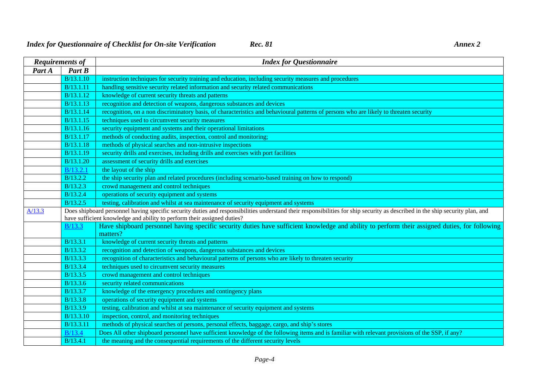| <b>Requirements of</b> |                                                                                                                                                                               | <b>Index for Questionnaire</b>                                                                                                                   |  |
|------------------------|-------------------------------------------------------------------------------------------------------------------------------------------------------------------------------|--------------------------------------------------------------------------------------------------------------------------------------------------|--|
| Part B<br>Part A       |                                                                                                                                                                               |                                                                                                                                                  |  |
|                        | B/13.1.10                                                                                                                                                                     | instruction techniques for security training and education, including security measures and procedures                                           |  |
|                        | B/13.1.11                                                                                                                                                                     | handling sensitive security related information and security related communications                                                              |  |
|                        | B/13.1.12                                                                                                                                                                     | knowledge of current security threats and patterns                                                                                               |  |
|                        | B/13.1.13                                                                                                                                                                     | recognition and detection of weapons, dangerous substances and devices                                                                           |  |
|                        | B/13.1.14                                                                                                                                                                     | recognition, on a non discriminatory basis, of characteristics and behavioural patterns of persons who are likely to threaten security           |  |
|                        | B/13.1.15                                                                                                                                                                     | techniques used to circumvent security measures                                                                                                  |  |
|                        | B/13.1.16                                                                                                                                                                     | security equipment and systems and their operational limitations                                                                                 |  |
|                        | B/13.1.17                                                                                                                                                                     | methods of conducting audits, inspection, control and monitoring;                                                                                |  |
|                        | B/13.1.18                                                                                                                                                                     | methods of physical searches and non-intrusive inspections                                                                                       |  |
|                        | B/13.1.19                                                                                                                                                                     | security drills and exercises, including drills and exercises with port facilities                                                               |  |
|                        | B/13.1.20                                                                                                                                                                     | assessment of security drills and exercises                                                                                                      |  |
|                        | B/13.2.1                                                                                                                                                                      | the layout of the ship                                                                                                                           |  |
|                        | B/13.2.2                                                                                                                                                                      | the ship security plan and related procedures (including scenario-based training on how to respond)                                              |  |
|                        | B/13.2.3                                                                                                                                                                      | crowd management and control techniques                                                                                                          |  |
|                        | B/13.2.4                                                                                                                                                                      | operations of security equipment and systems                                                                                                     |  |
|                        | B/13.2.5                                                                                                                                                                      | testing, calibration and whilst at sea maintenance of security equipment and systems                                                             |  |
| A/13.3                 | Does shipboard personnel having specific security duties and responsibilities understand their responsibilities for ship security as described in the ship security plan, and |                                                                                                                                                  |  |
|                        |                                                                                                                                                                               | have sufficient knowledge and ability to perform their assigned duties?                                                                          |  |
|                        | B/13.3                                                                                                                                                                        | Have shipboard personnel having specific security duties have sufficient knowledge and ability to perform their assigned duties, for following   |  |
|                        |                                                                                                                                                                               | matters?                                                                                                                                         |  |
|                        | B/13.3.1                                                                                                                                                                      | knowledge of current security threats and patterns                                                                                               |  |
|                        | B/13.3.2                                                                                                                                                                      | recognition and detection of weapons, dangerous substances and devices                                                                           |  |
|                        | B/13.3.3                                                                                                                                                                      | recognition of characteristics and behavioural patterns of persons who are likely to threaten security                                           |  |
|                        | B/13.3.4                                                                                                                                                                      | techniques used to circumvent security measures                                                                                                  |  |
|                        | B/13.3.5                                                                                                                                                                      | crowd management and control techniques                                                                                                          |  |
|                        | B/13.3.6                                                                                                                                                                      | security related communications                                                                                                                  |  |
|                        | B/13.3.7                                                                                                                                                                      | knowledge of the emergency procedures and contingency plans                                                                                      |  |
|                        | B/13.3.8                                                                                                                                                                      | operations of security equipment and systems                                                                                                     |  |
|                        | B/13.3.9                                                                                                                                                                      | testing, calibration and whilst at sea maintenance of security equipment and systems                                                             |  |
|                        | B/13.3.10                                                                                                                                                                     | inspection, control, and monitoring techniques                                                                                                   |  |
|                        | B/13.3.11                                                                                                                                                                     | methods of physical searches of persons, personal effects, baggage, cargo, and ship's stores                                                     |  |
|                        | B/13.4                                                                                                                                                                        | Does All other shipboard personnel have sufficient knowledge of the following items and is familiar with relevant provisions of the SSP, if any? |  |
|                        | B/13.4.1                                                                                                                                                                      | the meaning and the consequential requirements of the different security levels                                                                  |  |